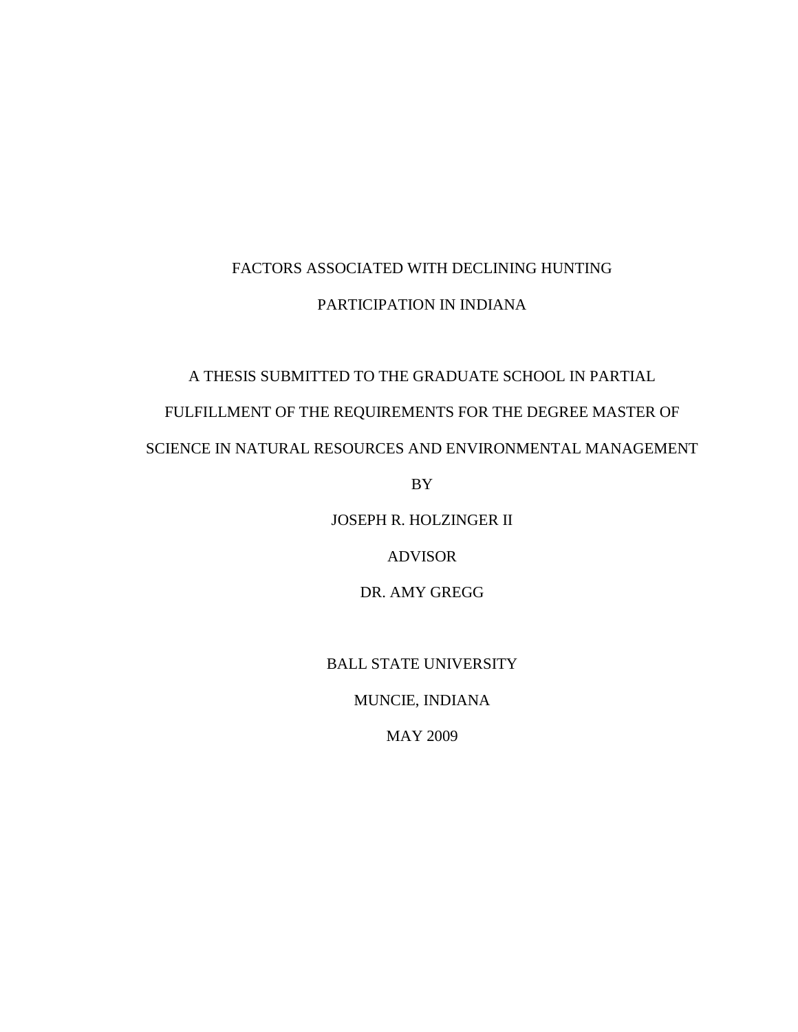# FACTORS ASSOCIATED WITH DECLINING HUNTING PARTICIPATION IN INDIANA

## A THESIS SUBMITTED TO THE GRADUATE SCHOOL IN PARTIAL

## FULFILLMENT OF THE REQUIREMENTS FOR THE DEGREE MASTER OF

## SCIENCE IN NATURAL RESOURCES AND ENVIRONMENTAL MANAGEMENT

BY

JOSEPH R. HOLZINGER II

ADVISOR

DR. AMY GREGG

## BALL STATE UNIVERSITY

MUNCIE, INDIANA

MAY 2009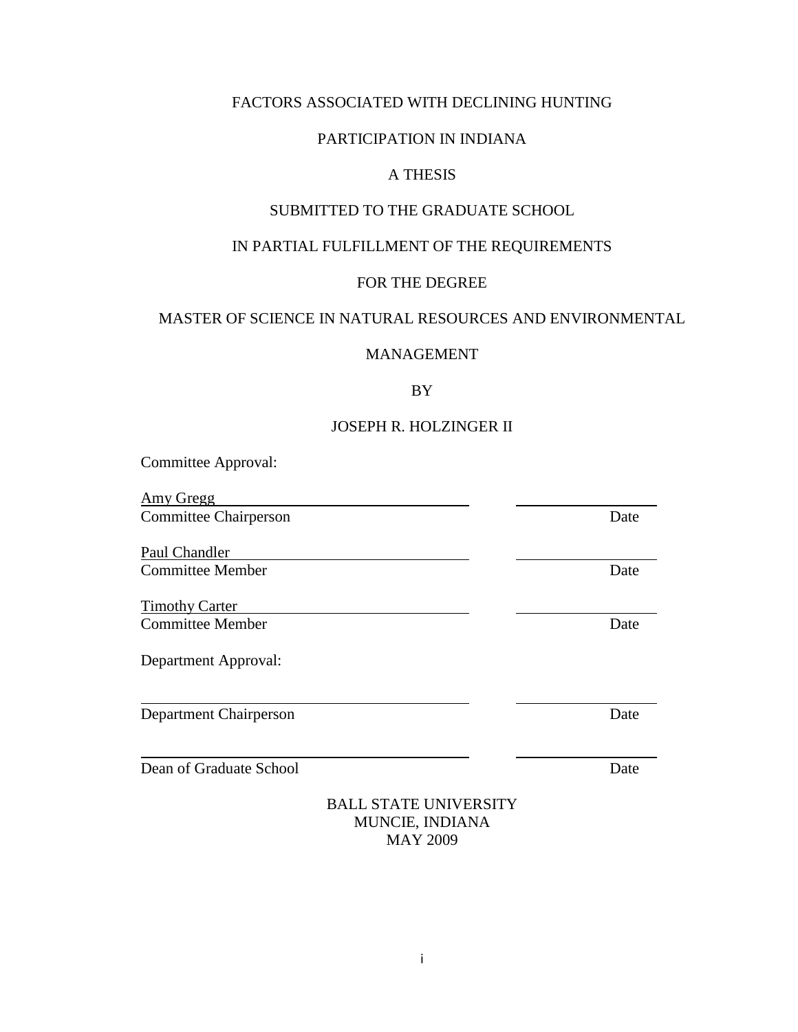## FACTORS ASSOCIATED WITH DECLINING HUNTING

### PARTICIPATION IN INDIANA

## A THESIS

## SUBMITTED TO THE GRADUATE SCHOOL

## IN PARTIAL FULFILLMENT OF THE REQUIREMENTS

## FOR THE DEGREE

### MASTER OF SCIENCE IN NATURAL RESOURCES AND ENVIRONMENTAL

### MANAGEMENT

### BY

## JOSEPH R. HOLZINGER II

Committee Approval:

Amy Gregg Committee Chairperson Date

Paul Chandler **Committee Member** Date

Timothy Carter **Committee Member** Date

Department Approval:

Department Chairperson Date

Dean of Graduate School Date

### BALL STATE UNIVERSITY MUNCIE, INDIANA MAY 2009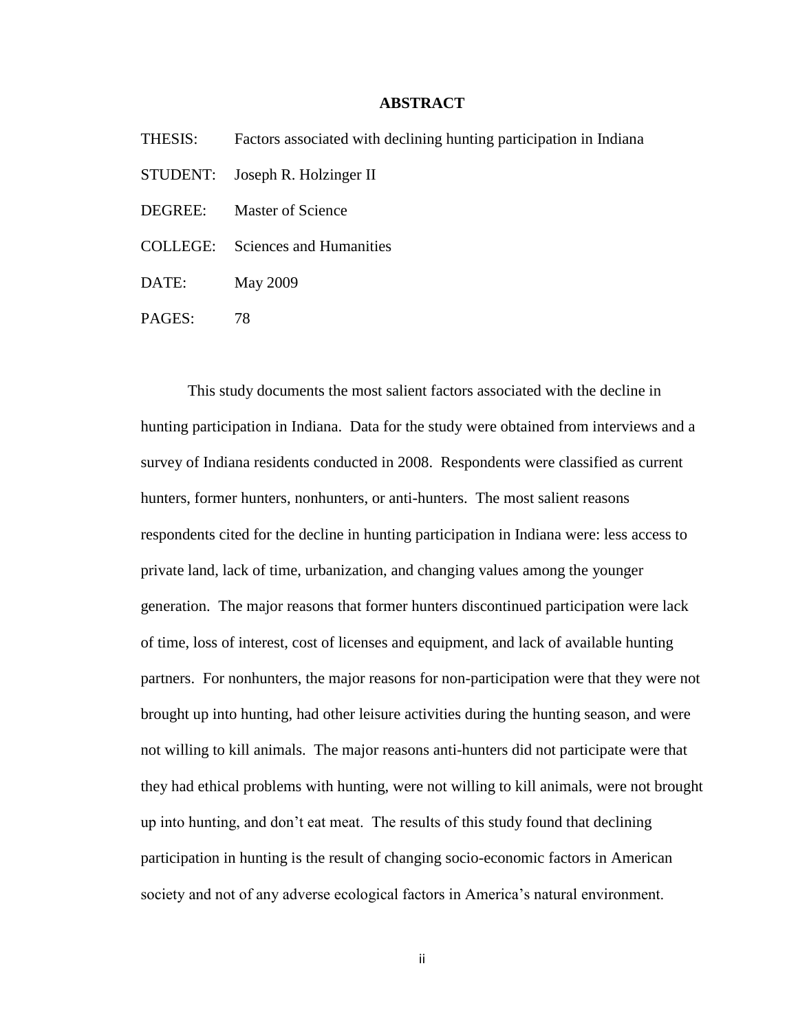#### **ABSTRACT**

- THESIS: Factors associated with declining hunting participation in Indiana
- STUDENT: Joseph R. Holzinger II
- DEGREE: Master of Science
- COLLEGE: Sciences and Humanities
- DATE: May 2009
- PAGES: 78

This study documents the most salient factors associated with the decline in hunting participation in Indiana. Data for the study were obtained from interviews and a survey of Indiana residents conducted in 2008. Respondents were classified as current hunters, former hunters, nonhunters, or anti-hunters. The most salient reasons respondents cited for the decline in hunting participation in Indiana were: less access to private land, lack of time, urbanization, and changing values among the younger generation. The major reasons that former hunters discontinued participation were lack of time, loss of interest, cost of licenses and equipment, and lack of available hunting partners. For nonhunters, the major reasons for non-participation were that they were not brought up into hunting, had other leisure activities during the hunting season, and were not willing to kill animals. The major reasons anti-hunters did not participate were that they had ethical problems with hunting, were not willing to kill animals, were not brought up into hunting, and don"t eat meat. The results of this study found that declining participation in hunting is the result of changing socio-economic factors in American society and not of any adverse ecological factors in America"s natural environment.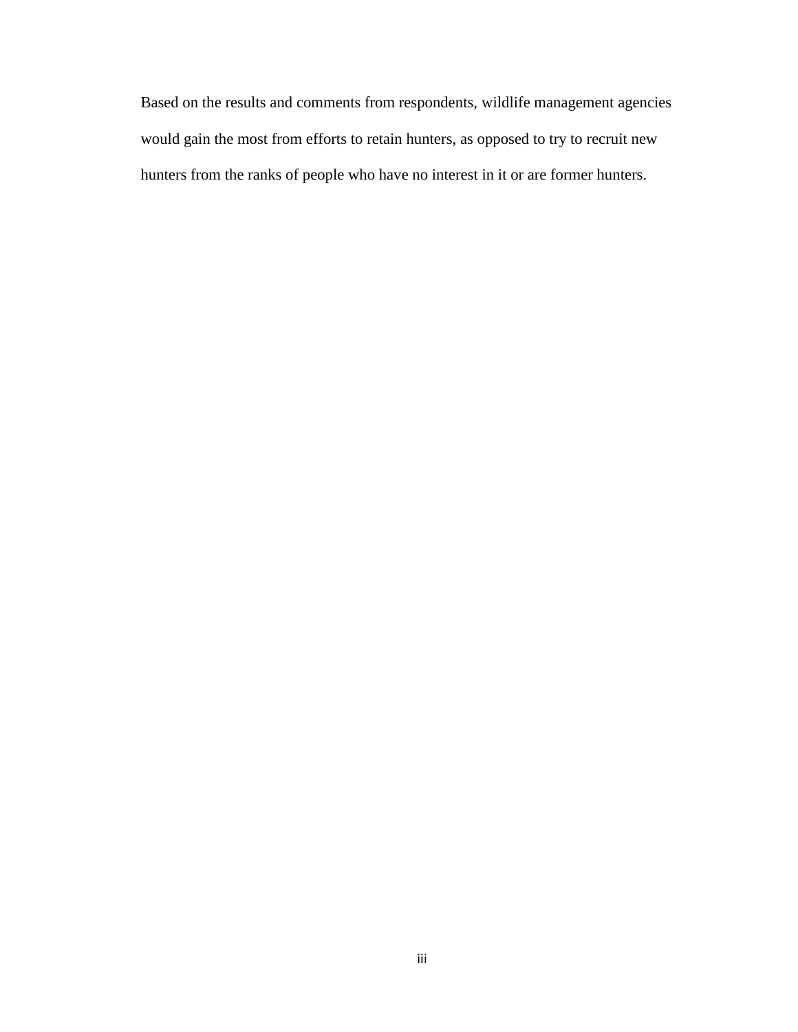Based on the results and comments from respondents, wildlife management agencies would gain the most from efforts to retain hunters, as opposed to try to recruit new hunters from the ranks of people who have no interest in it or are former hunters.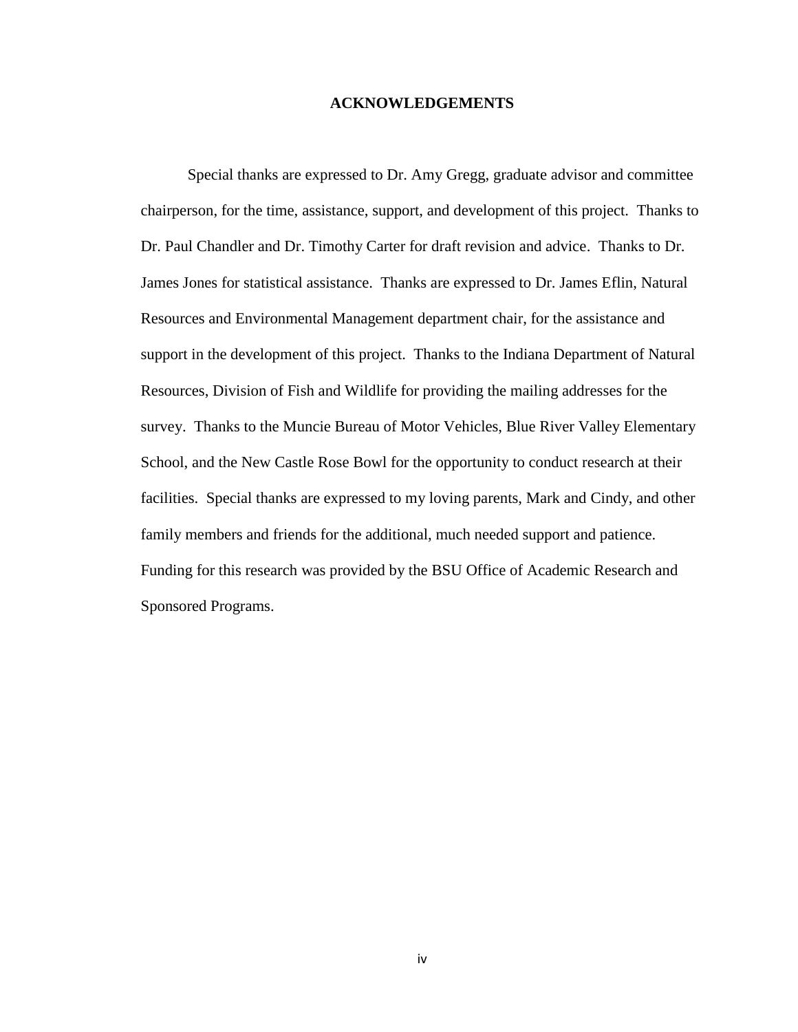#### **ACKNOWLEDGEMENTS**

Special thanks are expressed to Dr. Amy Gregg, graduate advisor and committee chairperson, for the time, assistance, support, and development of this project. Thanks to Dr. Paul Chandler and Dr. Timothy Carter for draft revision and advice. Thanks to Dr. James Jones for statistical assistance. Thanks are expressed to Dr. James Eflin, Natural Resources and Environmental Management department chair, for the assistance and support in the development of this project. Thanks to the Indiana Department of Natural Resources, Division of Fish and Wildlife for providing the mailing addresses for the survey. Thanks to the Muncie Bureau of Motor Vehicles, Blue River Valley Elementary School, and the New Castle Rose Bowl for the opportunity to conduct research at their facilities. Special thanks are expressed to my loving parents, Mark and Cindy, and other family members and friends for the additional, much needed support and patience. Funding for this research was provided by the BSU Office of Academic Research and Sponsored Programs.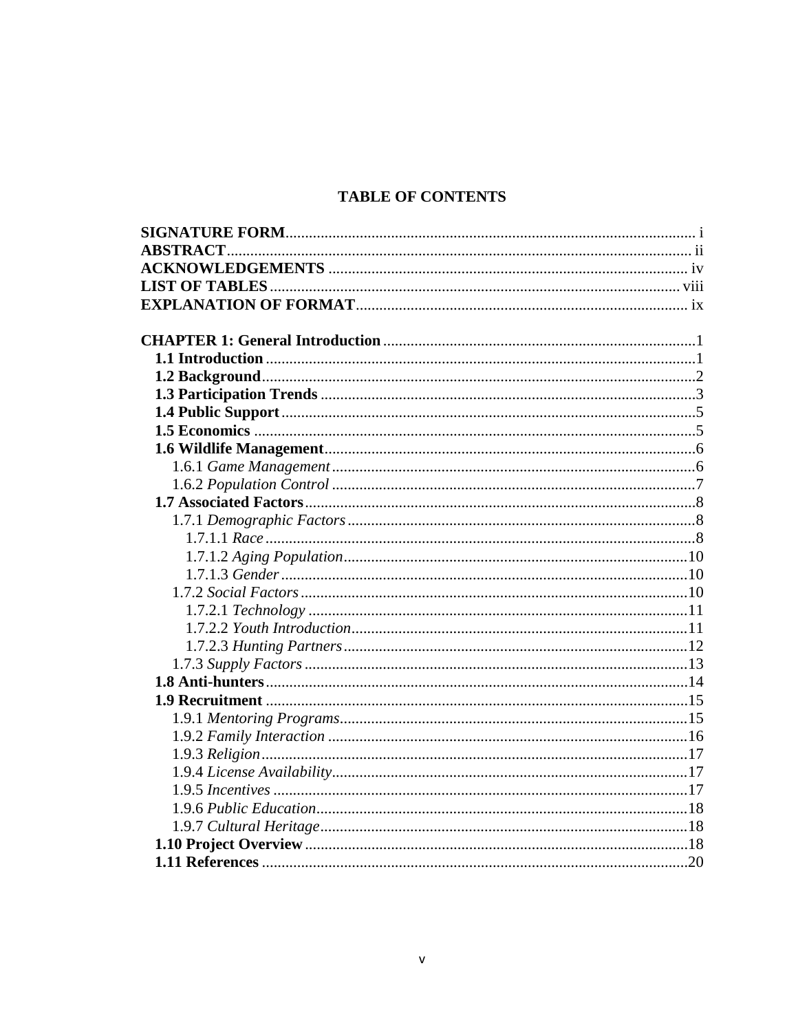## **TABLE OF CONTENTS**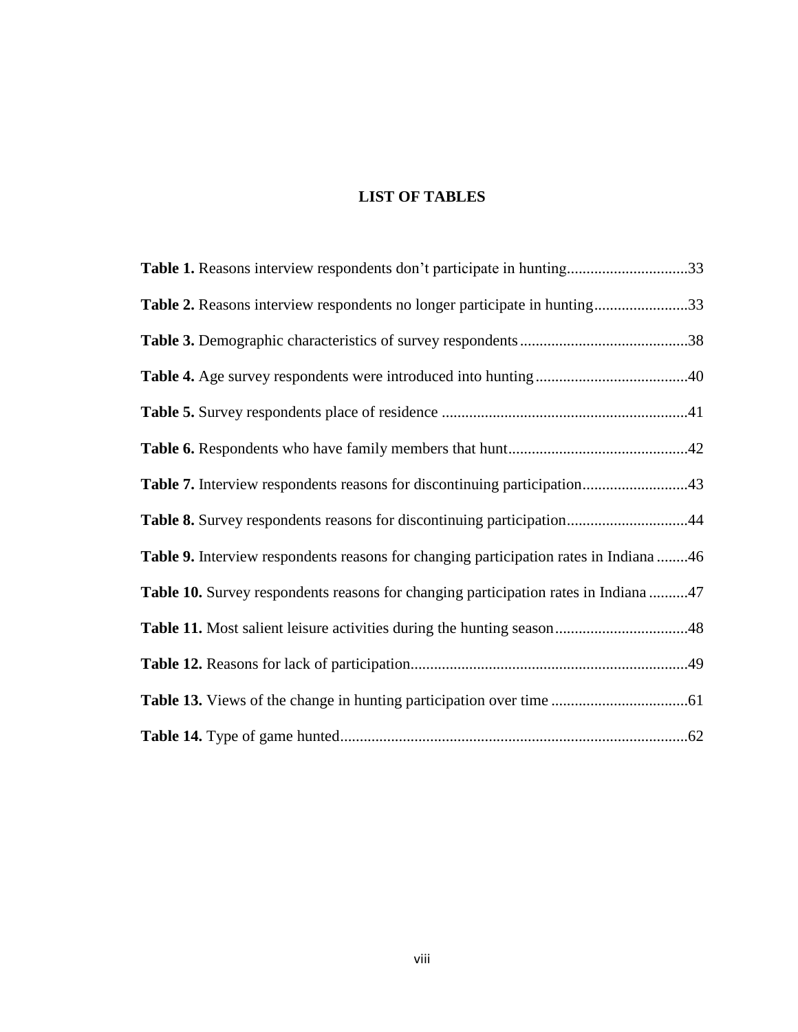## **LIST OF TABLES**

| Table 1. Reasons interview respondents don't participate in hunting33                 |  |
|---------------------------------------------------------------------------------------|--|
| Table 2. Reasons interview respondents no longer participate in hunting33             |  |
|                                                                                       |  |
|                                                                                       |  |
|                                                                                       |  |
|                                                                                       |  |
| Table 7. Interview respondents reasons for discontinuing participation43              |  |
| Table 8. Survey respondents reasons for discontinuing participation44                 |  |
| Table 9. Interview respondents reasons for changing participation rates in Indiana 46 |  |
| Table 10. Survey respondents reasons for changing participation rates in Indiana 47   |  |
|                                                                                       |  |
|                                                                                       |  |
|                                                                                       |  |
|                                                                                       |  |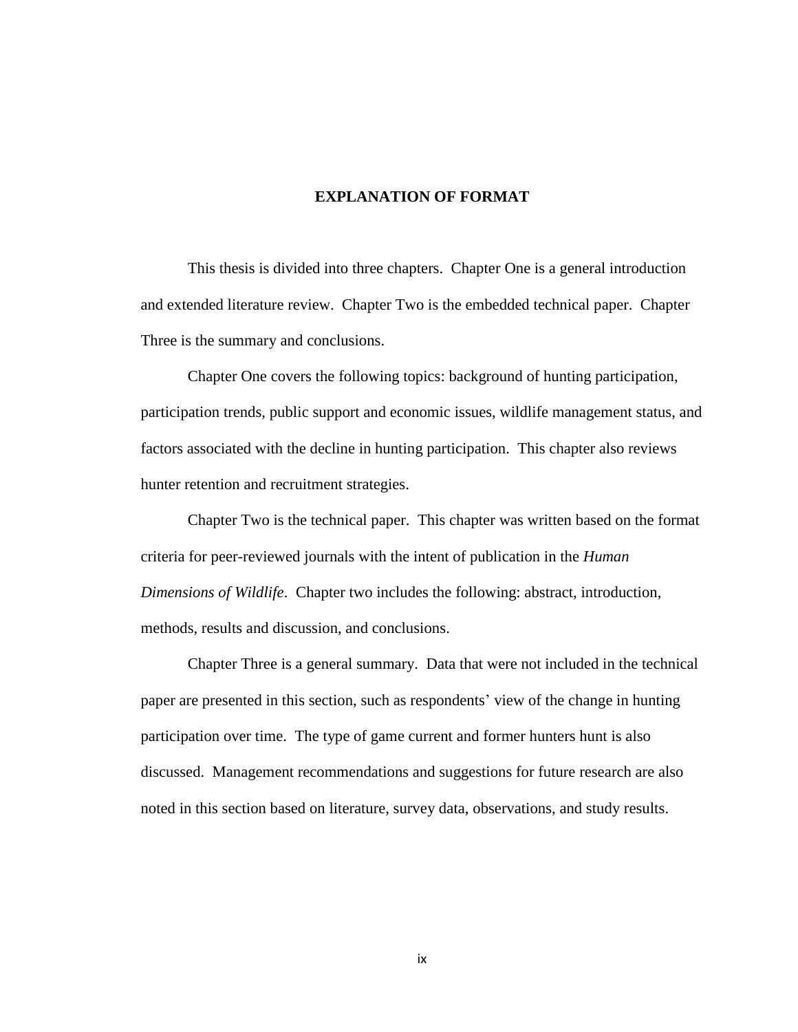#### **EXPLANATION OF FORMAT**

This thesis is divided into three chapters. Chapter One is a general introduction and extended literature review. Chapter Two is the embedded technical paper. Chapter Three is the summary and conclusions.

Chapter One covers the following topics: background of hunting participation, participation trends, public support and economic issues, wildlife management status, and factors associated with the decline in hunting participation. This chapter also reviews hunter retention and recruitment strategies.

Chapter Two is the technical paper. This chapter was written based on the format criteria for peer-reviewed journals with the intent of publication in the *Human Dimensions of Wildlife*. Chapter two includes the following: abstract, introduction, methods, results and discussion, and conclusions.

Chapter Three is a general summary. Data that were not included in the technical paper are presented in this section, such as respondents' view of the change in hunting participation over time. The type of game current and former hunters hunt is also discussed. Management recommendations and suggestions for future research are also noted in this section based on literature, survey data, observations, and study results.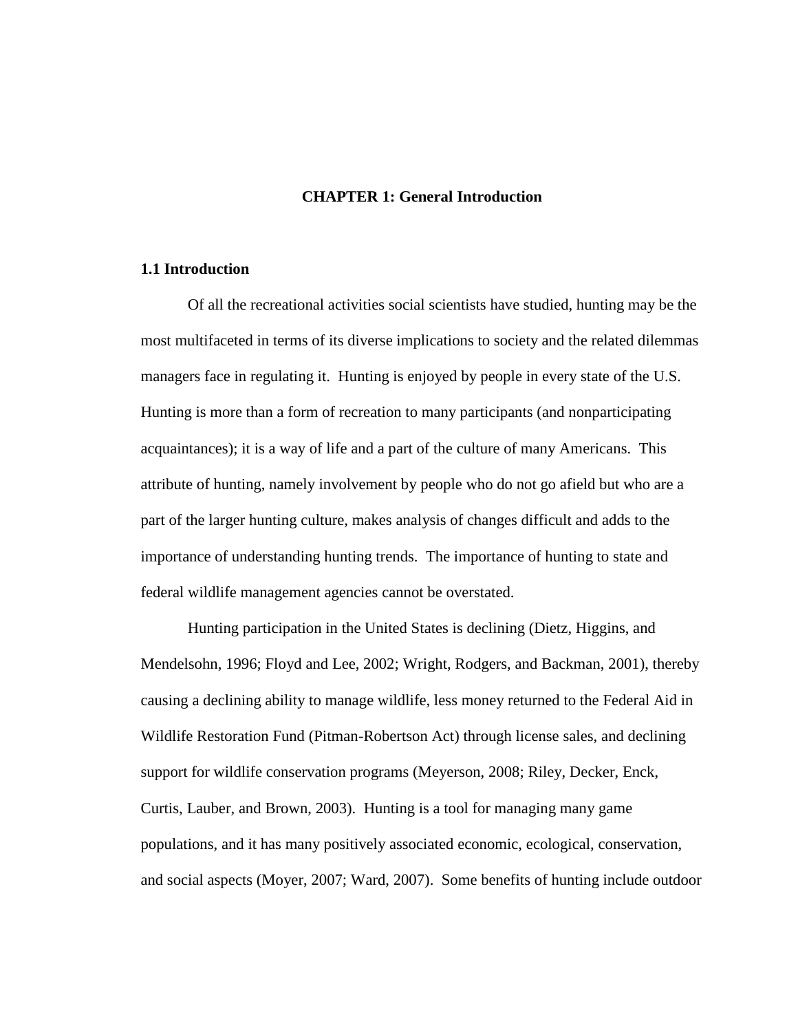#### **CHAPTER 1: General Introduction**

#### **1.1 Introduction**

Of all the recreational activities social scientists have studied, hunting may be the most multifaceted in terms of its diverse implications to society and the related dilemmas managers face in regulating it. Hunting is enjoyed by people in every state of the U.S. Hunting is more than a form of recreation to many participants (and nonparticipating acquaintances); it is a way of life and a part of the culture of many Americans. This attribute of hunting, namely involvement by people who do not go afield but who are a part of the larger hunting culture, makes analysis of changes difficult and adds to the importance of understanding hunting trends. The importance of hunting to state and federal wildlife management agencies cannot be overstated.

Hunting participation in the United States is declining (Dietz, Higgins, and Mendelsohn, 1996; Floyd and Lee, 2002; Wright, Rodgers, and Backman, 2001), thereby causing a declining ability to manage wildlife, less money returned to the Federal Aid in Wildlife Restoration Fund (Pitman-Robertson Act) through license sales, and declining support for wildlife conservation programs (Meyerson, 2008; Riley, Decker, Enck, Curtis, Lauber, and Brown, 2003). Hunting is a tool for managing many game populations, and it has many positively associated economic, ecological, conservation, and social aspects (Moyer, 2007; Ward, 2007). Some benefits of hunting include outdoor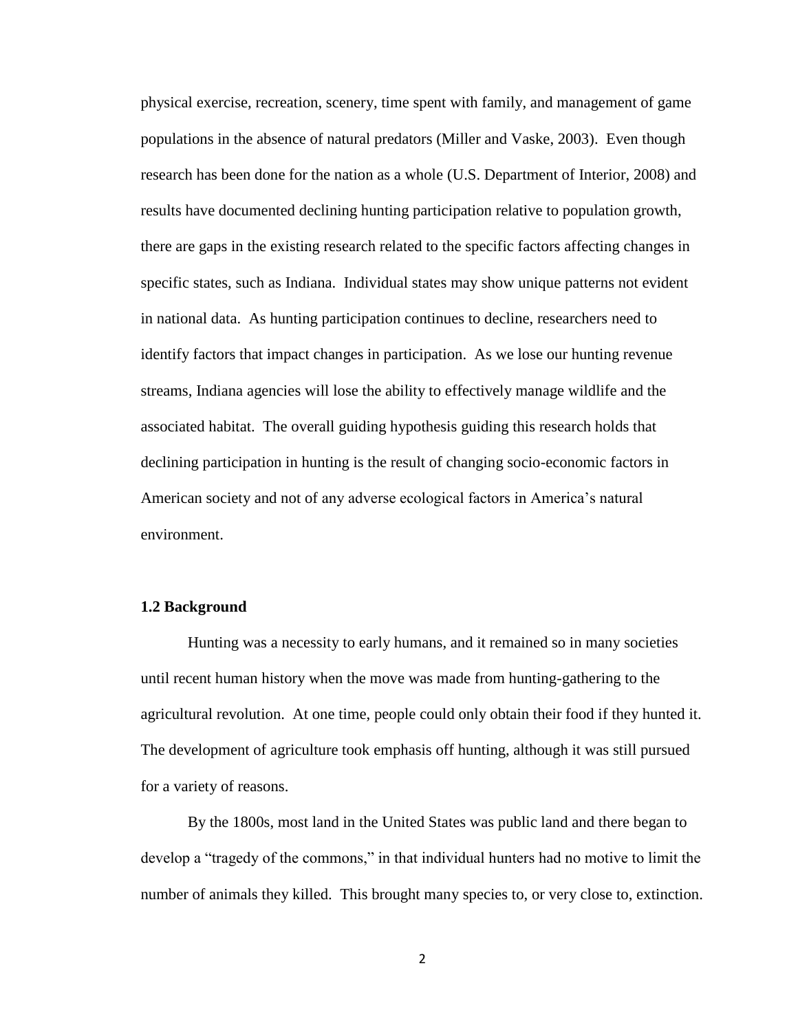physical exercise, recreation, scenery, time spent with family, and management of game populations in the absence of natural predators (Miller and Vaske, 2003). Even though research has been done for the nation as a whole (U.S. Department of Interior, 2008) and results have documented declining hunting participation relative to population growth, there are gaps in the existing research related to the specific factors affecting changes in specific states, such as Indiana. Individual states may show unique patterns not evident in national data. As hunting participation continues to decline, researchers need to identify factors that impact changes in participation. As we lose our hunting revenue streams, Indiana agencies will lose the ability to effectively manage wildlife and the associated habitat. The overall guiding hypothesis guiding this research holds that declining participation in hunting is the result of changing socio-economic factors in American society and not of any adverse ecological factors in America's natural environment.

#### **1.2 Background**

Hunting was a necessity to early humans, and it remained so in many societies until recent human history when the move was made from hunting-gathering to the agricultural revolution. At one time, people could only obtain their food if they hunted it. The development of agriculture took emphasis off hunting, although it was still pursued for a variety of reasons.

By the 1800s, most land in the United States was public land and there began to develop a "tragedy of the commons," in that individual hunters had no motive to limit the number of animals they killed. This brought many species to, or very close to, extinction.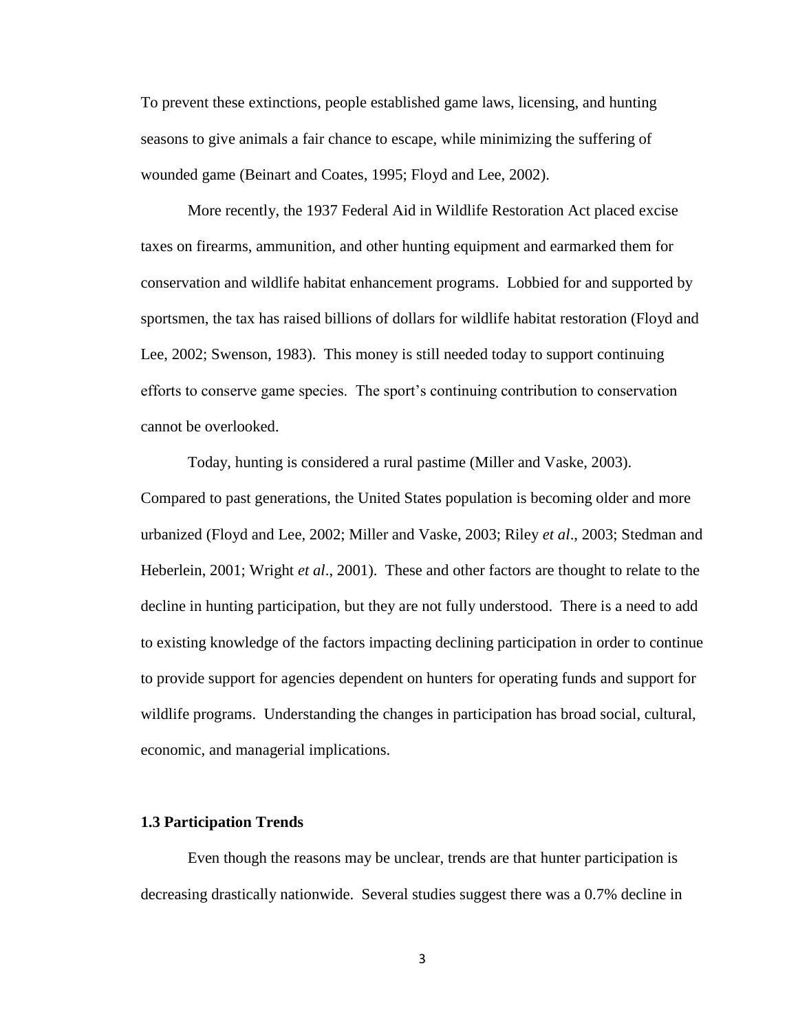To prevent these extinctions, people established game laws, licensing, and hunting seasons to give animals a fair chance to escape, while minimizing the suffering of wounded game (Beinart and Coates, 1995; Floyd and Lee, 2002).

More recently, the 1937 Federal Aid in Wildlife Restoration Act placed excise taxes on firearms, ammunition, and other hunting equipment and earmarked them for conservation and wildlife habitat enhancement programs. Lobbied for and supported by sportsmen, the tax has raised billions of dollars for wildlife habitat restoration (Floyd and Lee, 2002; Swenson, 1983). This money is still needed today to support continuing efforts to conserve game species. The sport"s continuing contribution to conservation cannot be overlooked.

Today, hunting is considered a rural pastime (Miller and Vaske, 2003). Compared to past generations, the United States population is becoming older and more urbanized (Floyd and Lee, 2002; Miller and Vaske, 2003; Riley *et al*., 2003; Stedman and Heberlein, 2001; Wright *et al*., 2001). These and other factors are thought to relate to the decline in hunting participation, but they are not fully understood. There is a need to add to existing knowledge of the factors impacting declining participation in order to continue to provide support for agencies dependent on hunters for operating funds and support for wildlife programs. Understanding the changes in participation has broad social, cultural, economic, and managerial implications.

#### **1.3 Participation Trends**

Even though the reasons may be unclear, trends are that hunter participation is decreasing drastically nationwide. Several studies suggest there was a 0.7% decline in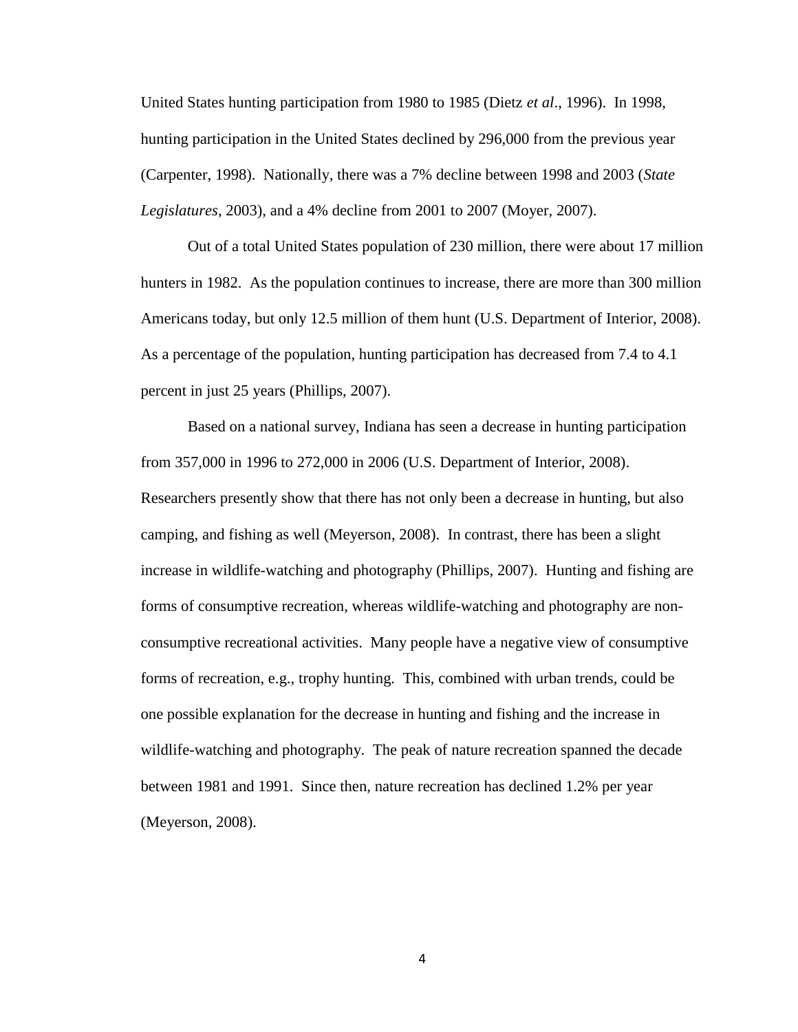United States hunting participation from 1980 to 1985 (Dietz *et al*., 1996). In 1998, hunting participation in the United States declined by 296,000 from the previous year (Carpenter, 1998). Nationally, there was a 7% decline between 1998 and 2003 (*State Legislatures*, 2003), and a 4% decline from 2001 to 2007 (Moyer, 2007).

Out of a total United States population of 230 million, there were about 17 million hunters in 1982. As the population continues to increase, there are more than 300 million Americans today, but only 12.5 million of them hunt (U.S. Department of Interior, 2008). As a percentage of the population, hunting participation has decreased from 7.4 to 4.1 percent in just 25 years (Phillips, 2007).

Based on a national survey, Indiana has seen a decrease in hunting participation from 357,000 in 1996 to 272,000 in 2006 (U.S. Department of Interior, 2008). Researchers presently show that there has not only been a decrease in hunting, but also camping, and fishing as well (Meyerson, 2008). In contrast, there has been a slight increase in wildlife-watching and photography (Phillips, 2007). Hunting and fishing are forms of consumptive recreation, whereas wildlife-watching and photography are nonconsumptive recreational activities. Many people have a negative view of consumptive forms of recreation, e.g., trophy hunting. This, combined with urban trends, could be one possible explanation for the decrease in hunting and fishing and the increase in wildlife-watching and photography. The peak of nature recreation spanned the decade between 1981 and 1991. Since then, nature recreation has declined 1.2% per year (Meyerson, 2008).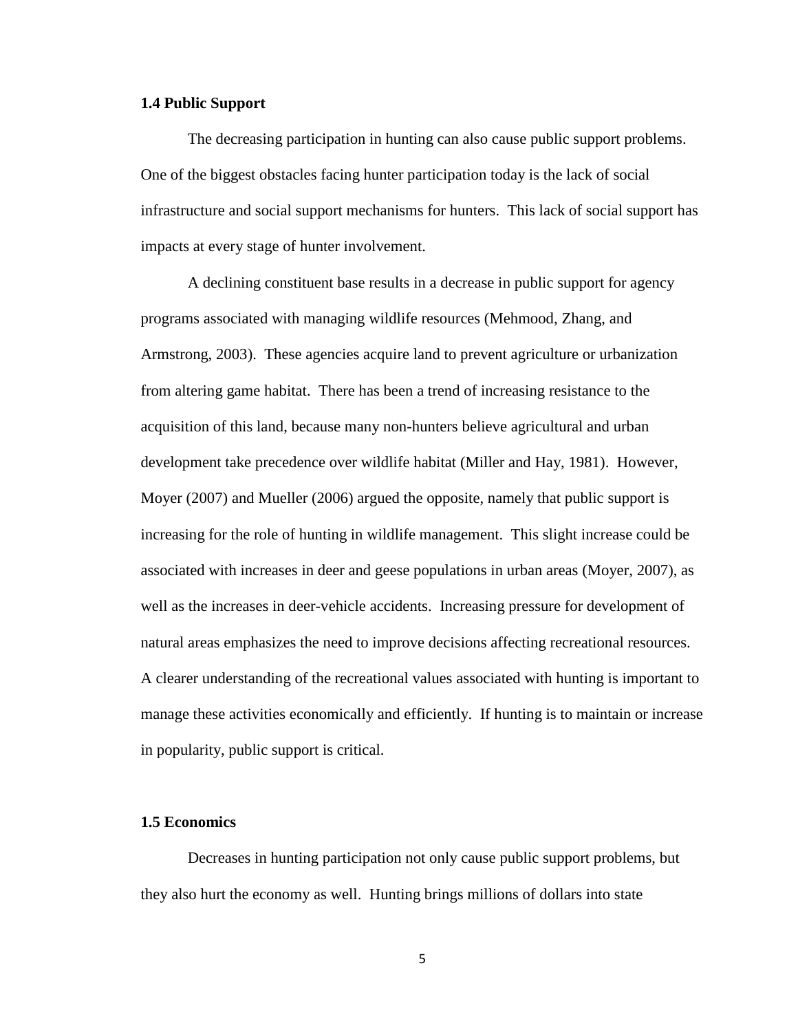#### **1.4 Public Support**

The decreasing participation in hunting can also cause public support problems. One of the biggest obstacles facing hunter participation today is the lack of social infrastructure and social support mechanisms for hunters. This lack of social support has impacts at every stage of hunter involvement.

A declining constituent base results in a decrease in public support for agency programs associated with managing wildlife resources (Mehmood, Zhang, and Armstrong, 2003). These agencies acquire land to prevent agriculture or urbanization from altering game habitat. There has been a trend of increasing resistance to the acquisition of this land, because many non-hunters believe agricultural and urban development take precedence over wildlife habitat (Miller and Hay, 1981). However, Moyer (2007) and Mueller (2006) argued the opposite, namely that public support is increasing for the role of hunting in wildlife management. This slight increase could be associated with increases in deer and geese populations in urban areas (Moyer, 2007), as well as the increases in deer-vehicle accidents. Increasing pressure for development of natural areas emphasizes the need to improve decisions affecting recreational resources. A clearer understanding of the recreational values associated with hunting is important to manage these activities economically and efficiently. If hunting is to maintain or increase in popularity, public support is critical.

#### **1.5 Economics**

Decreases in hunting participation not only cause public support problems, but they also hurt the economy as well. Hunting brings millions of dollars into state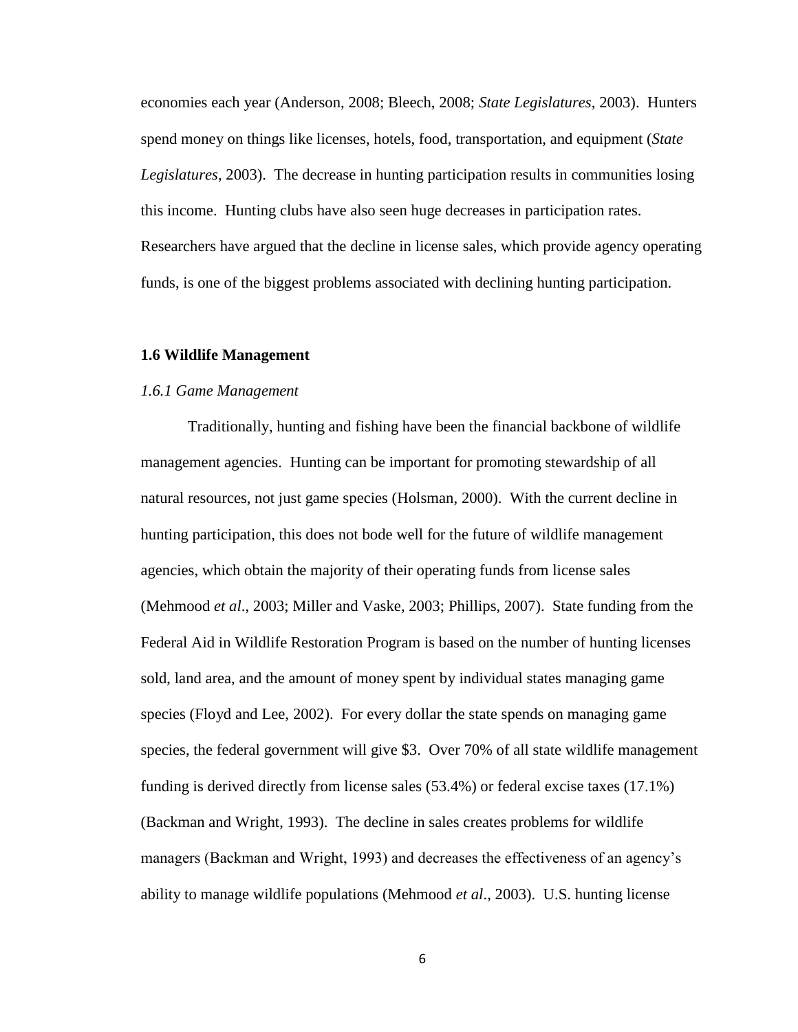economies each year (Anderson, 2008; Bleech, 2008; *State Legislatures*, 2003). Hunters spend money on things like licenses, hotels, food, transportation, and equipment (*State Legislatures*, 2003). The decrease in hunting participation results in communities losing this income. Hunting clubs have also seen huge decreases in participation rates. Researchers have argued that the decline in license sales, which provide agency operating funds, is one of the biggest problems associated with declining hunting participation.

#### **1.6 Wildlife Management**

#### *1.6.1 Game Management*

Traditionally, hunting and fishing have been the financial backbone of wildlife management agencies. Hunting can be important for promoting stewardship of all natural resources, not just game species (Holsman, 2000). With the current decline in hunting participation, this does not bode well for the future of wildlife management agencies, which obtain the majority of their operating funds from license sales (Mehmood *et al*., 2003; Miller and Vaske, 2003; Phillips, 2007). State funding from the Federal Aid in Wildlife Restoration Program is based on the number of hunting licenses sold, land area, and the amount of money spent by individual states managing game species (Floyd and Lee, 2002). For every dollar the state spends on managing game species, the federal government will give \$3. Over 70% of all state wildlife management funding is derived directly from license sales (53.4%) or federal excise taxes (17.1%) (Backman and Wright, 1993). The decline in sales creates problems for wildlife managers (Backman and Wright, 1993) and decreases the effectiveness of an agency"s ability to manage wildlife populations (Mehmood *et al*., 2003). U.S. hunting license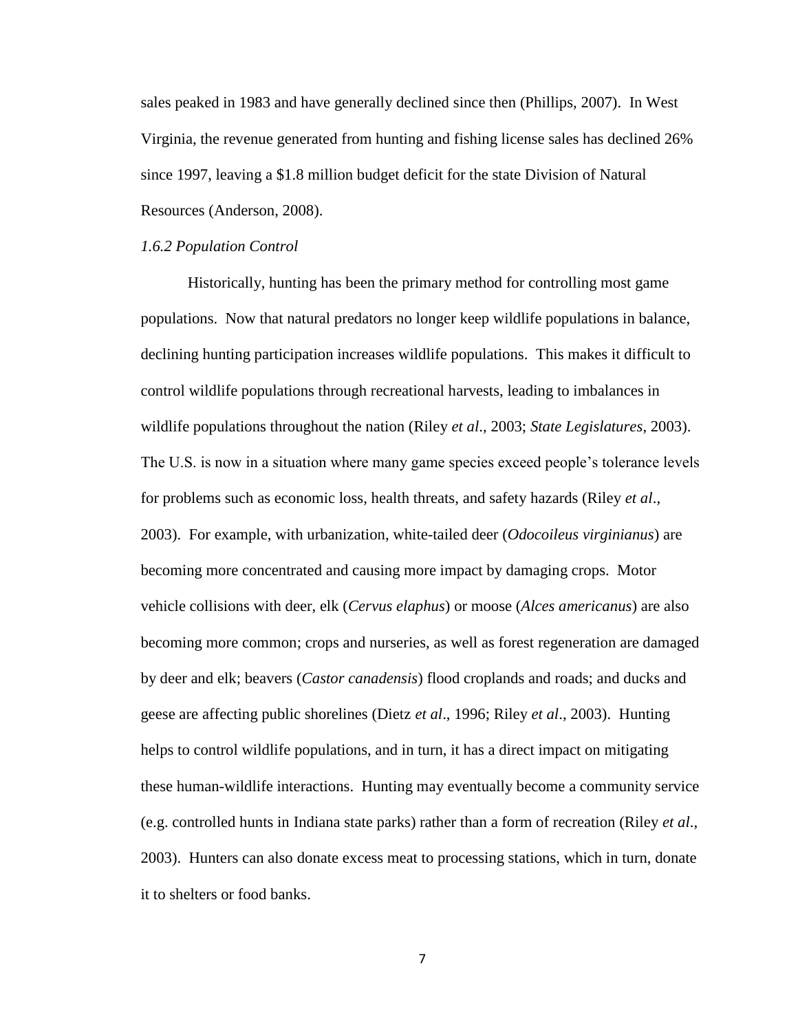sales peaked in 1983 and have generally declined since then (Phillips, 2007). In West Virginia, the revenue generated from hunting and fishing license sales has declined 26% since 1997, leaving a \$1.8 million budget deficit for the state Division of Natural Resources (Anderson, 2008).

#### *1.6.2 Population Control*

Historically, hunting has been the primary method for controlling most game populations. Now that natural predators no longer keep wildlife populations in balance, declining hunting participation increases wildlife populations. This makes it difficult to control wildlife populations through recreational harvests, leading to imbalances in wildlife populations throughout the nation (Riley *et al*., 2003; *State Legislatures*, 2003). The U.S. is now in a situation where many game species exceed people"s tolerance levels for problems such as economic loss, health threats, and safety hazards (Riley *et al*., 2003). For example, with urbanization, white-tailed deer (*Odocoileus virginianus*) are becoming more concentrated and causing more impact by damaging crops. Motor vehicle collisions with deer, elk (*Cervus elaphus*) or moose (*Alces americanus*) are also becoming more common; crops and nurseries, as well as forest regeneration are damaged by deer and elk; beavers (*Castor canadensis*) flood croplands and roads; and ducks and geese are affecting public shorelines (Dietz *et al*., 1996; Riley *et al*., 2003). Hunting helps to control wildlife populations, and in turn, it has a direct impact on mitigating these human-wildlife interactions. Hunting may eventually become a community service (e.g. controlled hunts in Indiana state parks) rather than a form of recreation (Riley *et al*., 2003). Hunters can also donate excess meat to processing stations, which in turn, donate it to shelters or food banks.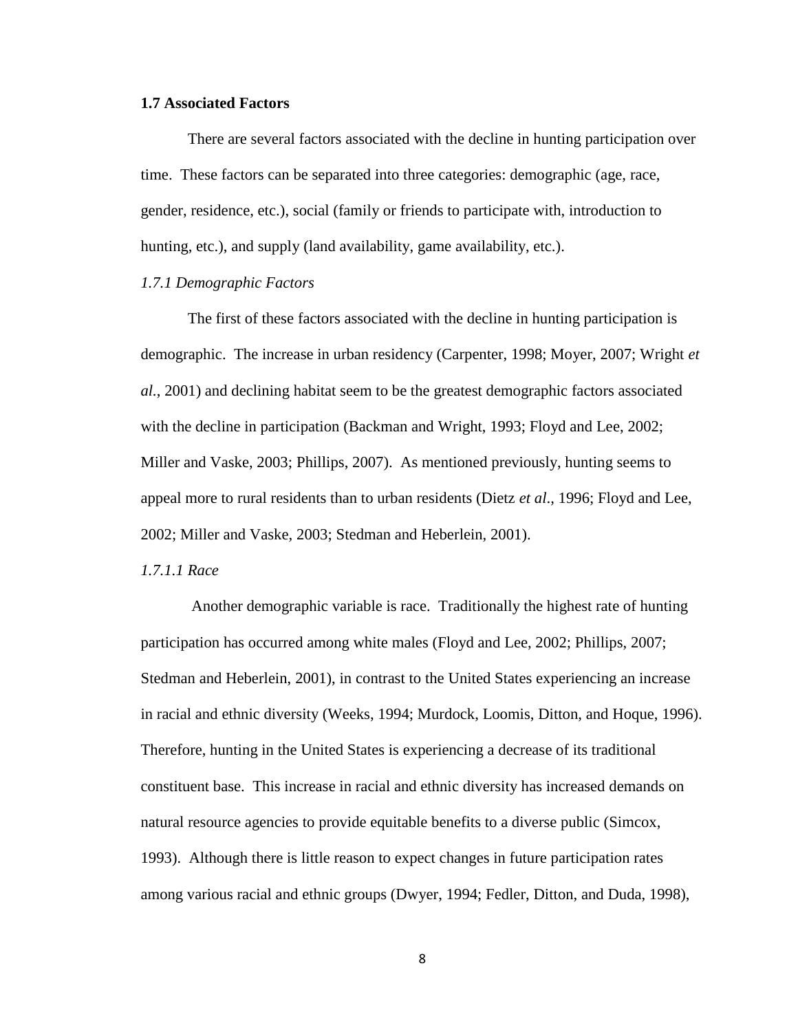#### **1.7 Associated Factors**

There are several factors associated with the decline in hunting participation over time. These factors can be separated into three categories: demographic (age, race, gender, residence, etc.), social (family or friends to participate with, introduction to hunting, etc.), and supply (land availability, game availability, etc.).

#### *1.7.1 Demographic Factors*

The first of these factors associated with the decline in hunting participation is demographic. The increase in urban residency (Carpenter, 1998; Moyer, 2007; Wright *et al.*, 2001) and declining habitat seem to be the greatest demographic factors associated with the decline in participation (Backman and Wright, 1993; Floyd and Lee, 2002; Miller and Vaske, 2003; Phillips, 2007). As mentioned previously, hunting seems to appeal more to rural residents than to urban residents (Dietz *et al*., 1996; Floyd and Lee, 2002; Miller and Vaske, 2003; Stedman and Heberlein, 2001).

#### *1.7.1.1 Race*

Another demographic variable is race. Traditionally the highest rate of hunting participation has occurred among white males (Floyd and Lee, 2002; Phillips, 2007; Stedman and Heberlein, 2001), in contrast to the United States experiencing an increase in racial and ethnic diversity (Weeks, 1994; Murdock, Loomis, Ditton, and Hoque, 1996). Therefore, hunting in the United States is experiencing a decrease of its traditional constituent base. This increase in racial and ethnic diversity has increased demands on natural resource agencies to provide equitable benefits to a diverse public (Simcox, 1993). Although there is little reason to expect changes in future participation rates among various racial and ethnic groups (Dwyer, 1994; Fedler, Ditton, and Duda, 1998),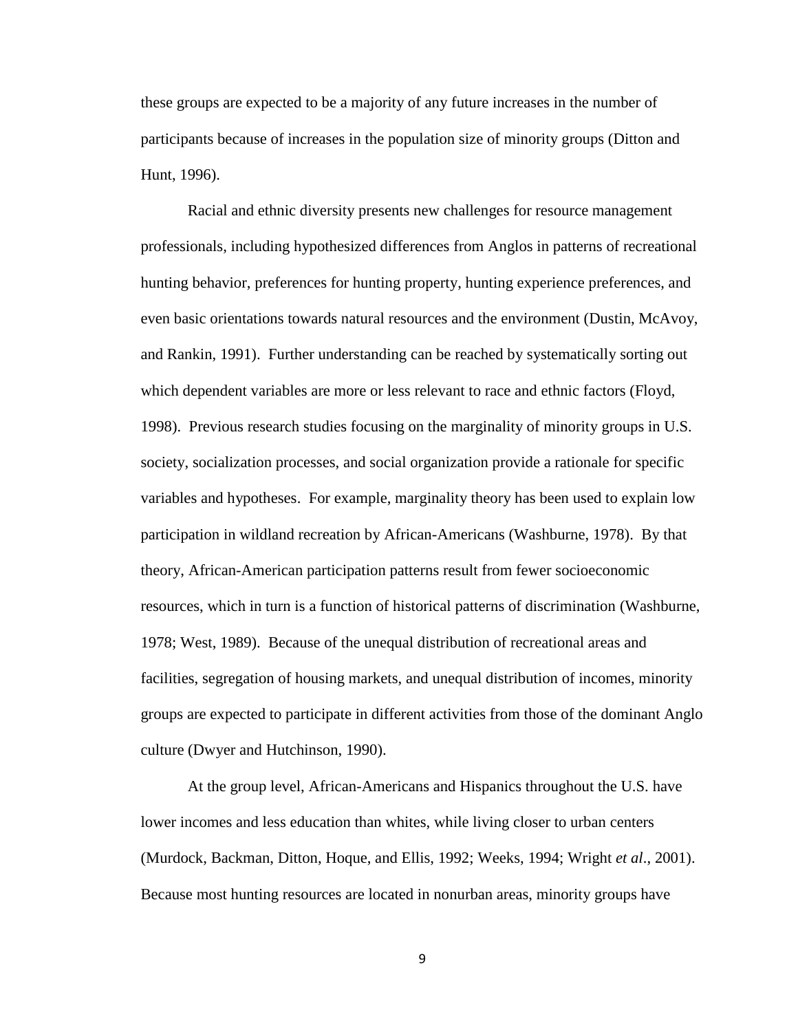these groups are expected to be a majority of any future increases in the number of participants because of increases in the population size of minority groups (Ditton and Hunt, 1996).

Racial and ethnic diversity presents new challenges for resource management professionals, including hypothesized differences from Anglos in patterns of recreational hunting behavior, preferences for hunting property, hunting experience preferences, and even basic orientations towards natural resources and the environment (Dustin, McAvoy, and Rankin, 1991). Further understanding can be reached by systematically sorting out which dependent variables are more or less relevant to race and ethnic factors (Floyd, 1998). Previous research studies focusing on the marginality of minority groups in U.S. society, socialization processes, and social organization provide a rationale for specific variables and hypotheses. For example, marginality theory has been used to explain low participation in wildland recreation by African-Americans (Washburne, 1978). By that theory, African-American participation patterns result from fewer socioeconomic resources, which in turn is a function of historical patterns of discrimination (Washburne, 1978; West, 1989). Because of the unequal distribution of recreational areas and facilities, segregation of housing markets, and unequal distribution of incomes, minority groups are expected to participate in different activities from those of the dominant Anglo culture (Dwyer and Hutchinson, 1990).

At the group level, African-Americans and Hispanics throughout the U.S. have lower incomes and less education than whites, while living closer to urban centers (Murdock, Backman, Ditton, Hoque, and Ellis, 1992; Weeks, 1994; Wright *et al*., 2001). Because most hunting resources are located in nonurban areas, minority groups have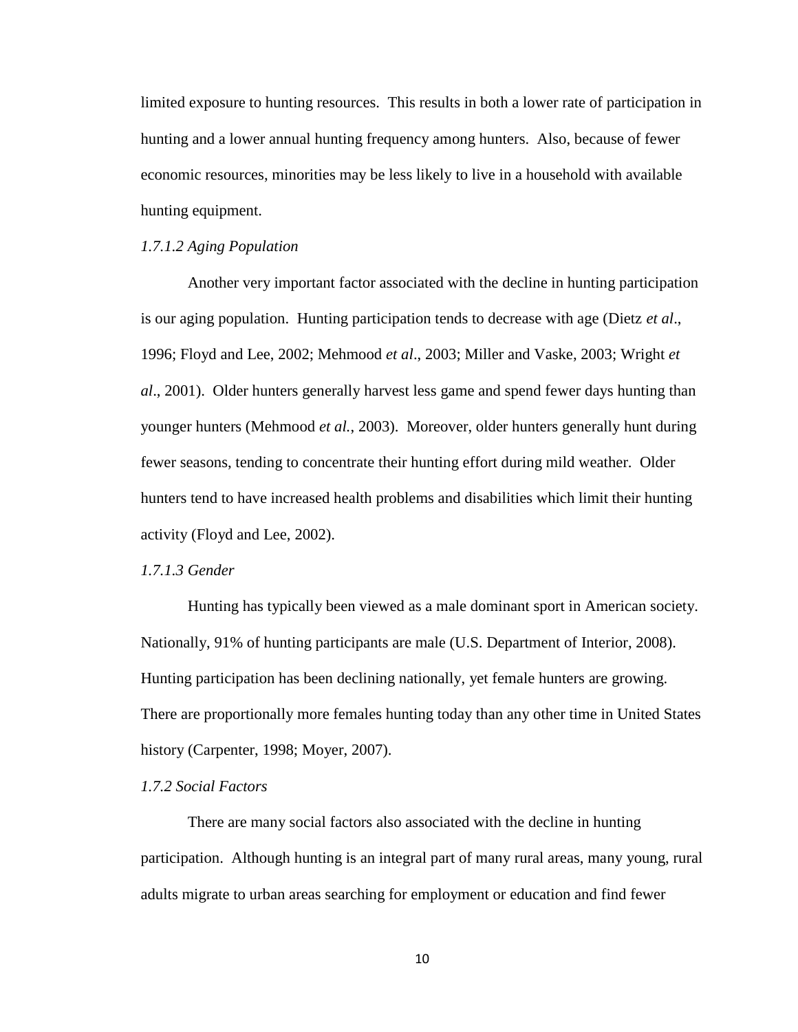limited exposure to hunting resources. This results in both a lower rate of participation in hunting and a lower annual hunting frequency among hunters. Also, because of fewer economic resources, minorities may be less likely to live in a household with available hunting equipment.

#### *1.7.1.2 Aging Population*

Another very important factor associated with the decline in hunting participation is our aging population. Hunting participation tends to decrease with age (Dietz *et al*., 1996; Floyd and Lee, 2002; Mehmood *et al*., 2003; Miller and Vaske, 2003; Wright *et al*., 2001). Older hunters generally harvest less game and spend fewer days hunting than younger hunters (Mehmood *et al.*, 2003). Moreover, older hunters generally hunt during fewer seasons, tending to concentrate their hunting effort during mild weather. Older hunters tend to have increased health problems and disabilities which limit their hunting activity (Floyd and Lee, 2002).

#### *1.7.1.3 Gender*

Hunting has typically been viewed as a male dominant sport in American society. Nationally, 91% of hunting participants are male (U.S. Department of Interior, 2008). Hunting participation has been declining nationally, yet female hunters are growing. There are proportionally more females hunting today than any other time in United States history (Carpenter, 1998; Moyer, 2007).

#### *1.7.2 Social Factors*

There are many social factors also associated with the decline in hunting participation. Although hunting is an integral part of many rural areas, many young, rural adults migrate to urban areas searching for employment or education and find fewer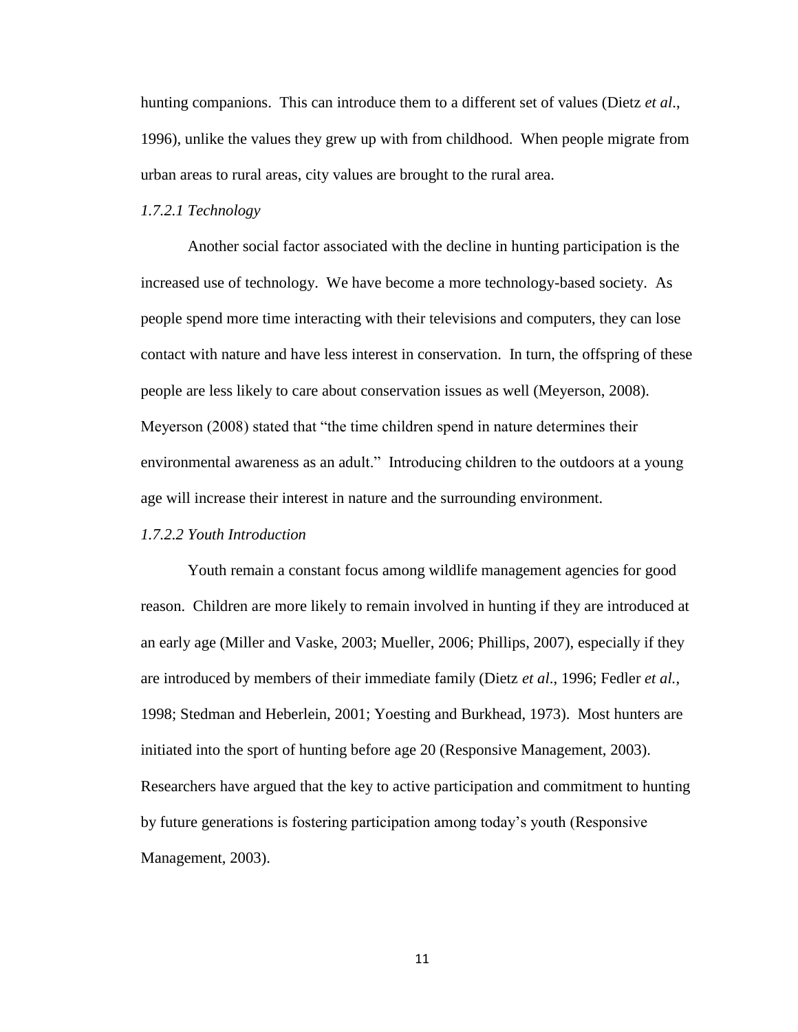hunting companions. This can introduce them to a different set of values (Dietz *et al*., 1996), unlike the values they grew up with from childhood. When people migrate from urban areas to rural areas, city values are brought to the rural area.

#### *1.7.2.1 Technology*

Another social factor associated with the decline in hunting participation is the increased use of technology. We have become a more technology-based society. As people spend more time interacting with their televisions and computers, they can lose contact with nature and have less interest in conservation. In turn, the offspring of these people are less likely to care about conservation issues as well (Meyerson, 2008). Meyerson (2008) stated that "the time children spend in nature determines their environmental awareness as an adult." Introducing children to the outdoors at a young age will increase their interest in nature and the surrounding environment.

#### *1.7.2.2 Youth Introduction*

Youth remain a constant focus among wildlife management agencies for good reason. Children are more likely to remain involved in hunting if they are introduced at an early age (Miller and Vaske, 2003; Mueller, 2006; Phillips, 2007), especially if they are introduced by members of their immediate family (Dietz *et al*., 1996; Fedler *et al.*, 1998; Stedman and Heberlein, 2001; Yoesting and Burkhead, 1973). Most hunters are initiated into the sport of hunting before age 20 (Responsive Management, 2003). Researchers have argued that the key to active participation and commitment to hunting by future generations is fostering participation among today"s youth (Responsive Management, 2003).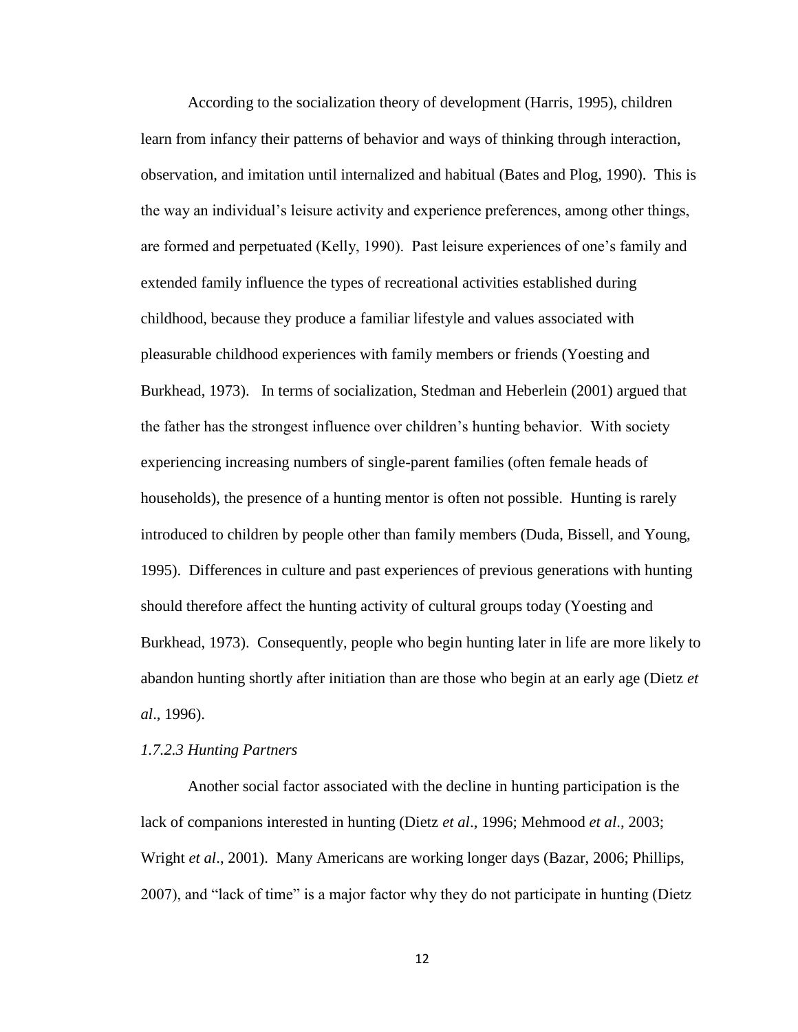According to the socialization theory of development (Harris, 1995), children learn from infancy their patterns of behavior and ways of thinking through interaction, observation, and imitation until internalized and habitual (Bates and Plog, 1990). This is the way an individual"s leisure activity and experience preferences, among other things, are formed and perpetuated (Kelly, 1990). Past leisure experiences of one"s family and extended family influence the types of recreational activities established during childhood, because they produce a familiar lifestyle and values associated with pleasurable childhood experiences with family members or friends (Yoesting and Burkhead, 1973). In terms of socialization, Stedman and Heberlein (2001) argued that the father has the strongest influence over children"s hunting behavior. With society experiencing increasing numbers of single-parent families (often female heads of households), the presence of a hunting mentor is often not possible. Hunting is rarely introduced to children by people other than family members (Duda, Bissell, and Young, 1995). Differences in culture and past experiences of previous generations with hunting should therefore affect the hunting activity of cultural groups today (Yoesting and Burkhead, 1973). Consequently, people who begin hunting later in life are more likely to abandon hunting shortly after initiation than are those who begin at an early age (Dietz *et al*., 1996).

#### *1.7.2.3 Hunting Partners*

Another social factor associated with the decline in hunting participation is the lack of companions interested in hunting (Dietz *et al*., 1996; Mehmood *et al*., 2003; Wright *et al*., 2001). Many Americans are working longer days (Bazar, 2006; Phillips, 2007), and "lack of time" is a major factor why they do not participate in hunting (Dietz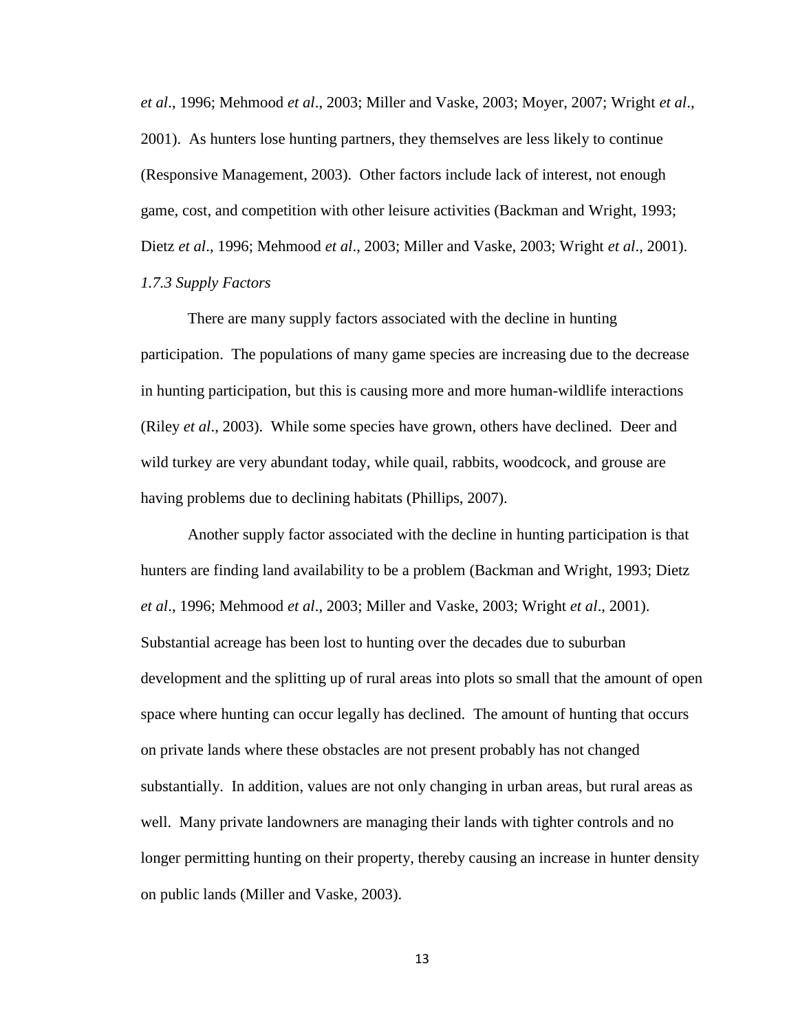*et al*., 1996; Mehmood *et al*., 2003; Miller and Vaske, 2003; Moyer, 2007; Wright *et al*., 2001). As hunters lose hunting partners, they themselves are less likely to continue (Responsive Management, 2003). Other factors include lack of interest, not enough game, cost, and competition with other leisure activities (Backman and Wright, 1993; Dietz *et al*., 1996; Mehmood *et al*., 2003; Miller and Vaske, 2003; Wright *et al*., 2001). *1.7.3 Supply Factors*

There are many supply factors associated with the decline in hunting participation. The populations of many game species are increasing due to the decrease in hunting participation, but this is causing more and more human-wildlife interactions (Riley *et al*., 2003). While some species have grown, others have declined. Deer and wild turkey are very abundant today, while quail, rabbits, woodcock, and grouse are having problems due to declining habitats (Phillips, 2007).

Another supply factor associated with the decline in hunting participation is that hunters are finding land availability to be a problem (Backman and Wright, 1993; Dietz *et al*., 1996; Mehmood *et al*., 2003; Miller and Vaske, 2003; Wright *et al*., 2001). Substantial acreage has been lost to hunting over the decades due to suburban development and the splitting up of rural areas into plots so small that the amount of open space where hunting can occur legally has declined. The amount of hunting that occurs on private lands where these obstacles are not present probably has not changed substantially. In addition, values are not only changing in urban areas, but rural areas as well. Many private landowners are managing their lands with tighter controls and no longer permitting hunting on their property, thereby causing an increase in hunter density on public lands (Miller and Vaske, 2003).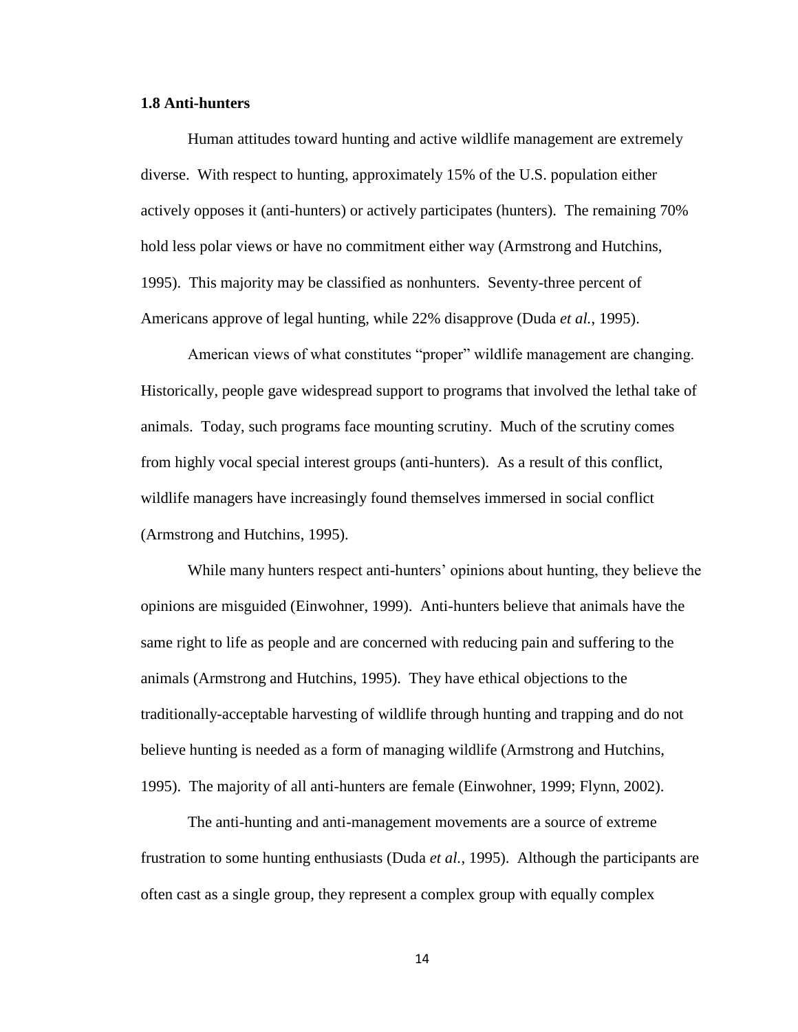#### **1.8 Anti-hunters**

Human attitudes toward hunting and active wildlife management are extremely diverse. With respect to hunting, approximately 15% of the U.S. population either actively opposes it (anti-hunters) or actively participates (hunters). The remaining 70% hold less polar views or have no commitment either way (Armstrong and Hutchins, 1995). This majority may be classified as nonhunters. Seventy-three percent of Americans approve of legal hunting, while 22% disapprove (Duda *et al.*, 1995).

American views of what constitutes "proper" wildlife management are changing. Historically, people gave widespread support to programs that involved the lethal take of animals. Today, such programs face mounting scrutiny. Much of the scrutiny comes from highly vocal special interest groups (anti-hunters). As a result of this conflict, wildlife managers have increasingly found themselves immersed in social conflict (Armstrong and Hutchins, 1995).

While many hunters respect anti-hunters' opinions about hunting, they believe the opinions are misguided (Einwohner, 1999). Anti-hunters believe that animals have the same right to life as people and are concerned with reducing pain and suffering to the animals (Armstrong and Hutchins, 1995). They have ethical objections to the traditionally-acceptable harvesting of wildlife through hunting and trapping and do not believe hunting is needed as a form of managing wildlife (Armstrong and Hutchins, 1995). The majority of all anti-hunters are female (Einwohner, 1999; Flynn, 2002).

The anti-hunting and anti-management movements are a source of extreme frustration to some hunting enthusiasts (Duda *et al.*, 1995). Although the participants are often cast as a single group, they represent a complex group with equally complex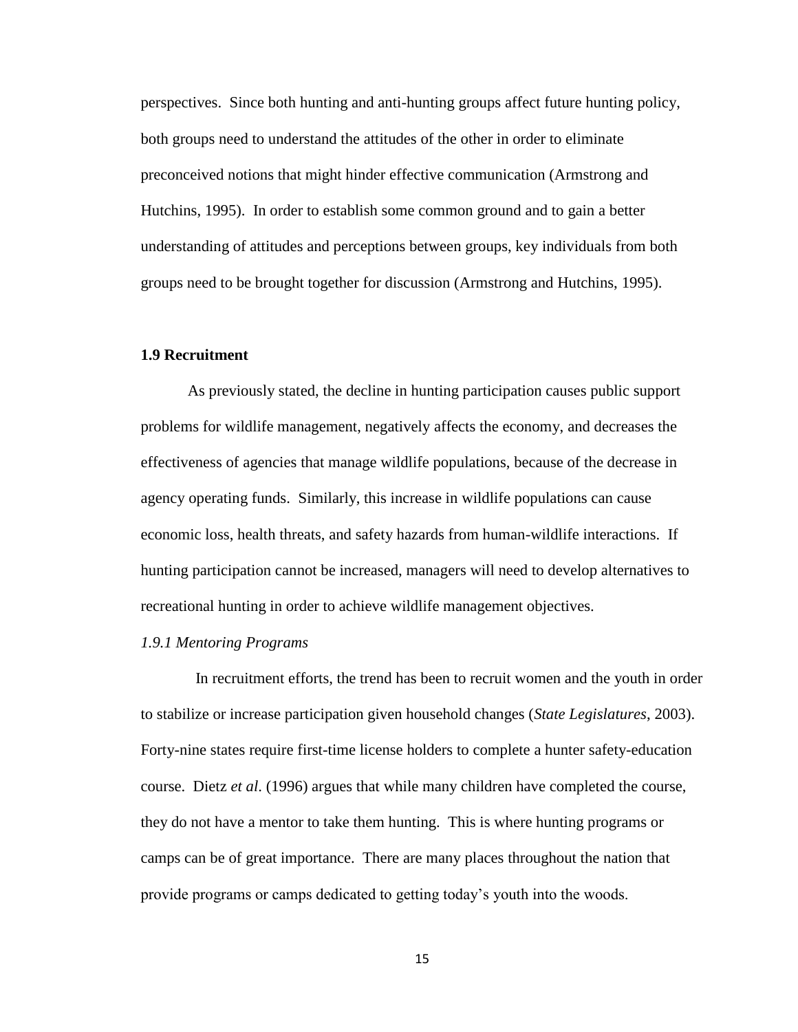perspectives. Since both hunting and anti-hunting groups affect future hunting policy, both groups need to understand the attitudes of the other in order to eliminate preconceived notions that might hinder effective communication (Armstrong and Hutchins, 1995). In order to establish some common ground and to gain a better understanding of attitudes and perceptions between groups, key individuals from both groups need to be brought together for discussion (Armstrong and Hutchins, 1995).

### **1.9 Recruitment**

As previously stated, the decline in hunting participation causes public support problems for wildlife management, negatively affects the economy, and decreases the effectiveness of agencies that manage wildlife populations, because of the decrease in agency operating funds. Similarly, this increase in wildlife populations can cause economic loss, health threats, and safety hazards from human-wildlife interactions. If hunting participation cannot be increased, managers will need to develop alternatives to recreational hunting in order to achieve wildlife management objectives.

#### *1.9.1 Mentoring Programs*

 In recruitment efforts, the trend has been to recruit women and the youth in order to stabilize or increase participation given household changes (*State Legislatures*, 2003). Forty-nine states require first-time license holders to complete a hunter safety-education course. Dietz *et al*. (1996) argues that while many children have completed the course, they do not have a mentor to take them hunting. This is where hunting programs or camps can be of great importance. There are many places throughout the nation that provide programs or camps dedicated to getting today"s youth into the woods.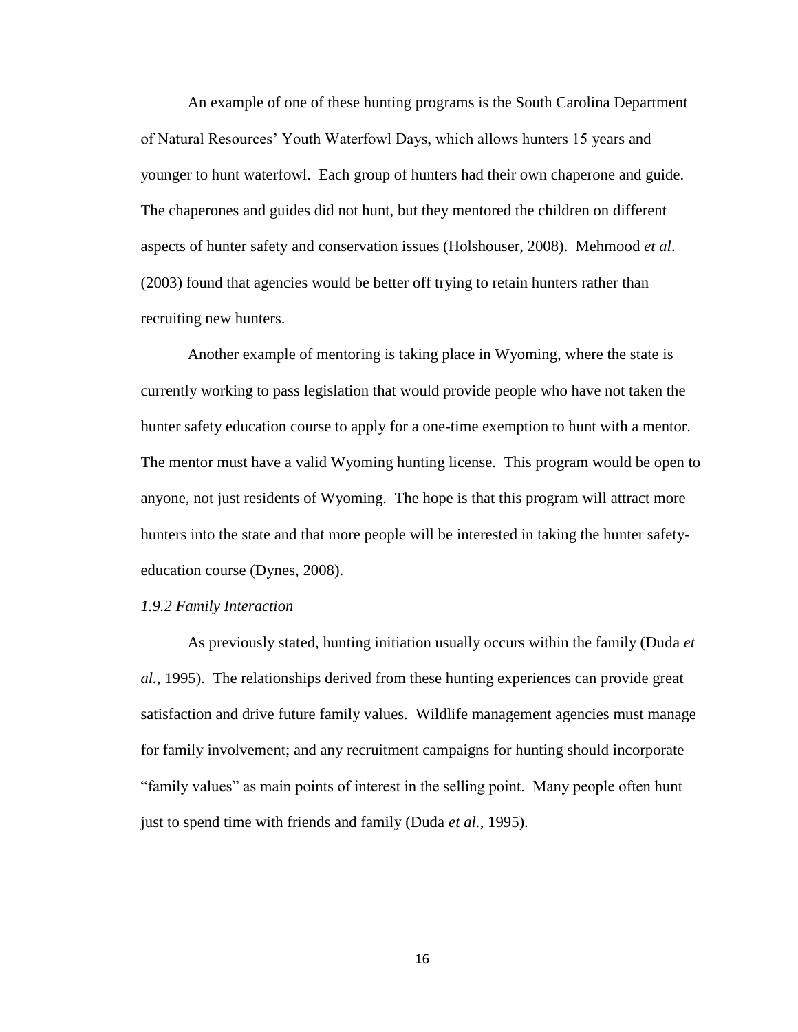An example of one of these hunting programs is the South Carolina Department of Natural Resources" Youth Waterfowl Days, which allows hunters 15 years and younger to hunt waterfowl. Each group of hunters had their own chaperone and guide. The chaperones and guides did not hunt, but they mentored the children on different aspects of hunter safety and conservation issues (Holshouser, 2008). Mehmood *et al*. (2003) found that agencies would be better off trying to retain hunters rather than recruiting new hunters.

Another example of mentoring is taking place in Wyoming, where the state is currently working to pass legislation that would provide people who have not taken the hunter safety education course to apply for a one-time exemption to hunt with a mentor. The mentor must have a valid Wyoming hunting license. This program would be open to anyone, not just residents of Wyoming. The hope is that this program will attract more hunters into the state and that more people will be interested in taking the hunter safetyeducation course (Dynes, 2008).

#### *1.9.2 Family Interaction*

As previously stated, hunting initiation usually occurs within the family (Duda *et al.*, 1995). The relationships derived from these hunting experiences can provide great satisfaction and drive future family values. Wildlife management agencies must manage for family involvement; and any recruitment campaigns for hunting should incorporate "family values" as main points of interest in the selling point. Many people often hunt just to spend time with friends and family (Duda *et al.*, 1995).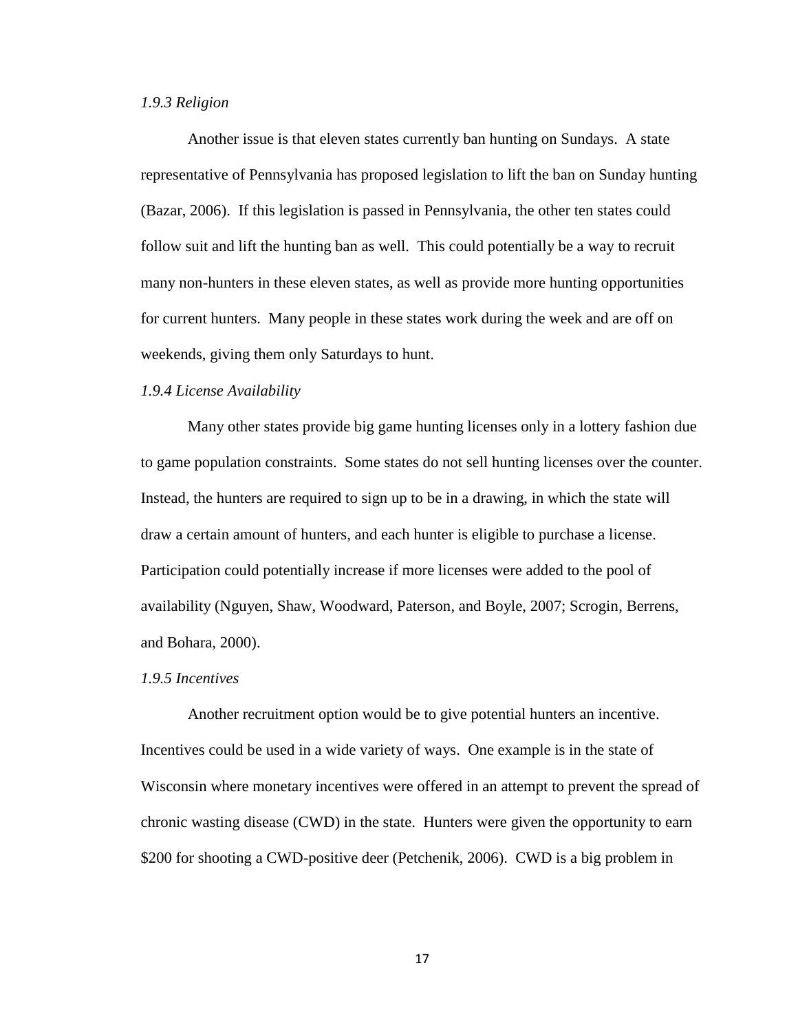#### *1.9.3 Religion*

Another issue is that eleven states currently ban hunting on Sundays. A state representative of Pennsylvania has proposed legislation to lift the ban on Sunday hunting (Bazar, 2006). If this legislation is passed in Pennsylvania, the other ten states could follow suit and lift the hunting ban as well. This could potentially be a way to recruit many non-hunters in these eleven states, as well as provide more hunting opportunities for current hunters. Many people in these states work during the week and are off on weekends, giving them only Saturdays to hunt.

#### *1.9.4 License Availability*

Many other states provide big game hunting licenses only in a lottery fashion due to game population constraints. Some states do not sell hunting licenses over the counter. Instead, the hunters are required to sign up to be in a drawing, in which the state will draw a certain amount of hunters, and each hunter is eligible to purchase a license. Participation could potentially increase if more licenses were added to the pool of availability (Nguyen, Shaw, Woodward, Paterson, and Boyle, 2007; Scrogin, Berrens, and Bohara, 2000).

#### *1.9.5 Incentives*

Another recruitment option would be to give potential hunters an incentive. Incentives could be used in a wide variety of ways. One example is in the state of Wisconsin where monetary incentives were offered in an attempt to prevent the spread of chronic wasting disease (CWD) in the state. Hunters were given the opportunity to earn \$200 for shooting a CWD-positive deer (Petchenik, 2006). CWD is a big problem in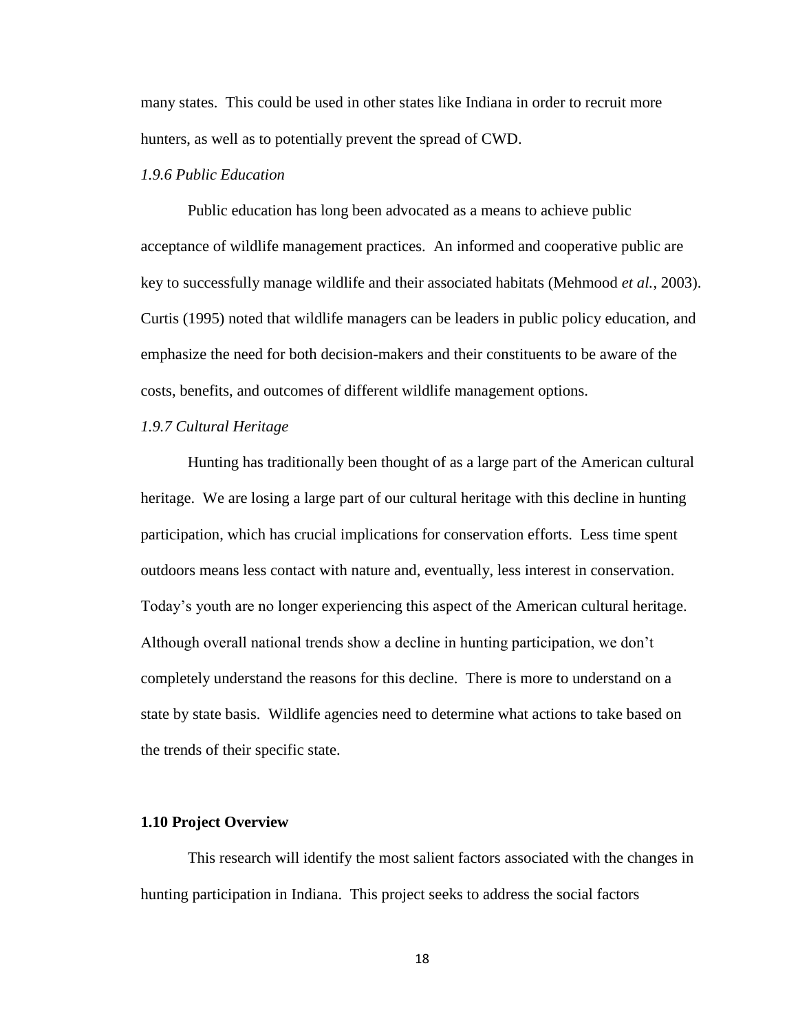many states. This could be used in other states like Indiana in order to recruit more hunters, as well as to potentially prevent the spread of CWD.

#### *1.9.6 Public Education*

Public education has long been advocated as a means to achieve public acceptance of wildlife management practices. An informed and cooperative public are key to successfully manage wildlife and their associated habitats (Mehmood *et al.*, 2003). Curtis (1995) noted that wildlife managers can be leaders in public policy education, and emphasize the need for both decision-makers and their constituents to be aware of the costs, benefits, and outcomes of different wildlife management options.

#### *1.9.7 Cultural Heritage*

Hunting has traditionally been thought of as a large part of the American cultural heritage. We are losing a large part of our cultural heritage with this decline in hunting participation, which has crucial implications for conservation efforts. Less time spent outdoors means less contact with nature and, eventually, less interest in conservation. Today"s youth are no longer experiencing this aspect of the American cultural heritage. Although overall national trends show a decline in hunting participation, we don"t completely understand the reasons for this decline. There is more to understand on a state by state basis. Wildlife agencies need to determine what actions to take based on the trends of their specific state.

#### **1.10 Project Overview**

This research will identify the most salient factors associated with the changes in hunting participation in Indiana. This project seeks to address the social factors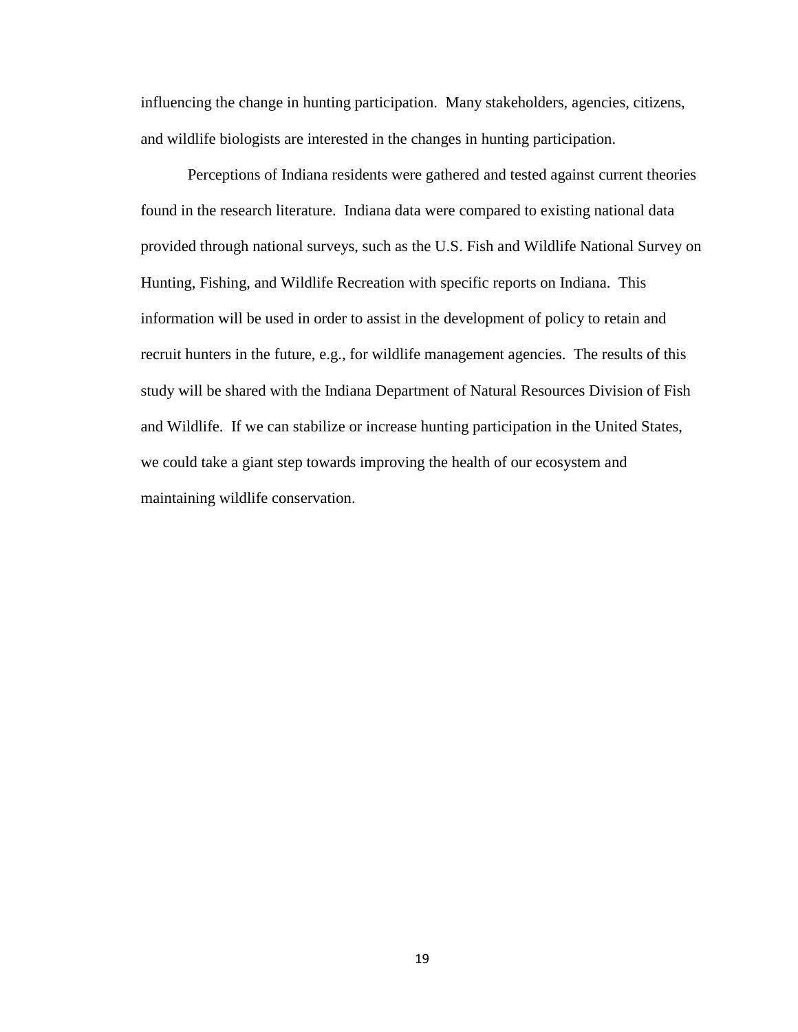influencing the change in hunting participation. Many stakeholders, agencies, citizens, and wildlife biologists are interested in the changes in hunting participation.

Perceptions of Indiana residents were gathered and tested against current theories found in the research literature. Indiana data were compared to existing national data provided through national surveys, such as the U.S. Fish and Wildlife National Survey on Hunting, Fishing, and Wildlife Recreation with specific reports on Indiana. This information will be used in order to assist in the development of policy to retain and recruit hunters in the future, e.g., for wildlife management agencies. The results of this study will be shared with the Indiana Department of Natural Resources Division of Fish and Wildlife. If we can stabilize or increase hunting participation in the United States, we could take a giant step towards improving the health of our ecosystem and maintaining wildlife conservation.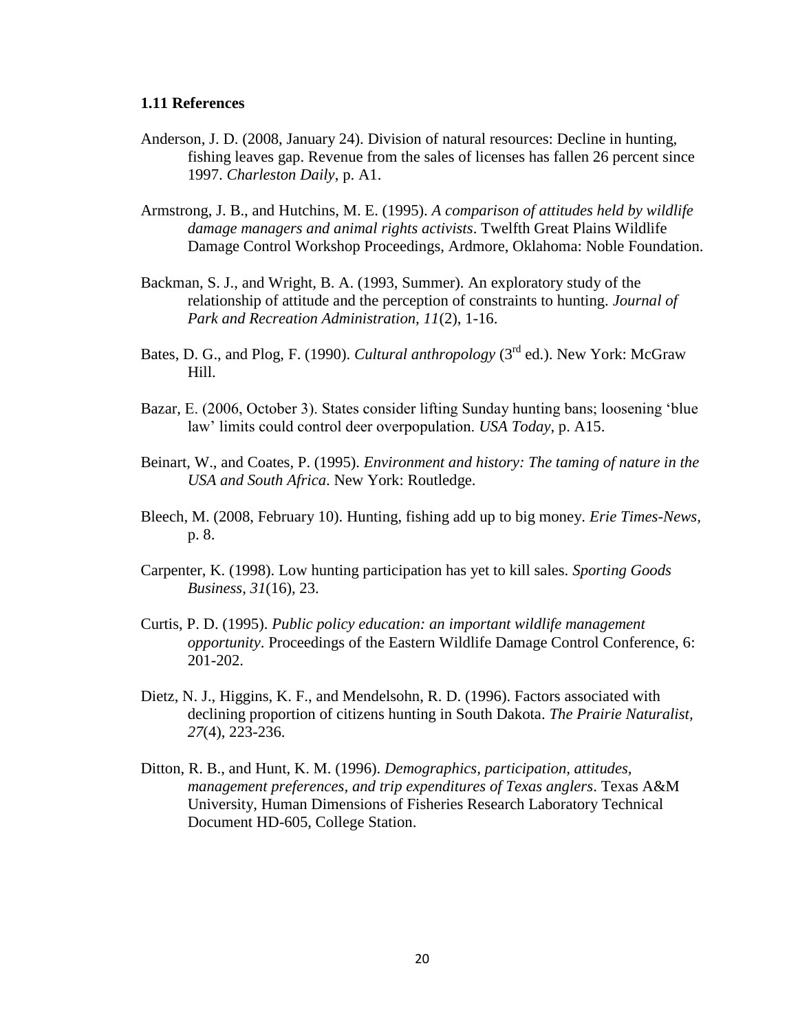#### **1.11 References**

- Anderson, J. D. (2008, January 24). Division of natural resources: Decline in hunting, fishing leaves gap. Revenue from the sales of licenses has fallen 26 percent since 1997. *Charleston Daily*, p. A1.
- Armstrong, J. B., and Hutchins, M. E. (1995). *A comparison of attitudes held by wildlife damage managers and animal rights activists*. Twelfth Great Plains Wildlife Damage Control Workshop Proceedings, Ardmore, Oklahoma: Noble Foundation.
- Backman, S. J., and Wright, B. A. (1993, Summer). An exploratory study of the relationship of attitude and the perception of constraints to hunting. *Journal of Park and Recreation Administration, 11*(2), 1-16.
- Bates, D. G., and Plog, F. (1990). *Cultural anthropology* (3rd ed.). New York: McGraw Hill.
- Bazar, E. (2006, October 3). States consider lifting Sunday hunting bans; loosening "blue law" limits could control deer overpopulation. *USA Today*, p. A15.
- Beinart, W., and Coates, P. (1995). *Environment and history: The taming of nature in the USA and South Africa*. New York: Routledge.
- Bleech, M. (2008, February 10). Hunting, fishing add up to big money. *Erie Times-News,*  p. 8.
- Carpenter, K. (1998). Low hunting participation has yet to kill sales. *Sporting Goods Business, 31*(16), 23.
- Curtis, P. D. (1995). *Public policy education: an important wildlife management opportunity*. Proceedings of the Eastern Wildlife Damage Control Conference, 6: 201-202.
- Dietz, N. J., Higgins, K. F., and Mendelsohn, R. D. (1996). Factors associated with declining proportion of citizens hunting in South Dakota. *The Prairie Naturalist, 27*(4), 223-236.
- Ditton, R. B., and Hunt, K. M. (1996). *Demographics, participation, attitudes, management preferences, and trip expenditures of Texas anglers*. Texas A&M University, Human Dimensions of Fisheries Research Laboratory Technical Document HD-605, College Station.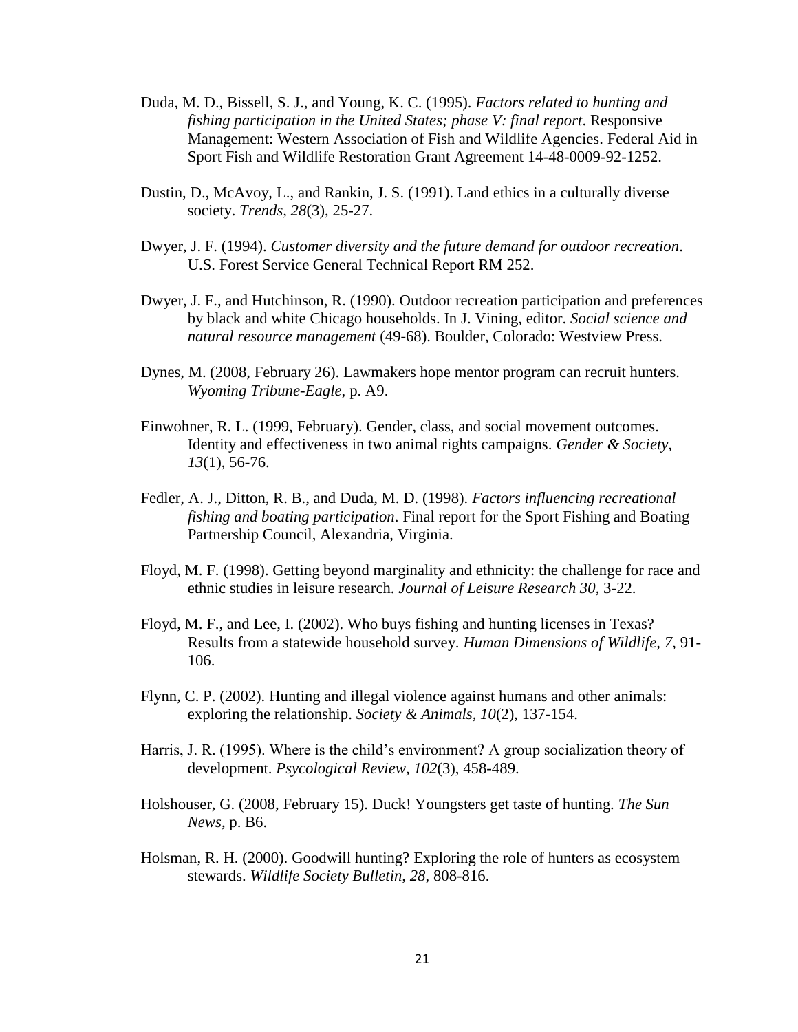- Duda, M. D., Bissell, S. J., and Young, K. C. (1995). *Factors related to hunting and fishing participation in the United States; phase V: final report*. Responsive Management: Western Association of Fish and Wildlife Agencies. Federal Aid in Sport Fish and Wildlife Restoration Grant Agreement 14-48-0009-92-1252.
- Dustin, D., McAvoy, L., and Rankin, J. S. (1991). Land ethics in a culturally diverse society. *Trends, 28*(3), 25-27.
- Dwyer, J. F. (1994). *Customer diversity and the future demand for outdoor recreation*. U.S. Forest Service General Technical Report RM 252.
- Dwyer, J. F., and Hutchinson, R. (1990). Outdoor recreation participation and preferences by black and white Chicago households. In J. Vining, editor. *Social science and natural resource management* (49-68). Boulder, Colorado: Westview Press.
- Dynes, M. (2008, February 26). Lawmakers hope mentor program can recruit hunters. *Wyoming Tribune-Eagle*, p. A9.
- Einwohner, R. L. (1999, February). Gender, class, and social movement outcomes. Identity and effectiveness in two animal rights campaigns. *Gender & Society, 13*(1), 56-76.
- Fedler, A. J., Ditton, R. B., and Duda, M. D. (1998). *Factors influencing recreational fishing and boating participation*. Final report for the Sport Fishing and Boating Partnership Council, Alexandria, Virginia.
- Floyd, M. F. (1998). Getting beyond marginality and ethnicity: the challenge for race and ethnic studies in leisure research. *Journal of Leisure Research 30*, 3-22.
- Floyd, M. F., and Lee, I. (2002). Who buys fishing and hunting licenses in Texas? Results from a statewide household survey. *Human Dimensions of Wildlife, 7*, 91- 106.
- Flynn, C. P. (2002). Hunting and illegal violence against humans and other animals: exploring the relationship. *Society & Animals, 10*(2), 137-154.
- Harris, J. R. (1995). Where is the child's environment? A group socialization theory of development. *Psycological Review, 102*(3), 458-489.
- Holshouser, G. (2008, February 15). Duck! Youngsters get taste of hunting. *The Sun News*, p. B6.
- Holsman, R. H. (2000). Goodwill hunting? Exploring the role of hunters as ecosystem stewards. *Wildlife Society Bulletin, 28*, 808-816.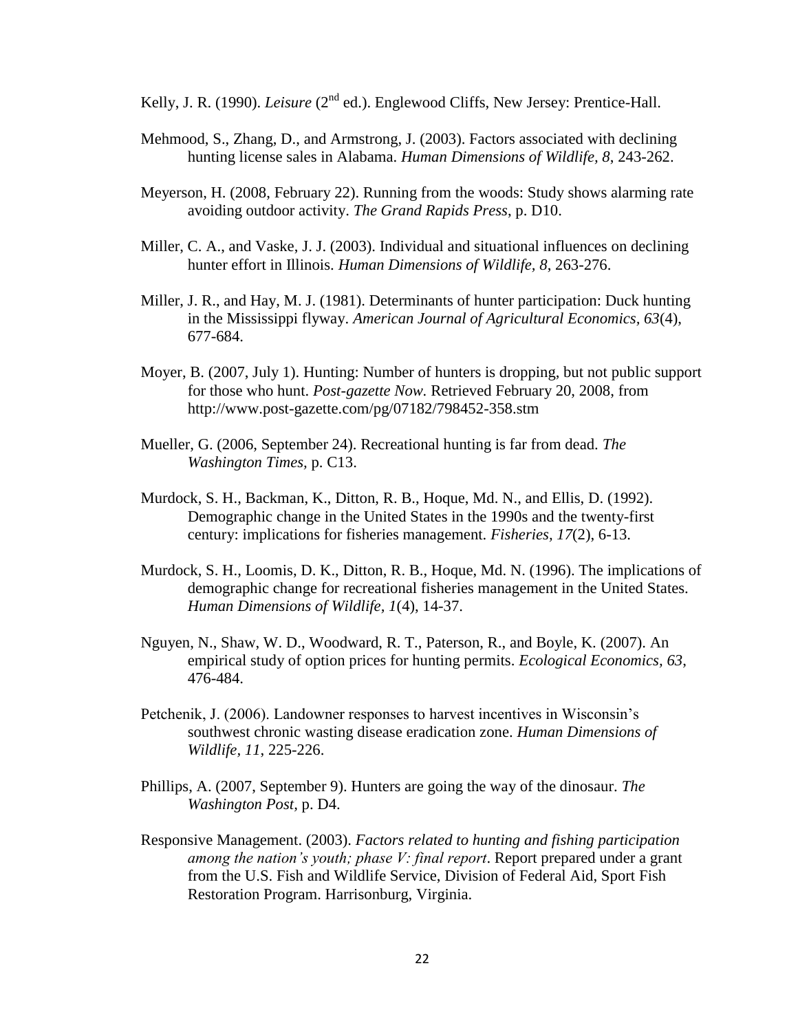Kelly, J. R. (1990). *Leisure* (2<sup>nd</sup> ed.). Englewood Cliffs, New Jersey: Prentice-Hall.

- Mehmood, S., Zhang, D., and Armstrong, J. (2003). Factors associated with declining hunting license sales in Alabama. *Human Dimensions of Wildlife, 8*, 243-262.
- Meyerson, H. (2008, February 22). Running from the woods: Study shows alarming rate avoiding outdoor activity. *The Grand Rapids Press*, p. D10.
- Miller, C. A., and Vaske, J. J. (2003). Individual and situational influences on declining hunter effort in Illinois. *Human Dimensions of Wildlife, 8*, 263-276.
- Miller, J. R., and Hay, M. J. (1981). Determinants of hunter participation: Duck hunting in the Mississippi flyway. *American Journal of Agricultural Economics, 63*(4), 677-684.
- Moyer, B. (2007, July 1). Hunting: Number of hunters is dropping, but not public support for those who hunt. *Post-gazette Now.* Retrieved February 20, 2008, from http://www.post-gazette.com/pg/07182/798452-358.stm
- Mueller, G. (2006, September 24). Recreational hunting is far from dead. *The Washington Times,* p. C13.
- Murdock, S. H., Backman, K., Ditton, R. B., Hoque, Md. N., and Ellis, D. (1992). Demographic change in the United States in the 1990s and the twenty-first century: implications for fisheries management. *Fisheries, 17*(2), 6-13.
- Murdock, S. H., Loomis, D. K., Ditton, R. B., Hoque, Md. N. (1996). The implications of demographic change for recreational fisheries management in the United States. *Human Dimensions of Wildlife, 1*(4), 14-37.
- Nguyen, N., Shaw, W. D., Woodward, R. T., Paterson, R., and Boyle, K. (2007). An empirical study of option prices for hunting permits. *Ecological Economics, 63*, 476-484.
- Petchenik, J. (2006). Landowner responses to harvest incentives in Wisconsin"s southwest chronic wasting disease eradication zone. *Human Dimensions of Wildlife, 11*, 225-226.
- Phillips, A. (2007, September 9). Hunters are going the way of the dinosaur. *The Washington Post,* p. D4.
- Responsive Management. (2003). *Factors related to hunting and fishing participation among the nation's youth; phase V: final report*. Report prepared under a grant from the U.S. Fish and Wildlife Service, Division of Federal Aid, Sport Fish Restoration Program. Harrisonburg, Virginia.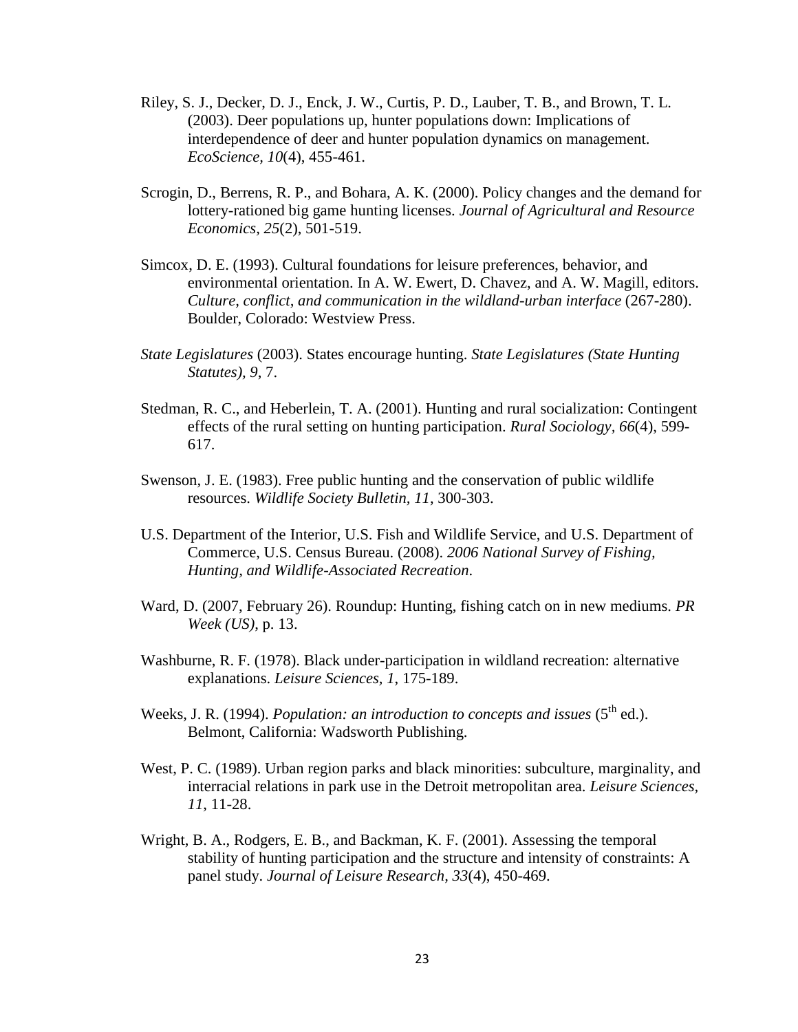- Riley, S. J., Decker, D. J., Enck, J. W., Curtis, P. D., Lauber, T. B., and Brown, T. L. (2003). Deer populations up, hunter populations down: Implications of interdependence of deer and hunter population dynamics on management. *EcoScience, 10*(4), 455-461.
- Scrogin, D., Berrens, R. P., and Bohara, A. K. (2000). Policy changes and the demand for lottery-rationed big game hunting licenses. *Journal of Agricultural and Resource Economics, 25*(2), 501-519.
- Simcox, D. E. (1993). Cultural foundations for leisure preferences, behavior, and environmental orientation. In A. W. Ewert, D. Chavez, and A. W. Magill, editors. *Culture, conflict, and communication in the wildland-urban interface* (267-280). Boulder, Colorado: Westview Press.
- *State Legislatures* (2003). States encourage hunting. *State Legislatures (State Hunting Statutes), 9*, 7.
- Stedman, R. C., and Heberlein, T. A. (2001). Hunting and rural socialization: Contingent effects of the rural setting on hunting participation. *Rural Sociology, 66*(4), 599- 617.
- Swenson, J. E. (1983). Free public hunting and the conservation of public wildlife resources. *Wildlife Society Bulletin, 11*, 300-303.
- U.S. Department of the Interior, U.S. Fish and Wildlife Service, and U.S. Department of Commerce, U.S. Census Bureau. (2008). *2006 National Survey of Fishing, Hunting, and Wildlife-Associated Recreation*.
- Ward, D. (2007, February 26). Roundup: Hunting, fishing catch on in new mediums. *PR Week (US)*, p. 13.
- Washburne, R. F. (1978). Black under-participation in wildland recreation: alternative explanations. *Leisure Sciences, 1*, 175-189.
- Weeks, J. R. (1994). *Population: an introduction to concepts and issues*  $(5^{th}$  ed.). Belmont, California: Wadsworth Publishing.
- West, P. C. (1989). Urban region parks and black minorities: subculture, marginality, and interracial relations in park use in the Detroit metropolitan area. *Leisure Sciences, 11*, 11-28.
- Wright, B. A., Rodgers, E. B., and Backman, K. F. (2001). Assessing the temporal stability of hunting participation and the structure and intensity of constraints: A panel study. *Journal of Leisure Research, 33*(4), 450-469.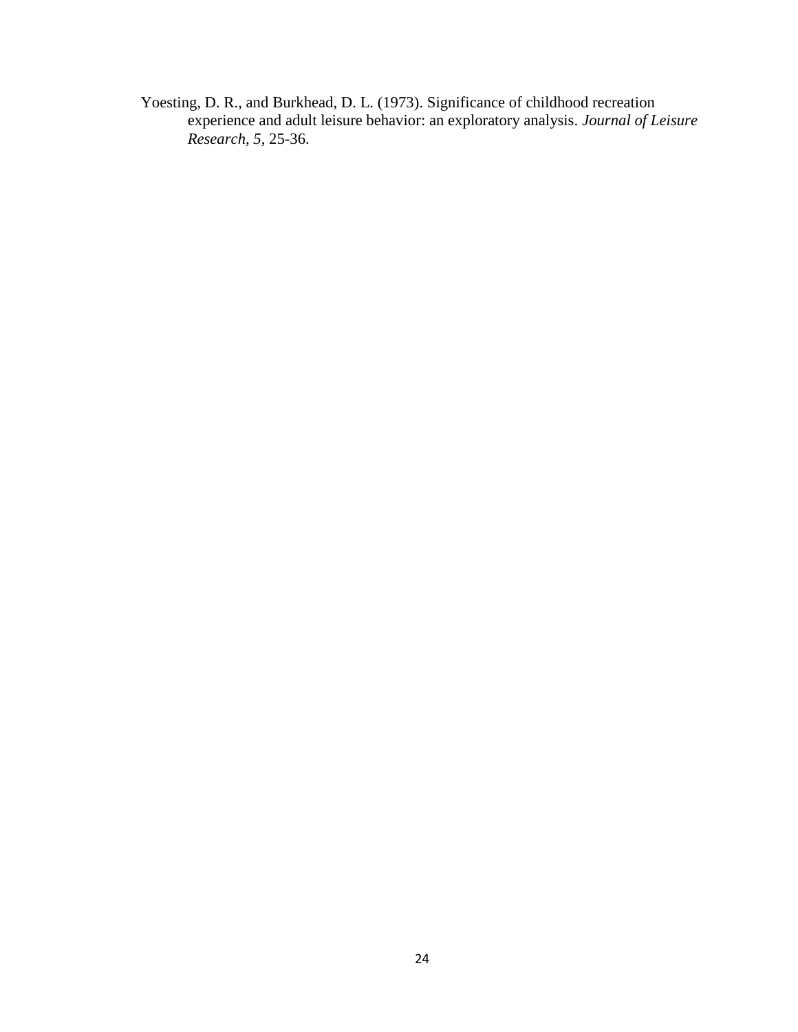Yoesting, D. R., and Burkhead, D. L. (1973). Significance of childhood recreation experience and adult leisure behavior: an exploratory analysis. *Journal of Leisure Research, 5*, 25-36.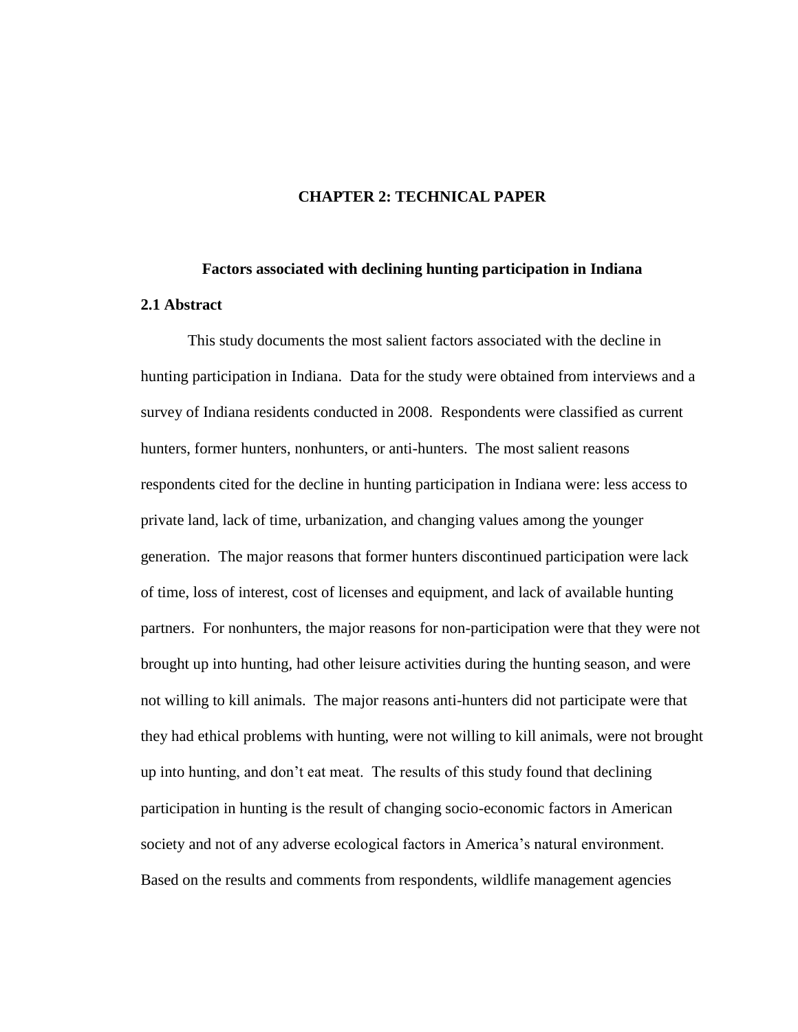#### **CHAPTER 2: TECHNICAL PAPER**

# **Factors associated with declining hunting participation in Indiana 2.1 Abstract**

This study documents the most salient factors associated with the decline in hunting participation in Indiana. Data for the study were obtained from interviews and a survey of Indiana residents conducted in 2008. Respondents were classified as current hunters, former hunters, nonhunters, or anti-hunters. The most salient reasons respondents cited for the decline in hunting participation in Indiana were: less access to private land, lack of time, urbanization, and changing values among the younger generation. The major reasons that former hunters discontinued participation were lack of time, loss of interest, cost of licenses and equipment, and lack of available hunting partners. For nonhunters, the major reasons for non-participation were that they were not brought up into hunting, had other leisure activities during the hunting season, and were not willing to kill animals. The major reasons anti-hunters did not participate were that they had ethical problems with hunting, were not willing to kill animals, were not brought up into hunting, and don"t eat meat. The results of this study found that declining participation in hunting is the result of changing socio-economic factors in American society and not of any adverse ecological factors in America's natural environment. Based on the results and comments from respondents, wildlife management agencies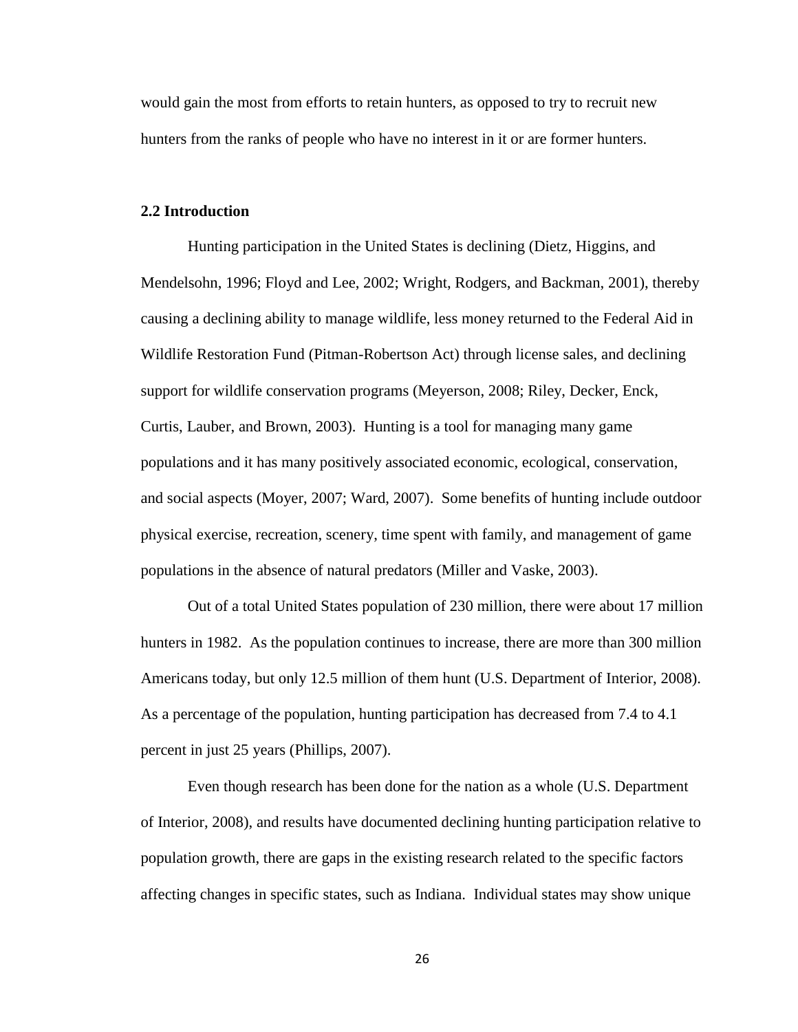would gain the most from efforts to retain hunters, as opposed to try to recruit new hunters from the ranks of people who have no interest in it or are former hunters.

#### **2.2 Introduction**

Hunting participation in the United States is declining (Dietz, Higgins, and Mendelsohn, 1996; Floyd and Lee, 2002; Wright, Rodgers, and Backman, 2001), thereby causing a declining ability to manage wildlife, less money returned to the Federal Aid in Wildlife Restoration Fund (Pitman-Robertson Act) through license sales, and declining support for wildlife conservation programs (Meyerson, 2008; Riley, Decker, Enck, Curtis, Lauber, and Brown, 2003). Hunting is a tool for managing many game populations and it has many positively associated economic, ecological, conservation, and social aspects (Moyer, 2007; Ward, 2007). Some benefits of hunting include outdoor physical exercise, recreation, scenery, time spent with family, and management of game populations in the absence of natural predators (Miller and Vaske, 2003).

Out of a total United States population of 230 million, there were about 17 million hunters in 1982. As the population continues to increase, there are more than 300 million Americans today, but only 12.5 million of them hunt (U.S. Department of Interior, 2008). As a percentage of the population, hunting participation has decreased from 7.4 to 4.1 percent in just 25 years (Phillips, 2007).

Even though research has been done for the nation as a whole (U.S. Department of Interior, 2008), and results have documented declining hunting participation relative to population growth, there are gaps in the existing research related to the specific factors affecting changes in specific states, such as Indiana. Individual states may show unique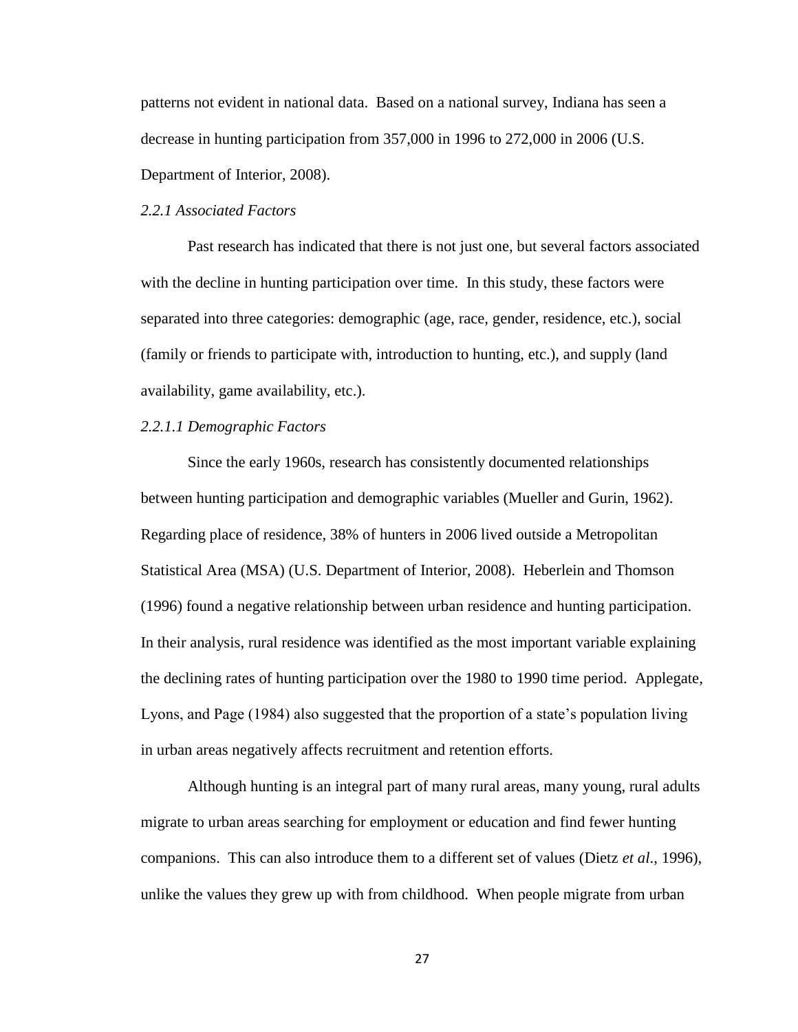patterns not evident in national data. Based on a national survey, Indiana has seen a decrease in hunting participation from 357,000 in 1996 to 272,000 in 2006 (U.S. Department of Interior, 2008).

### *2.2.1 Associated Factors*

Past research has indicated that there is not just one, but several factors associated with the decline in hunting participation over time. In this study, these factors were separated into three categories: demographic (age, race, gender, residence, etc.), social (family or friends to participate with, introduction to hunting, etc.), and supply (land availability, game availability, etc.).

### *2.2.1.1 Demographic Factors*

Since the early 1960s, research has consistently documented relationships between hunting participation and demographic variables (Mueller and Gurin, 1962). Regarding place of residence, 38% of hunters in 2006 lived outside a Metropolitan Statistical Area (MSA) (U.S. Department of Interior, 2008). Heberlein and Thomson (1996) found a negative relationship between urban residence and hunting participation. In their analysis, rural residence was identified as the most important variable explaining the declining rates of hunting participation over the 1980 to 1990 time period. Applegate, Lyons, and Page (1984) also suggested that the proportion of a state"s population living in urban areas negatively affects recruitment and retention efforts.

Although hunting is an integral part of many rural areas, many young, rural adults migrate to urban areas searching for employment or education and find fewer hunting companions. This can also introduce them to a different set of values (Dietz *et al*., 1996), unlike the values they grew up with from childhood. When people migrate from urban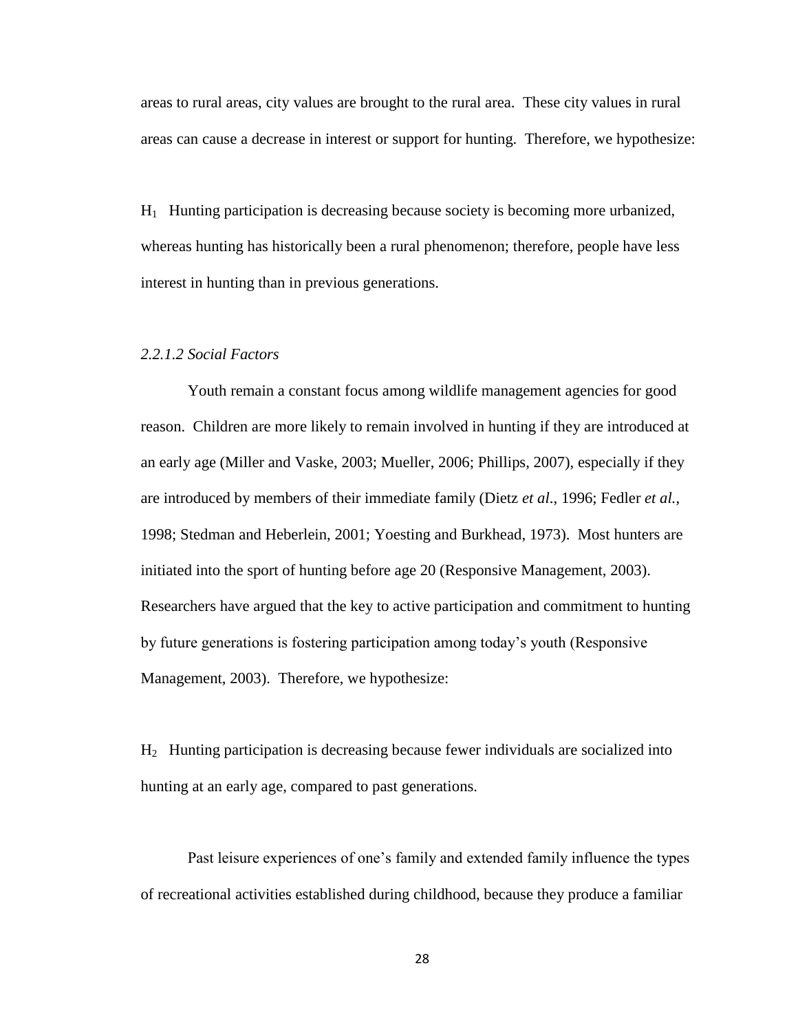areas to rural areas, city values are brought to the rural area. These city values in rural areas can cause a decrease in interest or support for hunting. Therefore, we hypothesize:

 $H_1$  Hunting participation is decreasing because society is becoming more urbanized, whereas hunting has historically been a rural phenomenon; therefore, people have less interest in hunting than in previous generations.

# *2.2.1.2 Social Factors*

Youth remain a constant focus among wildlife management agencies for good reason. Children are more likely to remain involved in hunting if they are introduced at an early age (Miller and Vaske, 2003; Mueller, 2006; Phillips, 2007), especially if they are introduced by members of their immediate family (Dietz *et al*., 1996; Fedler *et al.*, 1998; Stedman and Heberlein, 2001; Yoesting and Burkhead, 1973). Most hunters are initiated into the sport of hunting before age 20 (Responsive Management, 2003). Researchers have argued that the key to active participation and commitment to hunting by future generations is fostering participation among today"s youth (Responsive Management, 2003). Therefore, we hypothesize:

H2 Hunting participation is decreasing because fewer individuals are socialized into hunting at an early age, compared to past generations.

Past leisure experiences of one"s family and extended family influence the types of recreational activities established during childhood, because they produce a familiar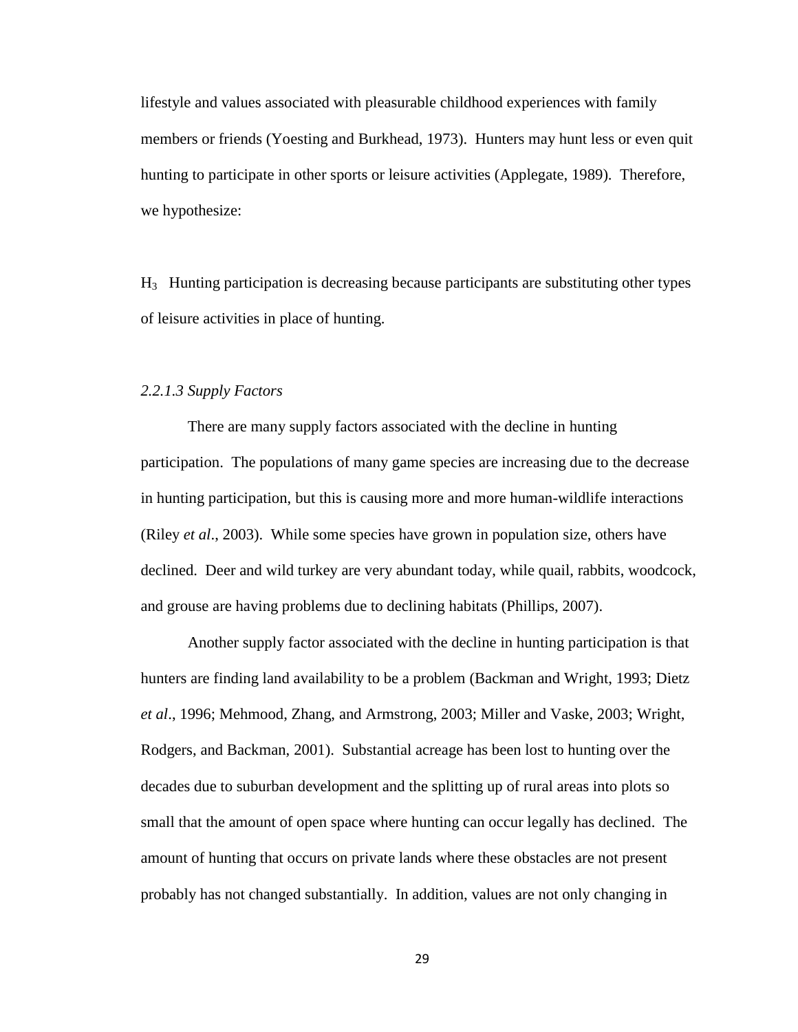lifestyle and values associated with pleasurable childhood experiences with family members or friends (Yoesting and Burkhead, 1973). Hunters may hunt less or even quit hunting to participate in other sports or leisure activities (Applegate, 1989). Therefore, we hypothesize:

H3 Hunting participation is decreasing because participants are substituting other types of leisure activities in place of hunting.

# *2.2.1.3 Supply Factors*

There are many supply factors associated with the decline in hunting participation. The populations of many game species are increasing due to the decrease in hunting participation, but this is causing more and more human-wildlife interactions (Riley *et al*., 2003). While some species have grown in population size, others have declined. Deer and wild turkey are very abundant today, while quail, rabbits, woodcock, and grouse are having problems due to declining habitats (Phillips, 2007).

Another supply factor associated with the decline in hunting participation is that hunters are finding land availability to be a problem (Backman and Wright, 1993; Dietz *et al*., 1996; Mehmood, Zhang, and Armstrong, 2003; Miller and Vaske, 2003; Wright, Rodgers, and Backman, 2001). Substantial acreage has been lost to hunting over the decades due to suburban development and the splitting up of rural areas into plots so small that the amount of open space where hunting can occur legally has declined. The amount of hunting that occurs on private lands where these obstacles are not present probably has not changed substantially. In addition, values are not only changing in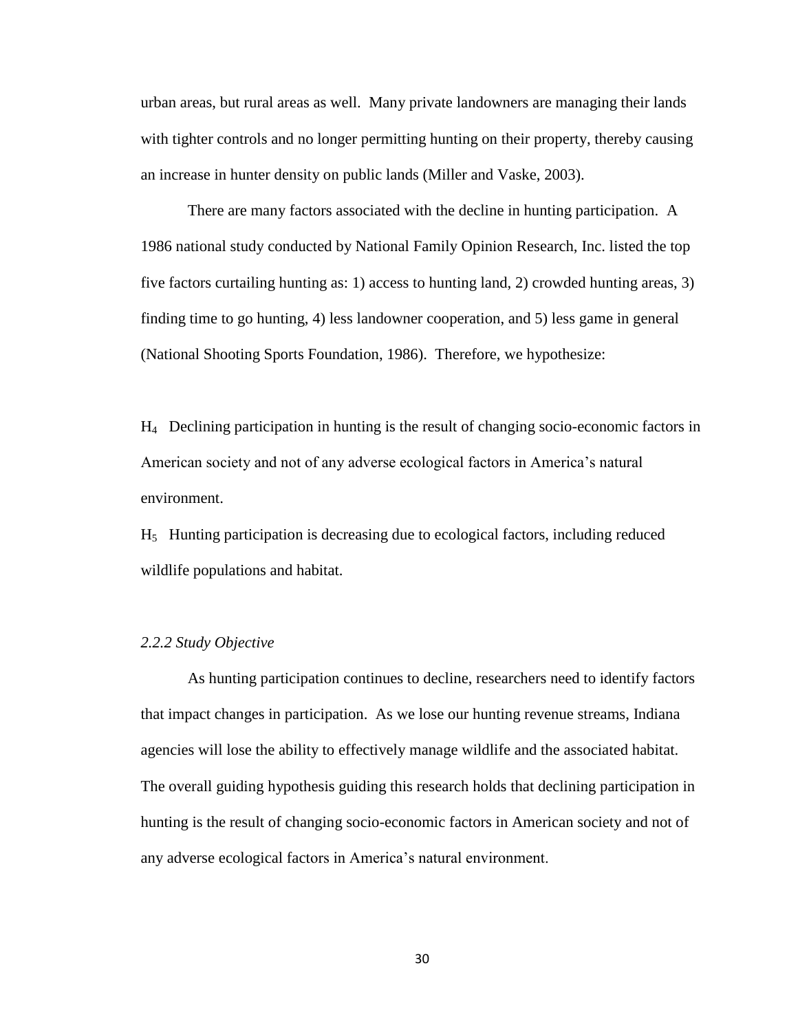urban areas, but rural areas as well. Many private landowners are managing their lands with tighter controls and no longer permitting hunting on their property, thereby causing an increase in hunter density on public lands (Miller and Vaske, 2003).

There are many factors associated with the decline in hunting participation. A 1986 national study conducted by National Family Opinion Research, Inc. listed the top five factors curtailing hunting as: 1) access to hunting land, 2) crowded hunting areas, 3) finding time to go hunting, 4) less landowner cooperation, and 5) less game in general (National Shooting Sports Foundation, 1986). Therefore, we hypothesize:

H4 Declining participation in hunting is the result of changing socio-economic factors in American society and not of any adverse ecological factors in America's natural environment.

 $H<sub>5</sub>$  Hunting participation is decreasing due to ecological factors, including reduced wildlife populations and habitat.

# *2.2.2 Study Objective*

As hunting participation continues to decline, researchers need to identify factors that impact changes in participation. As we lose our hunting revenue streams, Indiana agencies will lose the ability to effectively manage wildlife and the associated habitat. The overall guiding hypothesis guiding this research holds that declining participation in hunting is the result of changing socio-economic factors in American society and not of any adverse ecological factors in America"s natural environment.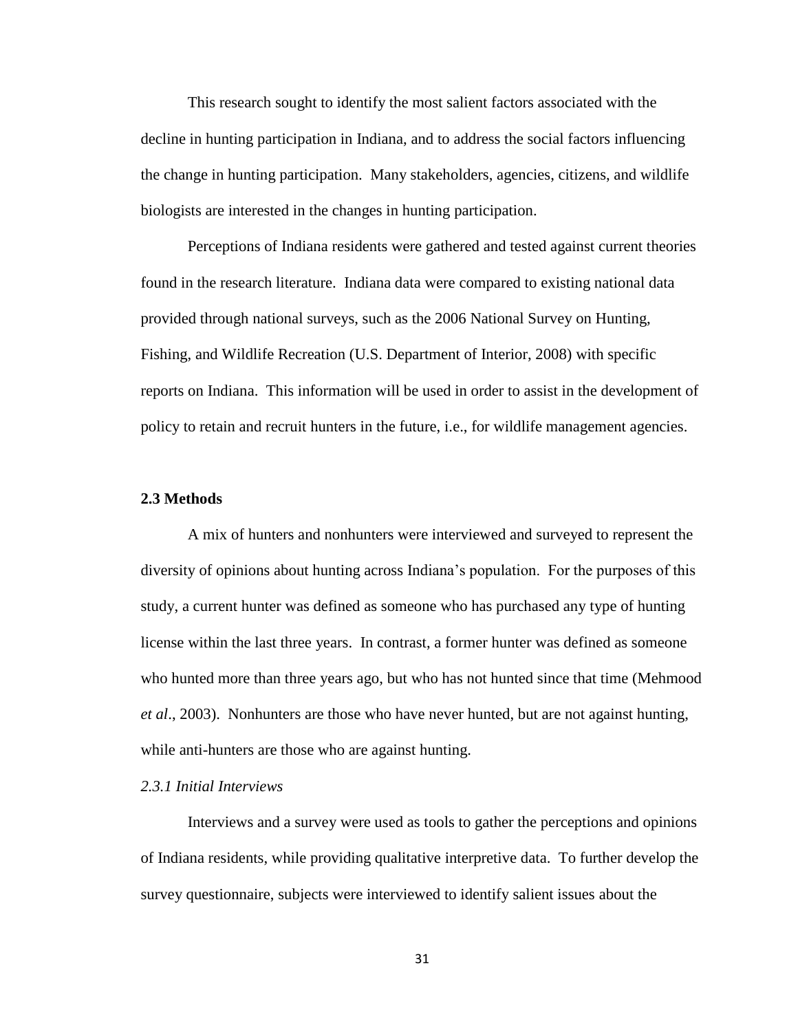This research sought to identify the most salient factors associated with the decline in hunting participation in Indiana, and to address the social factors influencing the change in hunting participation. Many stakeholders, agencies, citizens, and wildlife biologists are interested in the changes in hunting participation.

Perceptions of Indiana residents were gathered and tested against current theories found in the research literature. Indiana data were compared to existing national data provided through national surveys, such as the 2006 National Survey on Hunting, Fishing, and Wildlife Recreation (U.S. Department of Interior, 2008) with specific reports on Indiana. This information will be used in order to assist in the development of policy to retain and recruit hunters in the future, i.e., for wildlife management agencies.

#### **2.3 Methods**

A mix of hunters and nonhunters were interviewed and surveyed to represent the diversity of opinions about hunting across Indiana"s population. For the purposes of this study, a current hunter was defined as someone who has purchased any type of hunting license within the last three years. In contrast, a former hunter was defined as someone who hunted more than three years ago, but who has not hunted since that time (Mehmood *et al*., 2003). Nonhunters are those who have never hunted, but are not against hunting, while anti-hunters are those who are against hunting.

# *2.3.1 Initial Interviews*

Interviews and a survey were used as tools to gather the perceptions and opinions of Indiana residents, while providing qualitative interpretive data. To further develop the survey questionnaire, subjects were interviewed to identify salient issues about the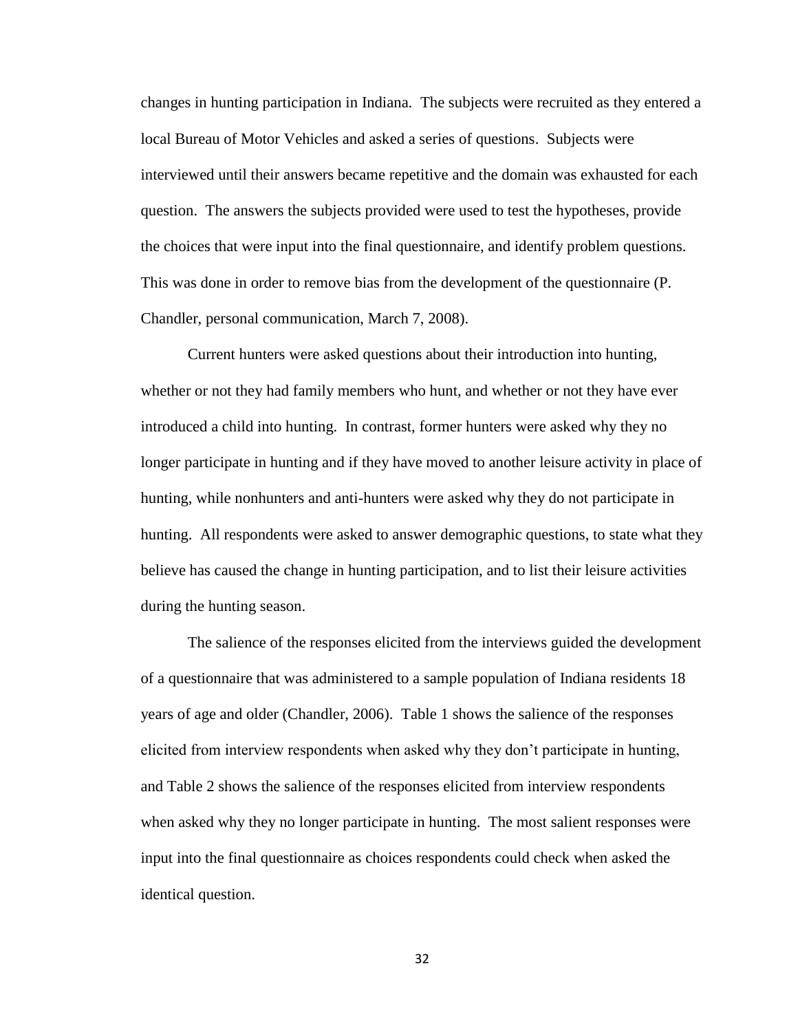changes in hunting participation in Indiana. The subjects were recruited as they entered a local Bureau of Motor Vehicles and asked a series of questions. Subjects were interviewed until their answers became repetitive and the domain was exhausted for each question. The answers the subjects provided were used to test the hypotheses, provide the choices that were input into the final questionnaire, and identify problem questions. This was done in order to remove bias from the development of the questionnaire (P. Chandler, personal communication, March 7, 2008).

Current hunters were asked questions about their introduction into hunting, whether or not they had family members who hunt, and whether or not they have ever introduced a child into hunting. In contrast, former hunters were asked why they no longer participate in hunting and if they have moved to another leisure activity in place of hunting, while nonhunters and anti-hunters were asked why they do not participate in hunting. All respondents were asked to answer demographic questions, to state what they believe has caused the change in hunting participation, and to list their leisure activities during the hunting season.

The salience of the responses elicited from the interviews guided the development of a questionnaire that was administered to a sample population of Indiana residents 18 years of age and older (Chandler, 2006). Table 1 shows the salience of the responses elicited from interview respondents when asked why they don"t participate in hunting, and Table 2 shows the salience of the responses elicited from interview respondents when asked why they no longer participate in hunting. The most salient responses were input into the final questionnaire as choices respondents could check when asked the identical question.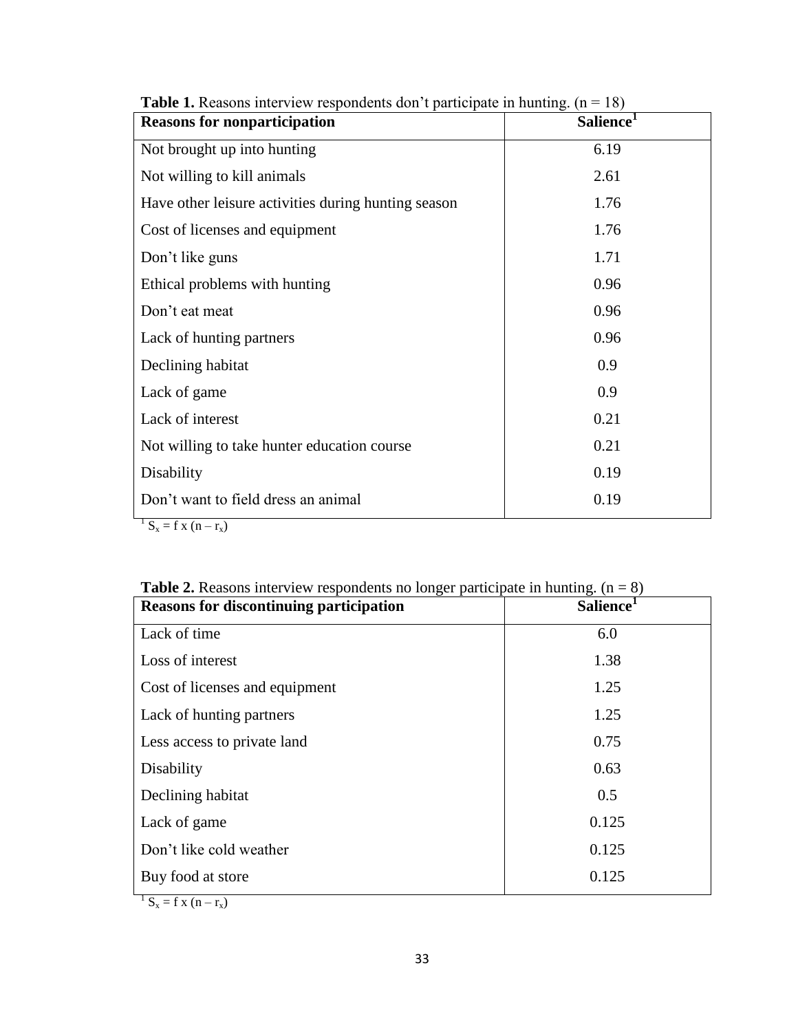| <b>Reasons for nonparticipation</b>                 | <b>Salience</b> |
|-----------------------------------------------------|-----------------|
| Not brought up into hunting                         | 6.19            |
| Not willing to kill animals                         | 2.61            |
| Have other leisure activities during hunting season | 1.76            |
| Cost of licenses and equipment                      | 1.76            |
| Don't like guns                                     | 1.71            |
| Ethical problems with hunting                       | 0.96            |
| Don't eat meat                                      | 0.96            |
| Lack of hunting partners                            | 0.96            |
| Declining habitat                                   | 0.9             |
| Lack of game                                        | 0.9             |
| Lack of interest                                    | 0.21            |
| Not willing to take hunter education course         | 0.21            |
| Disability                                          | 0.19            |
| Don't want to field dress an animal                 | 0.19            |

**Table 1.** Reasons interview respondents don't participate in hunting.  $(n = 18)$ 

 $1 S_x = f x (n - r_x)$ 

| <b>Table 2.</b> Reasons interview respondents no longer participate in hunting. $(n = 8)$ |                       |  |
|-------------------------------------------------------------------------------------------|-----------------------|--|
| <b>Reasons for discontinuing participation</b>                                            | Salience <sup>1</sup> |  |
| Lack of time                                                                              | 6.0                   |  |
| Loss of interest                                                                          | 1.38                  |  |
| Cost of licenses and equipment                                                            | 1.25                  |  |
| Lack of hunting partners                                                                  | 1.25                  |  |
| Less access to private land                                                               | 0.75                  |  |
| Disability                                                                                | 0.63                  |  |
| Declining habitat                                                                         | 0.5                   |  |
| Lack of game                                                                              | 0.125                 |  |
| Don't like cold weather                                                                   | 0.125                 |  |
| Buy food at store                                                                         | 0.125                 |  |

 $S_x = f x (n - r_x)$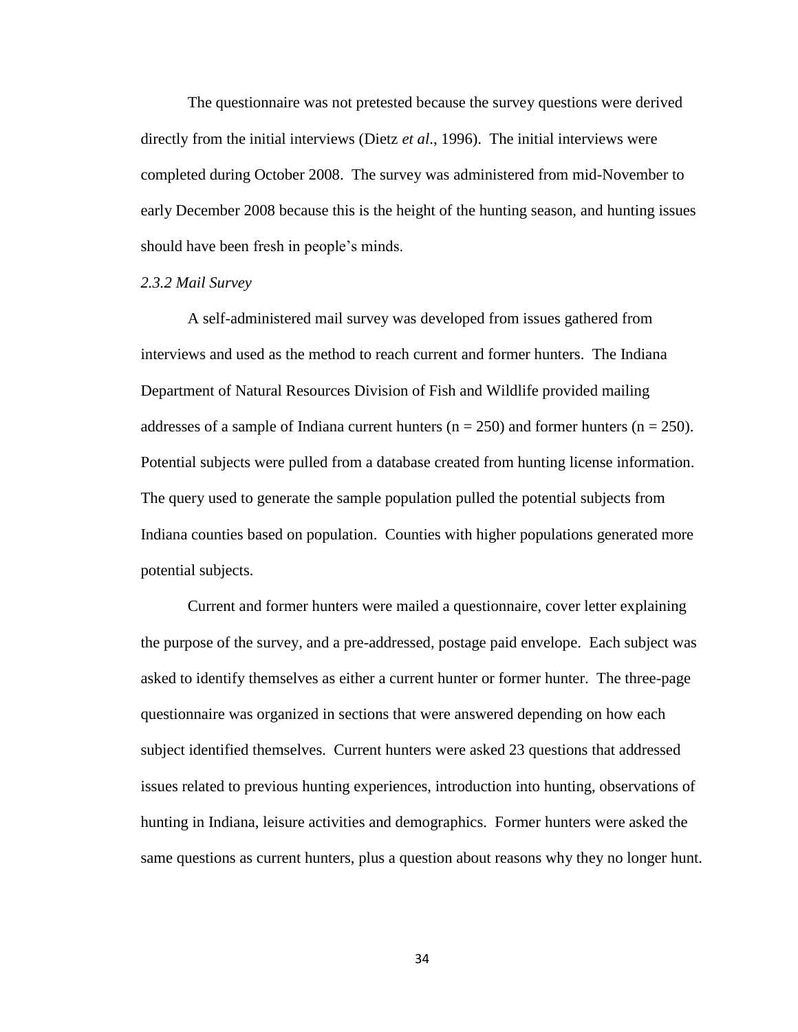The questionnaire was not pretested because the survey questions were derived directly from the initial interviews (Dietz *et al*., 1996). The initial interviews were completed during October 2008. The survey was administered from mid-November to early December 2008 because this is the height of the hunting season, and hunting issues should have been fresh in people"s minds.

### *2.3.2 Mail Survey*

A self-administered mail survey was developed from issues gathered from interviews and used as the method to reach current and former hunters. The Indiana Department of Natural Resources Division of Fish and Wildlife provided mailing addresses of a sample of Indiana current hunters ( $n = 250$ ) and former hunters ( $n = 250$ ). Potential subjects were pulled from a database created from hunting license information. The query used to generate the sample population pulled the potential subjects from Indiana counties based on population. Counties with higher populations generated more potential subjects.

Current and former hunters were mailed a questionnaire, cover letter explaining the purpose of the survey, and a pre-addressed, postage paid envelope. Each subject was asked to identify themselves as either a current hunter or former hunter. The three-page questionnaire was organized in sections that were answered depending on how each subject identified themselves. Current hunters were asked 23 questions that addressed issues related to previous hunting experiences, introduction into hunting, observations of hunting in Indiana, leisure activities and demographics. Former hunters were asked the same questions as current hunters, plus a question about reasons why they no longer hunt.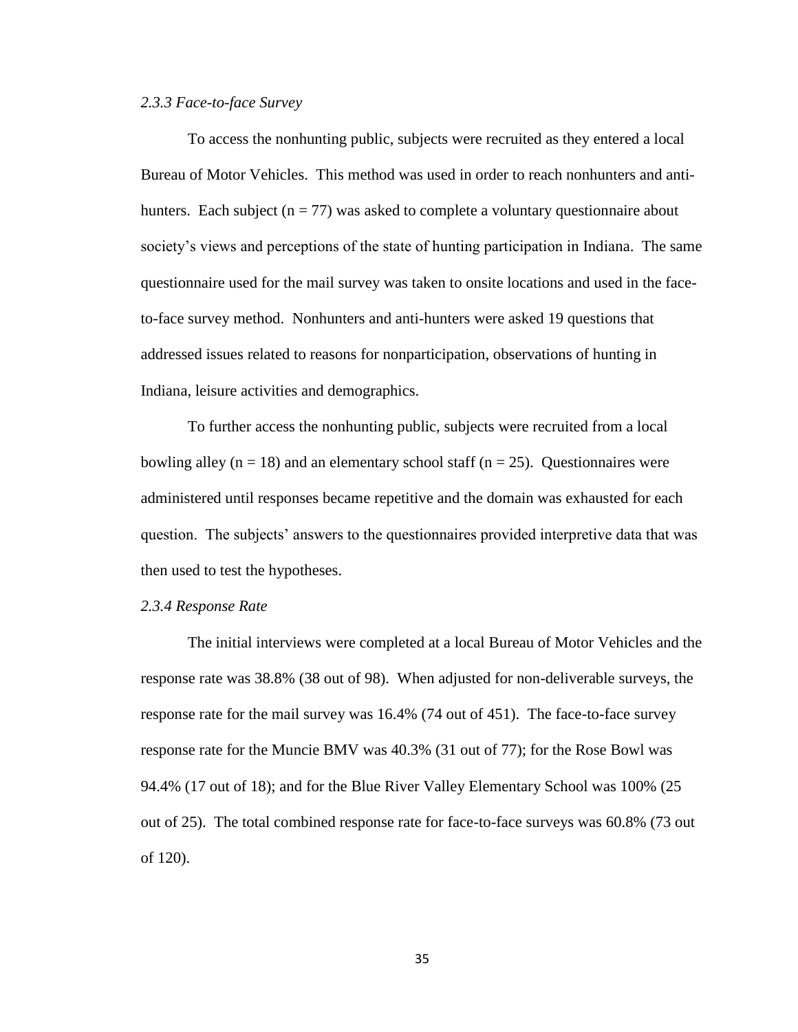#### *2.3.3 Face-to-face Survey*

To access the nonhunting public, subjects were recruited as they entered a local Bureau of Motor Vehicles. This method was used in order to reach nonhunters and antihunters. Each subject ( $n = 77$ ) was asked to complete a voluntary questionnaire about society's views and perceptions of the state of hunting participation in Indiana. The same questionnaire used for the mail survey was taken to onsite locations and used in the faceto-face survey method. Nonhunters and anti-hunters were asked 19 questions that addressed issues related to reasons for nonparticipation, observations of hunting in Indiana, leisure activities and demographics.

To further access the nonhunting public, subjects were recruited from a local bowling alley ( $n = 18$ ) and an elementary school staff ( $n = 25$ ). Questionnaires were administered until responses became repetitive and the domain was exhausted for each question. The subjects' answers to the questionnaires provided interpretive data that was then used to test the hypotheses.

#### *2.3.4 Response Rate*

The initial interviews were completed at a local Bureau of Motor Vehicles and the response rate was 38.8% (38 out of 98). When adjusted for non-deliverable surveys, the response rate for the mail survey was 16.4% (74 out of 451). The face-to-face survey response rate for the Muncie BMV was 40.3% (31 out of 77); for the Rose Bowl was 94.4% (17 out of 18); and for the Blue River Valley Elementary School was 100% (25 out of 25). The total combined response rate for face-to-face surveys was 60.8% (73 out of 120).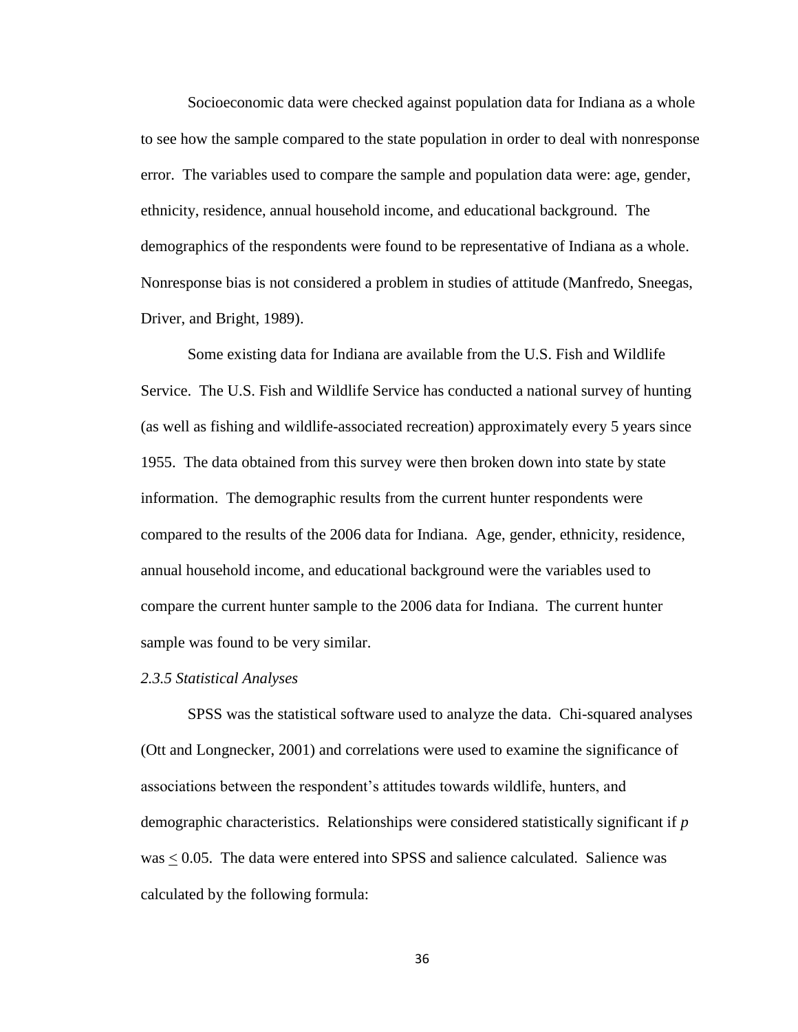Socioeconomic data were checked against population data for Indiana as a whole to see how the sample compared to the state population in order to deal with nonresponse error. The variables used to compare the sample and population data were: age, gender, ethnicity, residence, annual household income, and educational background. The demographics of the respondents were found to be representative of Indiana as a whole. Nonresponse bias is not considered a problem in studies of attitude (Manfredo, Sneegas, Driver, and Bright, 1989).

Some existing data for Indiana are available from the U.S. Fish and Wildlife Service. The U.S. Fish and Wildlife Service has conducted a national survey of hunting (as well as fishing and wildlife-associated recreation) approximately every 5 years since 1955. The data obtained from this survey were then broken down into state by state information. The demographic results from the current hunter respondents were compared to the results of the 2006 data for Indiana. Age, gender, ethnicity, residence, annual household income, and educational background were the variables used to compare the current hunter sample to the 2006 data for Indiana. The current hunter sample was found to be very similar.

#### *2.3.5 Statistical Analyses*

SPSS was the statistical software used to analyze the data. Chi-squared analyses (Ott and Longnecker, 2001) and correlations were used to examine the significance of associations between the respondent's attitudes towards wildlife, hunters, and demographic characteristics. Relationships were considered statistically significant if *p*   $was \leq 0.05$ . The data were entered into SPSS and salience calculated. Salience was calculated by the following formula: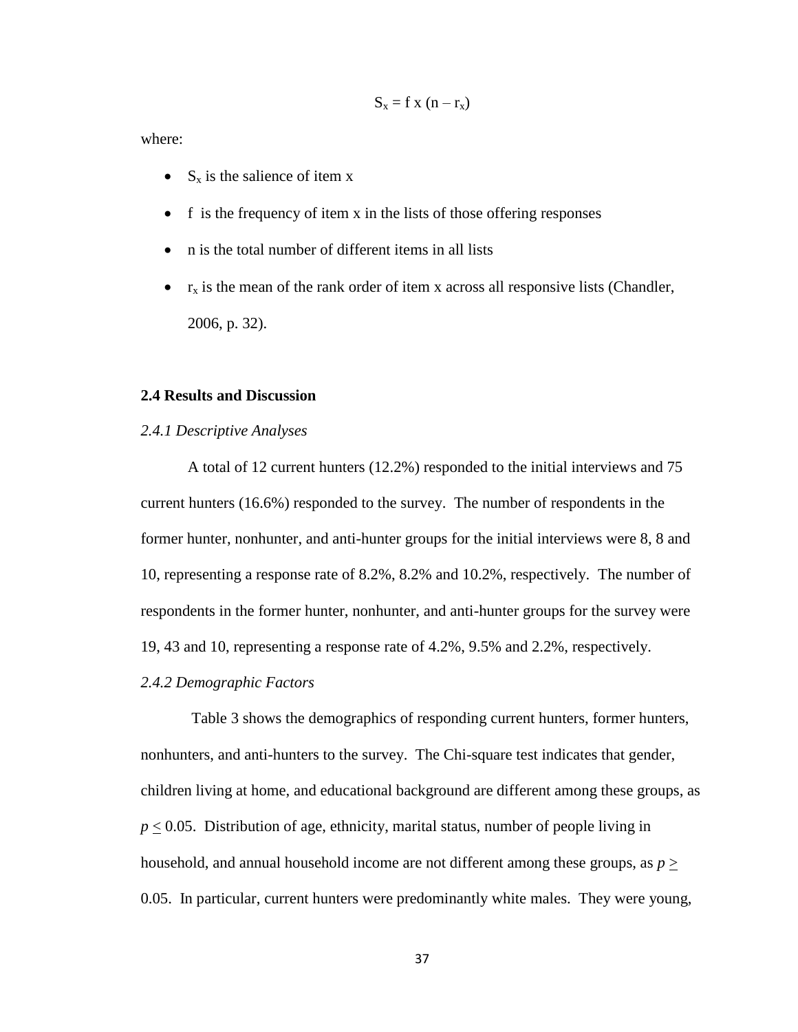$$
S_x = f x (n - r_x)
$$

where:

- $\bullet$  S<sub>x</sub> is the salience of item x
- $\bullet$  f is the frequency of item x in the lists of those offering responses
- n is the total number of different items in all lists
- $r_x$  is the mean of the rank order of item x across all responsive lists (Chandler, 2006, p. 32).

# **2.4 Results and Discussion**

#### *2.4.1 Descriptive Analyses*

A total of 12 current hunters (12.2%) responded to the initial interviews and 75 current hunters (16.6%) responded to the survey. The number of respondents in the former hunter, nonhunter, and anti-hunter groups for the initial interviews were 8, 8 and 10, representing a response rate of 8.2%, 8.2% and 10.2%, respectively. The number of respondents in the former hunter, nonhunter, and anti-hunter groups for the survey were 19, 43 and 10, representing a response rate of 4.2%, 9.5% and 2.2%, respectively.

### *2.4.2 Demographic Factors*

Table 3 shows the demographics of responding current hunters, former hunters, nonhunters, and anti-hunters to the survey. The Chi-square test indicates that gender, children living at home, and educational background are different among these groups, as  $p \leq 0.05$ . Distribution of age, ethnicity, marital status, number of people living in household, and annual household income are not different among these groups, as  $p >$ 0.05. In particular, current hunters were predominantly white males. They were young,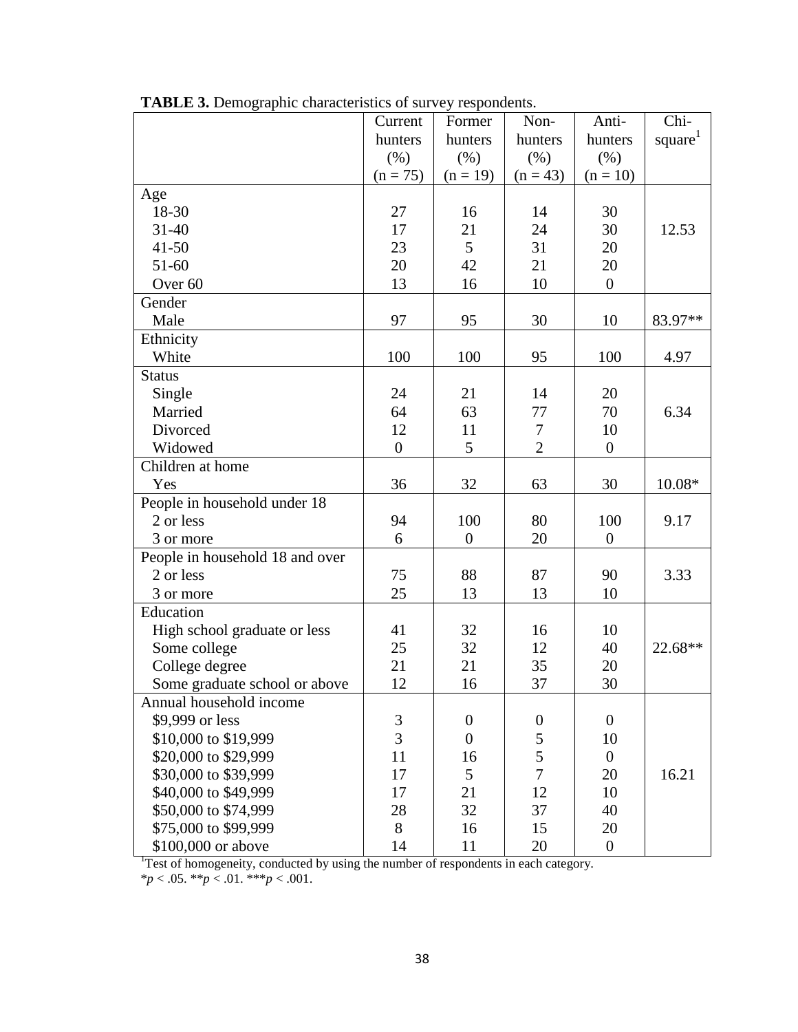|                                 | Current          | Former           | Non-             | Anti-            | Chi-                |
|---------------------------------|------------------|------------------|------------------|------------------|---------------------|
|                                 | hunters          | hunters          | hunters          | hunters          | square <sup>1</sup> |
|                                 | (% )             | (% )             | (% )             | (% )             |                     |
|                                 | $(n = 75)$       | $(n = 19)$       | $(n = 43)$       | $(n = 10)$       |                     |
| Age                             |                  |                  |                  |                  |                     |
| 18-30                           | 27               | 16               | 14               | 30               |                     |
| $31 - 40$                       | 17               | 21               | 24               | 30               | 12.53               |
| $41 - 50$                       | 23               | 5                | 31               | 20               |                     |
| 51-60                           | 20               | 42               | 21               | 20               |                     |
| Over <sub>60</sub>              | 13               | 16               | 10               | $\boldsymbol{0}$ |                     |
| Gender                          |                  |                  |                  |                  |                     |
| Male                            | 97               | 95               | 30               | 10               | 83.97**             |
| Ethnicity                       |                  |                  |                  |                  |                     |
| White                           | 100              | 100              | 95               | 100              | 4.97                |
| <b>Status</b>                   |                  |                  |                  |                  |                     |
| Single                          | 24               | 21               | 14               | 20               |                     |
| Married                         | 64               | 63               | 77               | 70               | 6.34                |
| Divorced                        | 12               | 11               | 7                | 10               |                     |
| Widowed                         | $\boldsymbol{0}$ | 5                | $\overline{2}$   | $\boldsymbol{0}$ |                     |
| Children at home                |                  |                  |                  |                  |                     |
| Yes                             | 36               | 32               | 63               | 30               | 10.08*              |
| People in household under 18    |                  |                  |                  |                  |                     |
| 2 or less                       | 94               | 100              | 80               | 100              | 9.17                |
| 3 or more                       | 6                | $\boldsymbol{0}$ | 20               | $\boldsymbol{0}$ |                     |
| People in household 18 and over |                  |                  |                  |                  |                     |
| 2 or less                       | 75               | 88               | 87               | 90               | 3.33                |
| 3 or more                       | 25               | 13               | 13               | 10               |                     |
| Education                       |                  |                  |                  |                  |                     |
| High school graduate or less    | 41               | 32               | 16               | 10               |                     |
| Some college                    | 25               | 32               | 12               | 40               | 22.68**             |
| College degree                  | 21               | 21               | 35               | 20               |                     |
| Some graduate school or above   | 12               | 16               | 37               | 30               |                     |
| Annual household income         |                  |                  |                  |                  |                     |
| \$9,999 or less                 | 3                | $\boldsymbol{0}$ | $\boldsymbol{0}$ | $\overline{0}$   |                     |
| \$10,000 to \$19,999            | $\overline{3}$   | $\overline{0}$   | 5                | 10               |                     |
| \$20,000 to \$29,999            | 11               | 16               | 5                | $\overline{0}$   |                     |
| \$30,000 to \$39,999            | 17               | 5                | $\overline{7}$   | 20               | 16.21               |
| \$40,000 to \$49,999            | 17               | 21               | 12               | 10               |                     |
| \$50,000 to \$74,999            | 28               | 32               | 37               | 40               |                     |
| \$75,000 to \$99,999            | 8                | 16               | 15               | 20               |                     |
| \$100,000 or above              | 14               | 11               | 20               | $\boldsymbol{0}$ |                     |

**TABLE 3.** Demographic characteristics of survey respondents.

<sup>1</sup>Test of homogeneity, conducted by using the number of respondents in each category.

\**p* < .05. \*\**p* < .01. \*\*\**p* < .001.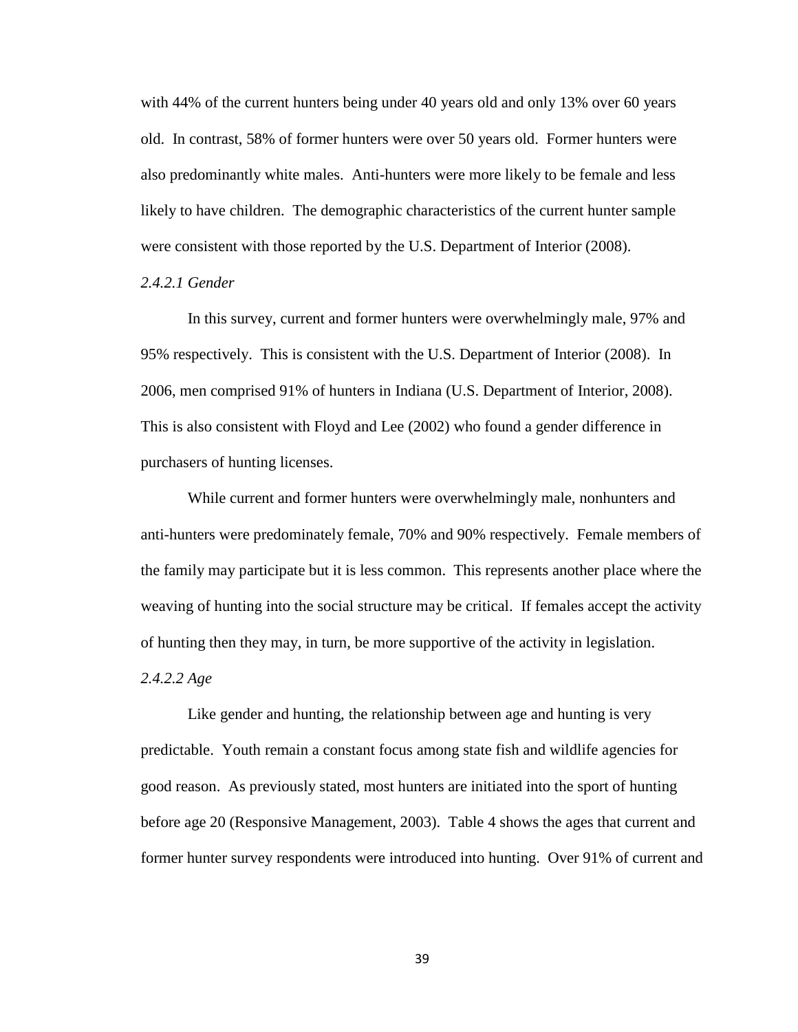with 44% of the current hunters being under 40 years old and only 13% over 60 years old. In contrast, 58% of former hunters were over 50 years old. Former hunters were also predominantly white males. Anti-hunters were more likely to be female and less likely to have children. The demographic characteristics of the current hunter sample were consistent with those reported by the U.S. Department of Interior (2008).

# *2.4.2.1 Gender*

In this survey, current and former hunters were overwhelmingly male, 97% and 95% respectively. This is consistent with the U.S. Department of Interior (2008). In 2006, men comprised 91% of hunters in Indiana (U.S. Department of Interior, 2008). This is also consistent with Floyd and Lee (2002) who found a gender difference in purchasers of hunting licenses.

While current and former hunters were overwhelmingly male, nonhunters and anti-hunters were predominately female, 70% and 90% respectively. Female members of the family may participate but it is less common. This represents another place where the weaving of hunting into the social structure may be critical. If females accept the activity of hunting then they may, in turn, be more supportive of the activity in legislation.

#### *2.4.2.2 Age*

Like gender and hunting, the relationship between age and hunting is very predictable. Youth remain a constant focus among state fish and wildlife agencies for good reason. As previously stated, most hunters are initiated into the sport of hunting before age 20 (Responsive Management, 2003). Table 4 shows the ages that current and former hunter survey respondents were introduced into hunting. Over 91% of current and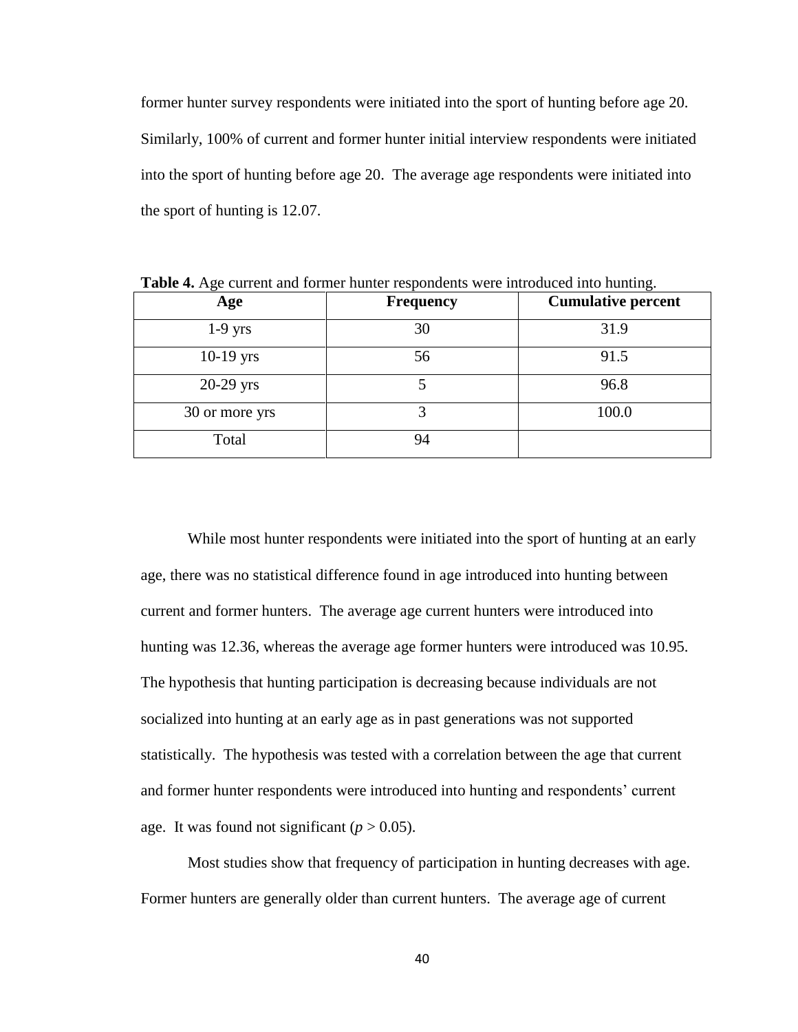former hunter survey respondents were initiated into the sport of hunting before age 20. Similarly, 100% of current and former hunter initial interview respondents were initiated into the sport of hunting before age 20. The average age respondents were initiated into the sport of hunting is 12.07.

| -0-<br>-0.     |                  |                           |  |
|----------------|------------------|---------------------------|--|
| Age            | <b>Frequency</b> | <b>Cumulative percent</b> |  |
| $1-9$ yrs      | 30               | 31.9                      |  |
| $10-19$ yrs    | 56               | 91.5                      |  |
| $20-29$ yrs    |                  | 96.8                      |  |
| 30 or more yrs |                  | 100.0                     |  |
| Total          | 94               |                           |  |

**Table 4.** Age current and former hunter respondents were introduced into hunting.

While most hunter respondents were initiated into the sport of hunting at an early age, there was no statistical difference found in age introduced into hunting between current and former hunters. The average age current hunters were introduced into hunting was 12.36, whereas the average age former hunters were introduced was 10.95. The hypothesis that hunting participation is decreasing because individuals are not socialized into hunting at an early age as in past generations was not supported statistically. The hypothesis was tested with a correlation between the age that current and former hunter respondents were introduced into hunting and respondents" current age. It was found not significant  $(p > 0.05)$ .

Most studies show that frequency of participation in hunting decreases with age. Former hunters are generally older than current hunters. The average age of current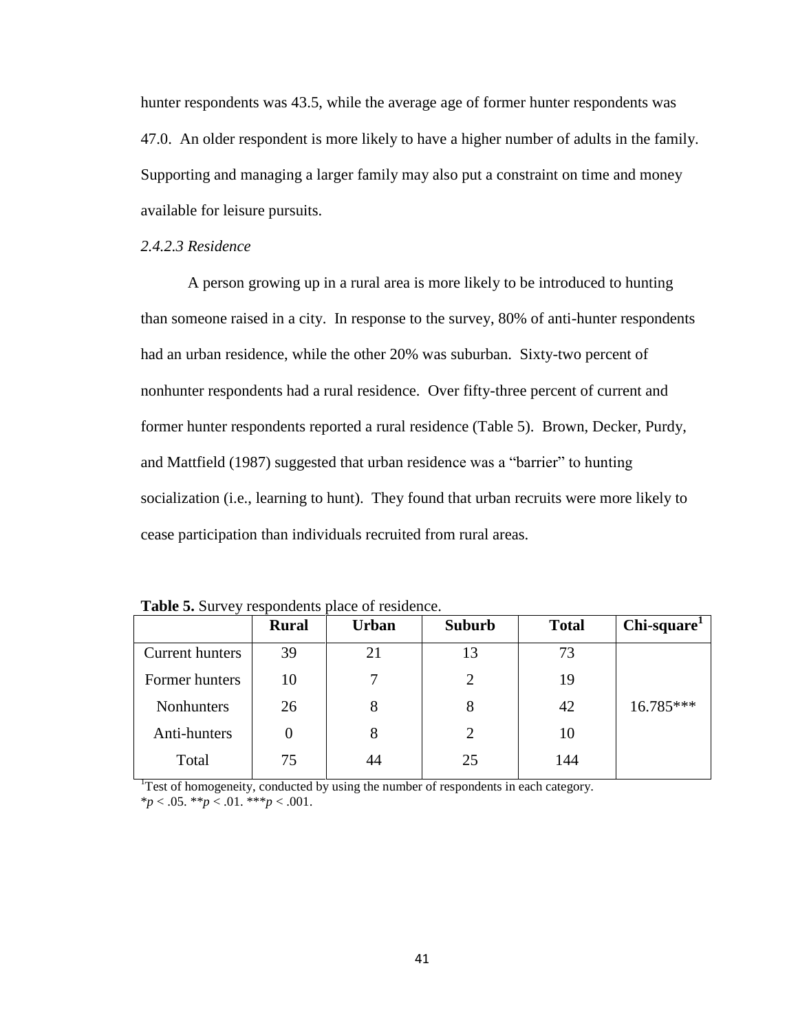hunter respondents was 43.5, while the average age of former hunter respondents was 47.0. An older respondent is more likely to have a higher number of adults in the family. Supporting and managing a larger family may also put a constraint on time and money available for leisure pursuits.

# *2.4.2.3 Residence*

A person growing up in a rural area is more likely to be introduced to hunting than someone raised in a city. In response to the survey, 80% of anti-hunter respondents had an urban residence, while the other 20% was suburban. Sixty-two percent of nonhunter respondents had a rural residence. Over fifty-three percent of current and former hunter respondents reported a rural residence (Table 5). Brown, Decker, Purdy, and Mattfield (1987) suggested that urban residence was a "barrier" to hunting socialization (i.e., learning to hunt). They found that urban recruits were more likely to cease participation than individuals recruited from rural areas.

|                        | <b>Rural</b> | <b>Urban</b> | <b>Suburb</b> | <b>Total</b> | Chi-square <sup>1</sup> |
|------------------------|--------------|--------------|---------------|--------------|-------------------------|
| <b>Current hunters</b> | 39           | 21           | 13            | 73           |                         |
| Former hunters         | 10           |              | 2             | 19           |                         |
| <b>Nonhunters</b>      | 26           | 8            | 8             | 42           | 16.785***               |
| Anti-hunters           |              | 8            | 2             | 10           |                         |
| Total                  | 75           | 44           | 25            | 144          |                         |

**Table 5.** Survey respondents place of residence.

<sup>1</sup>Test of homogeneity, conducted by using the number of respondents in each category. \**p* < .05. \*\**p* < .01. \*\*\**p* < .001.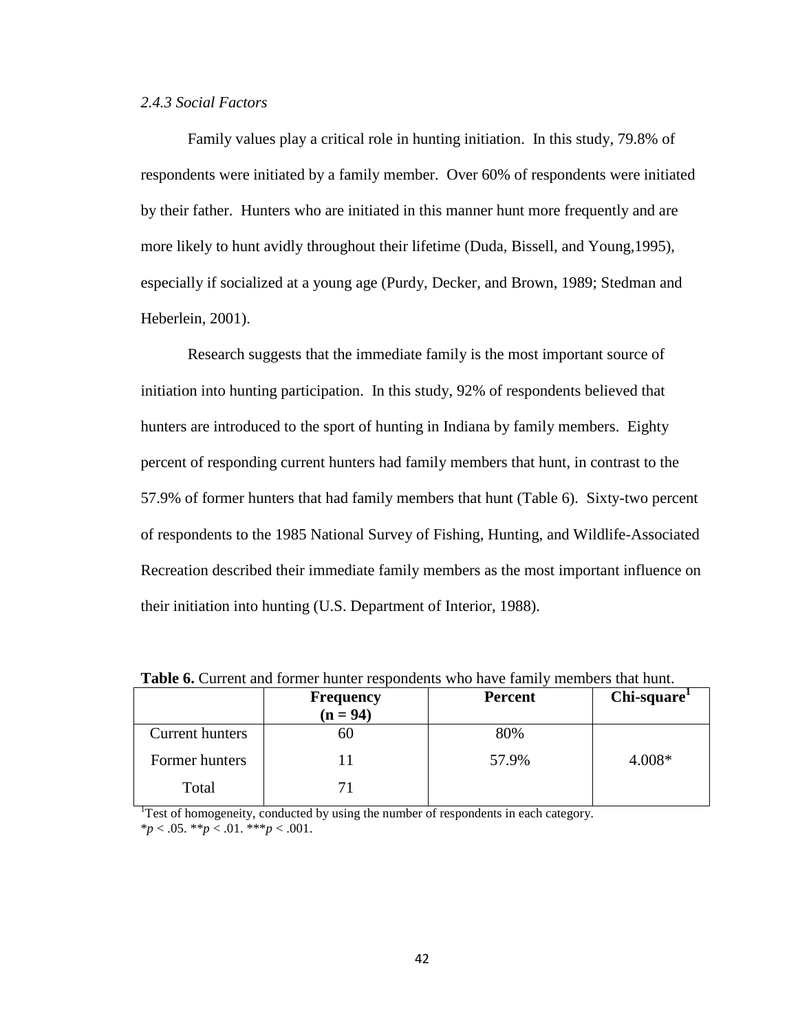# *2.4.3 Social Factors*

Family values play a critical role in hunting initiation. In this study, 79.8% of respondents were initiated by a family member. Over 60% of respondents were initiated by their father. Hunters who are initiated in this manner hunt more frequently and are more likely to hunt avidly throughout their lifetime (Duda, Bissell, and Young,1995), especially if socialized at a young age (Purdy, Decker, and Brown, 1989; Stedman and Heberlein, 2001).

Research suggests that the immediate family is the most important source of initiation into hunting participation. In this study, 92% of respondents believed that hunters are introduced to the sport of hunting in Indiana by family members. Eighty percent of responding current hunters had family members that hunt, in contrast to the 57.9% of former hunters that had family members that hunt (Table 6). Sixty-two percent of respondents to the 1985 National Survey of Fishing, Hunting, and Wildlife-Associated Recreation described their immediate family members as the most important influence on their initiation into hunting (U.S. Department of Interior, 1988).

| Twore of Callent and Iolinei handle respondence who have family<br>$\cdots$ |                                |                |                         |  |
|-----------------------------------------------------------------------------|--------------------------------|----------------|-------------------------|--|
|                                                                             | <b>Frequency</b><br>$(n = 94)$ | <b>Percent</b> | Chi-square <sup>1</sup> |  |
| Current hunters                                                             |                                | 80%            |                         |  |
| Former hunters                                                              |                                | 57.9%          | $4.008*$                |  |
| Total                                                                       |                                |                |                         |  |

**Table 6.** Current and former hunter respondents who have family members that hunt.

<sup>1</sup>Test of homogeneity, conducted by using the number of respondents in each category. \**p* < .05. \*\**p* < .01. \*\*\**p* < .001.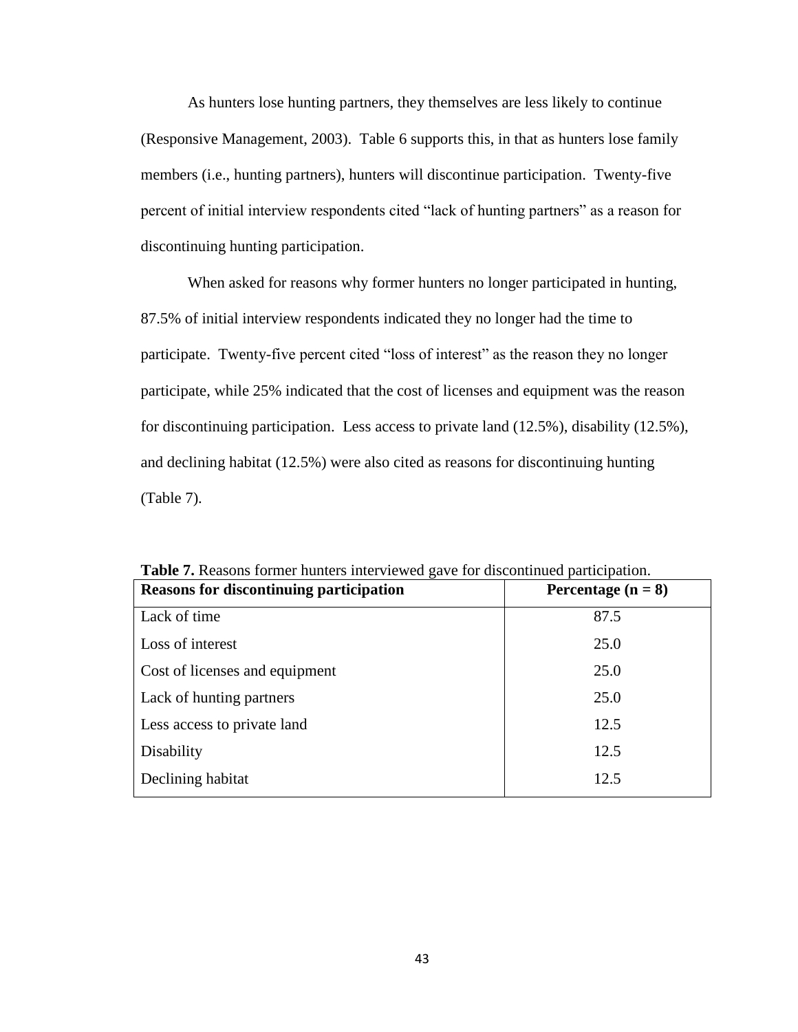As hunters lose hunting partners, they themselves are less likely to continue (Responsive Management, 2003). Table 6 supports this, in that as hunters lose family members (i.e., hunting partners), hunters will discontinue participation. Twenty-five percent of initial interview respondents cited "lack of hunting partners" as a reason for discontinuing hunting participation.

When asked for reasons why former hunters no longer participated in hunting, 87.5% of initial interview respondents indicated they no longer had the time to participate. Twenty-five percent cited "loss of interest" as the reason they no longer participate, while 25% indicated that the cost of licenses and equipment was the reason for discontinuing participation. Less access to private land (12.5%), disability (12.5%), and declining habitat (12.5%) were also cited as reasons for discontinuing hunting (Table 7).

| <b>Reasons for discontinuing participation</b> | Percentage $(n = 8)$ |
|------------------------------------------------|----------------------|
| Lack of time                                   | 87.5                 |
| Loss of interest                               | 25.0                 |
| Cost of licenses and equipment                 | 25.0                 |
| Lack of hunting partners                       | 25.0                 |
| Less access to private land                    | 12.5                 |
| Disability                                     | 12.5                 |
| Declining habitat                              | 12.5                 |

**Table 7.** Reasons former hunters interviewed gave for discontinued participation.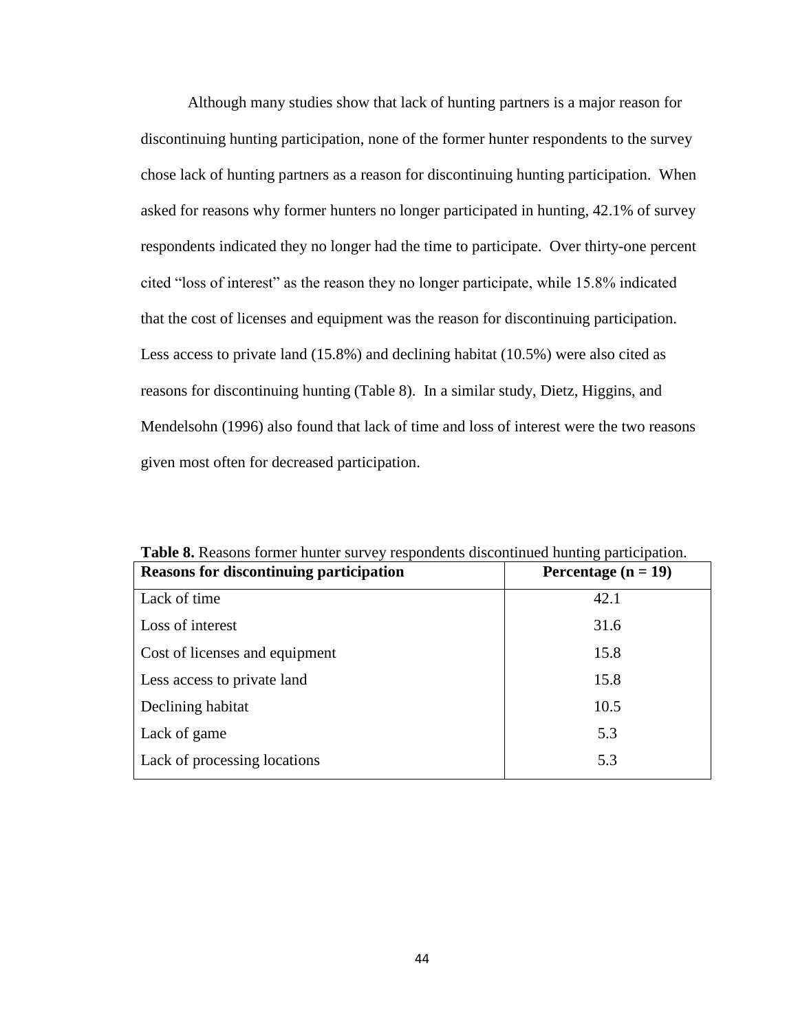Although many studies show that lack of hunting partners is a major reason for discontinuing hunting participation, none of the former hunter respondents to the survey chose lack of hunting partners as a reason for discontinuing hunting participation. When asked for reasons why former hunters no longer participated in hunting, 42.1% of survey respondents indicated they no longer had the time to participate. Over thirty-one percent cited "loss of interest" as the reason they no longer participate, while 15.8% indicated that the cost of licenses and equipment was the reason for discontinuing participation. Less access to private land (15.8%) and declining habitat (10.5%) were also cited as reasons for discontinuing hunting (Table 8). In a similar study, Dietz, Higgins, and Mendelsohn (1996) also found that lack of time and loss of interest were the two reasons given most often for decreased participation.

| <b>Reasons for discontinuing participation</b> | Percentage $(n = 19)$ |
|------------------------------------------------|-----------------------|
| Lack of time                                   | 42.1                  |
| Loss of interest                               | 31.6                  |
| Cost of licenses and equipment                 | 15.8                  |
| Less access to private land                    | 15.8                  |
| Declining habitat                              | 10.5                  |
| Lack of game                                   | 5.3                   |
| Lack of processing locations                   | 5.3                   |

**Table 8.** Reasons former hunter survey respondents discontinued hunting participation.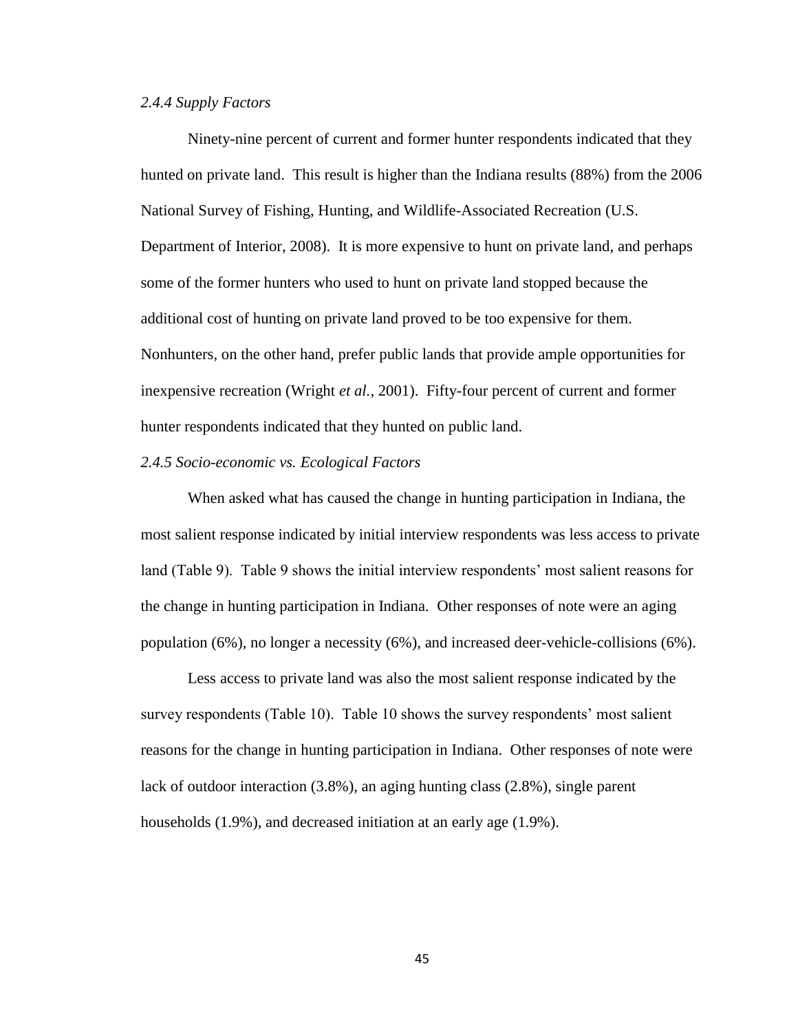# *2.4.4 Supply Factors*

Ninety-nine percent of current and former hunter respondents indicated that they hunted on private land. This result is higher than the Indiana results (88%) from the 2006 National Survey of Fishing, Hunting, and Wildlife-Associated Recreation (U.S. Department of Interior, 2008). It is more expensive to hunt on private land, and perhaps some of the former hunters who used to hunt on private land stopped because the additional cost of hunting on private land proved to be too expensive for them. Nonhunters, on the other hand, prefer public lands that provide ample opportunities for inexpensive recreation (Wright *et al.*, 2001). Fifty-four percent of current and former hunter respondents indicated that they hunted on public land.

#### *2.4.5 Socio-economic vs. Ecological Factors*

When asked what has caused the change in hunting participation in Indiana, the most salient response indicated by initial interview respondents was less access to private land (Table 9). Table 9 shows the initial interview respondents' most salient reasons for the change in hunting participation in Indiana. Other responses of note were an aging population (6%), no longer a necessity (6%), and increased deer-vehicle-collisions (6%).

Less access to private land was also the most salient response indicated by the survey respondents (Table 10). Table 10 shows the survey respondents' most salient reasons for the change in hunting participation in Indiana. Other responses of note were lack of outdoor interaction (3.8%), an aging hunting class (2.8%), single parent households (1.9%), and decreased initiation at an early age (1.9%).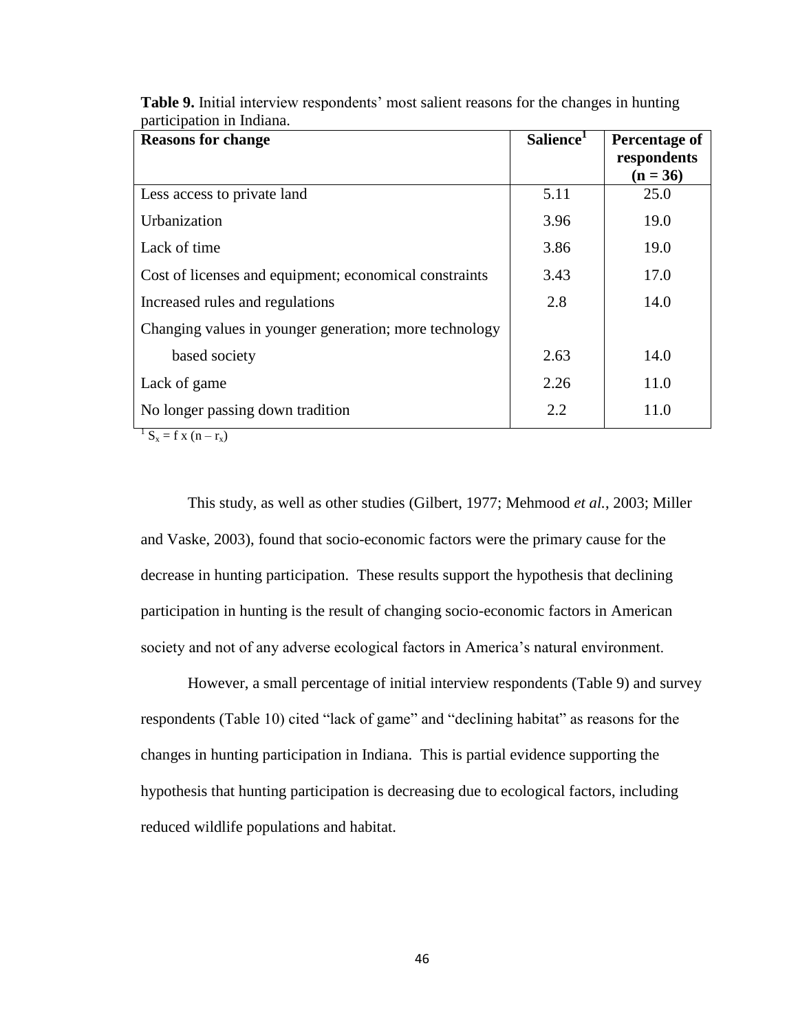| <b>Reasons for change</b>                              | Salience <sup>1</sup> | Percentage of |
|--------------------------------------------------------|-----------------------|---------------|
|                                                        |                       | respondents   |
|                                                        |                       | $(n = 36)$    |
| Less access to private land                            | 5.11                  | 25.0          |
| Urbanization                                           | 3.96                  | 19.0          |
| Lack of time                                           | 3.86                  | 19.0          |
| Cost of licenses and equipment; economical constraints | 3.43                  | 17.0          |
| Increased rules and regulations                        | 2.8                   | 14.0          |
| Changing values in younger generation; more technology |                       |               |
| based society                                          | 2.63                  | 14.0          |
| Lack of game                                           | 2.26                  | 11.0          |
| No longer passing down tradition                       | 2.2                   | 11.0          |

Table 9. Initial interview respondents' most salient reasons for the changes in hunting participation in Indiana.

 $1 S_x = f x (n - r_x)$ 

This study, as well as other studies (Gilbert, 1977; Mehmood *et al.*, 2003; Miller and Vaske, 2003), found that socio-economic factors were the primary cause for the decrease in hunting participation. These results support the hypothesis that declining participation in hunting is the result of changing socio-economic factors in American society and not of any adverse ecological factors in America's natural environment.

However, a small percentage of initial interview respondents (Table 9) and survey respondents (Table 10) cited "lack of game" and "declining habitat" as reasons for the changes in hunting participation in Indiana. This is partial evidence supporting the hypothesis that hunting participation is decreasing due to ecological factors, including reduced wildlife populations and habitat.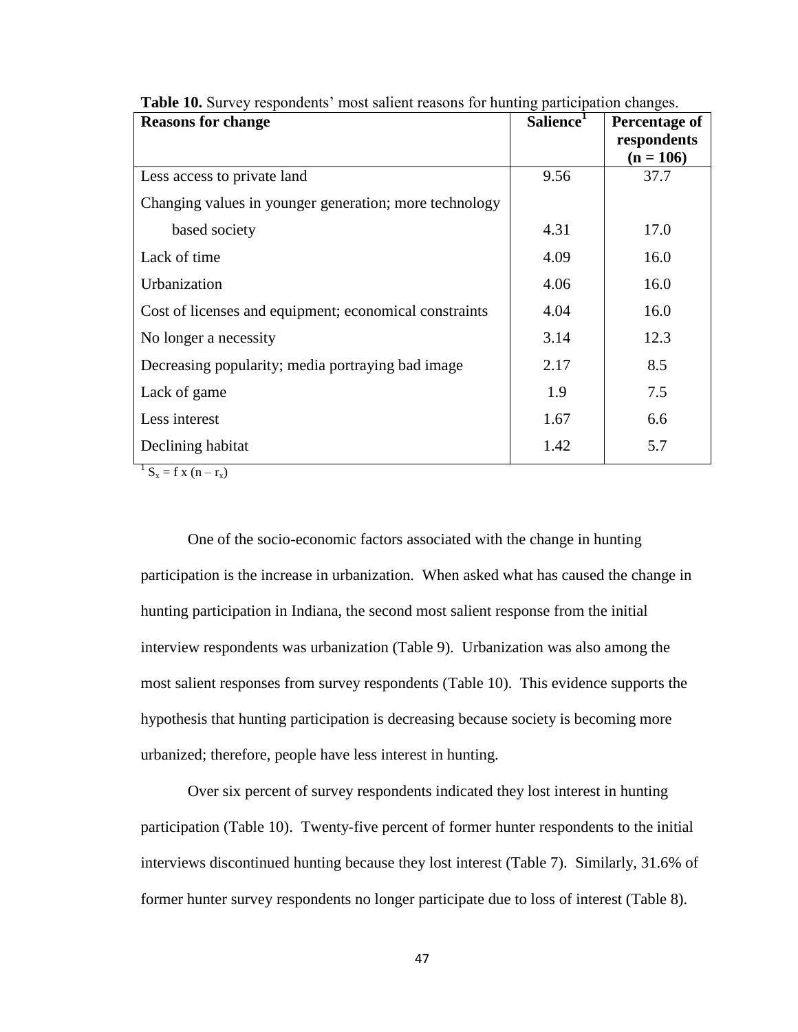| <b>Reasons for change</b>                              | Salience <sup>1</sup> | Percentage of<br>respondents |
|--------------------------------------------------------|-----------------------|------------------------------|
|                                                        |                       | $(n = 106)$                  |
| Less access to private land                            | 9.56                  | 37.7                         |
| Changing values in younger generation; more technology |                       |                              |
| based society                                          | 4.31                  | 17.0                         |
| Lack of time                                           | 4.09                  | 16.0                         |
| Urbanization                                           | 4.06                  | 16.0                         |
| Cost of licenses and equipment; economical constraints | 4.04                  | 16.0                         |
| No longer a necessity                                  | 3.14                  | 12.3                         |
| Decreasing popularity; media portraying bad image      | 2.17                  | 8.5                          |
| Lack of game                                           | 1.9                   | 7.5                          |
| Less interest                                          | 1.67                  | 6.6                          |
| Declining habitat                                      | 1.42                  | 5.7                          |

**Table 10.** Survey respondents' most salient reasons for hunting participation changes.

 $S_x = f x (n - r_x)$ 

One of the socio-economic factors associated with the change in hunting participation is the increase in urbanization. When asked what has caused the change in hunting participation in Indiana, the second most salient response from the initial interview respondents was urbanization (Table 9). Urbanization was also among the most salient responses from survey respondents (Table 10). This evidence supports the hypothesis that hunting participation is decreasing because society is becoming more urbanized; therefore, people have less interest in hunting.

Over six percent of survey respondents indicated they lost interest in hunting participation (Table 10). Twenty-five percent of former hunter respondents to the initial interviews discontinued hunting because they lost interest (Table 7). Similarly, 31.6% of former hunter survey respondents no longer participate due to loss of interest (Table 8).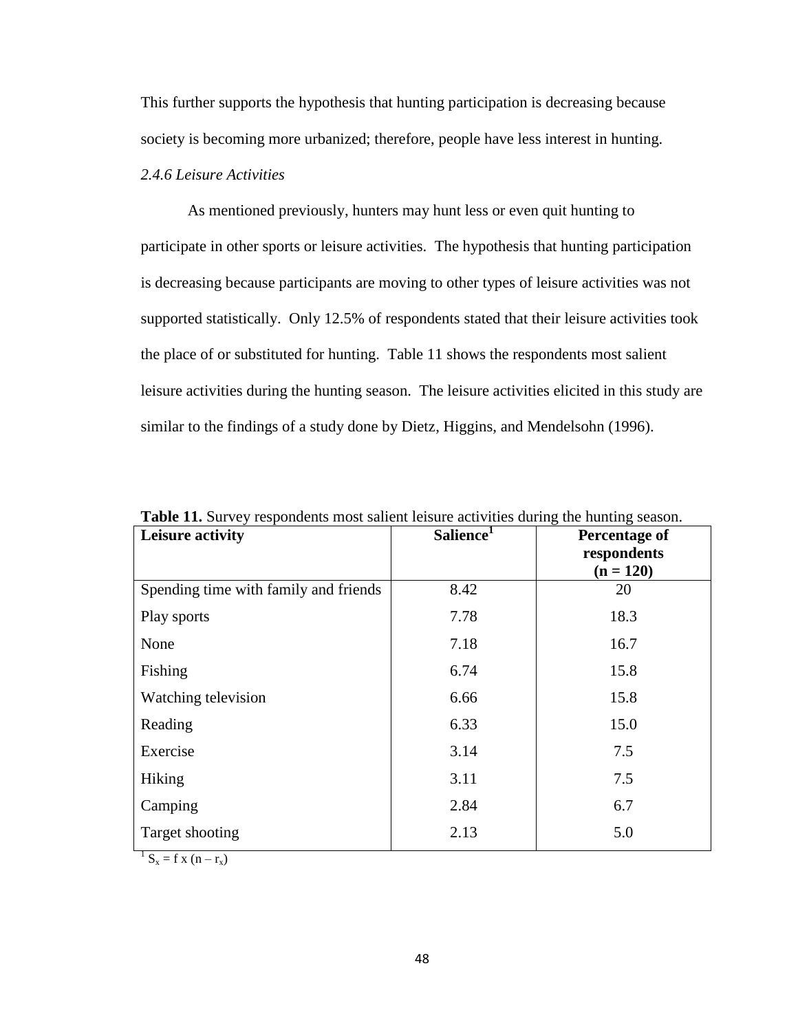This further supports the hypothesis that hunting participation is decreasing because society is becoming more urbanized; therefore, people have less interest in hunting.

# *2.4.6 Leisure Activities*

As mentioned previously, hunters may hunt less or even quit hunting to participate in other sports or leisure activities. The hypothesis that hunting participation is decreasing because participants are moving to other types of leisure activities was not supported statistically. Only 12.5% of respondents stated that their leisure activities took the place of or substituted for hunting. Table 11 shows the respondents most salient leisure activities during the hunting season. The leisure activities elicited in this study are similar to the findings of a study done by Dietz, Higgins, and Mendelsohn (1996).

| <b>Table 11.</b> But vey respondents most sanche reisure activities during the numing season.<br>Leisure activity | Salience <sup>1</sup> | Percentage of<br>respondents |
|-------------------------------------------------------------------------------------------------------------------|-----------------------|------------------------------|
| Spending time with family and friends                                                                             | 8.42                  | $(n = 120)$<br>20            |
| Play sports                                                                                                       | 7.78                  | 18.3                         |
| None                                                                                                              | 7.18                  | 16.7                         |
| Fishing                                                                                                           | 6.74                  | 15.8                         |
| Watching television                                                                                               | 6.66                  | 15.8                         |
| Reading                                                                                                           | 6.33                  | 15.0                         |
| Exercise                                                                                                          | 3.14                  | 7.5                          |
| Hiking                                                                                                            | 3.11                  | 7.5                          |
| Camping                                                                                                           | 2.84                  | 6.7                          |
| Target shooting                                                                                                   | 2.13                  | 5.0                          |

**Table 11.** Survey respondents most salient leisure activities during the hunting season.

 $1 S_x = f x (n - r_x)$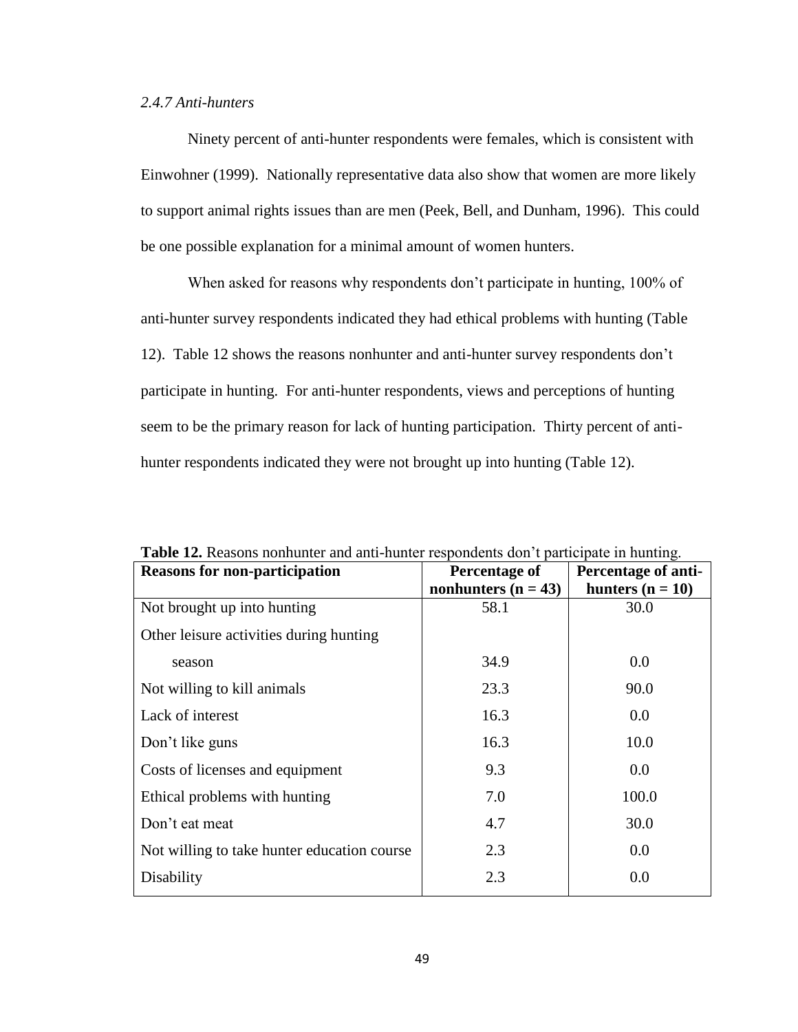# *2.4.7 Anti-hunters*

Ninety percent of anti-hunter respondents were females, which is consistent with Einwohner (1999). Nationally representative data also show that women are more likely to support animal rights issues than are men (Peek, Bell, and Dunham, 1996). This could be one possible explanation for a minimal amount of women hunters.

When asked for reasons why respondents don't participate in hunting, 100% of anti-hunter survey respondents indicated they had ethical problems with hunting (Table 12). Table 12 shows the reasons nonhunter and anti-hunter survey respondents don"t participate in hunting. For anti-hunter respondents, views and perceptions of hunting seem to be the primary reason for lack of hunting participation. Thirty percent of antihunter respondents indicated they were not brought up into hunting (Table 12).

| <b>Reasons for non-participation</b>        | Percentage of         | Percentage of anti- |
|---------------------------------------------|-----------------------|---------------------|
|                                             | nonhunters $(n = 43)$ | hunters $(n = 10)$  |
| Not brought up into hunting                 | 58.1                  | 30.0                |
| Other leisure activities during hunting     |                       |                     |
| season                                      | 34.9                  | 0.0                 |
| Not willing to kill animals                 | 23.3                  | 90.0                |
| Lack of interest                            | 16.3                  | 0.0                 |
| Don't like guns                             | 16.3                  | 10.0                |
| Costs of licenses and equipment             | 9.3                   | 0.0                 |
| Ethical problems with hunting               | 7.0                   | 100.0               |
| Don't eat meat                              | 4.7                   | 30.0                |
| Not willing to take hunter education course | 2.3                   | 0.0                 |
| Disability                                  | 2.3                   | 0.0                 |

**Table 12.** Reasons nonhunter and anti-hunter respondents don"t participate in hunting.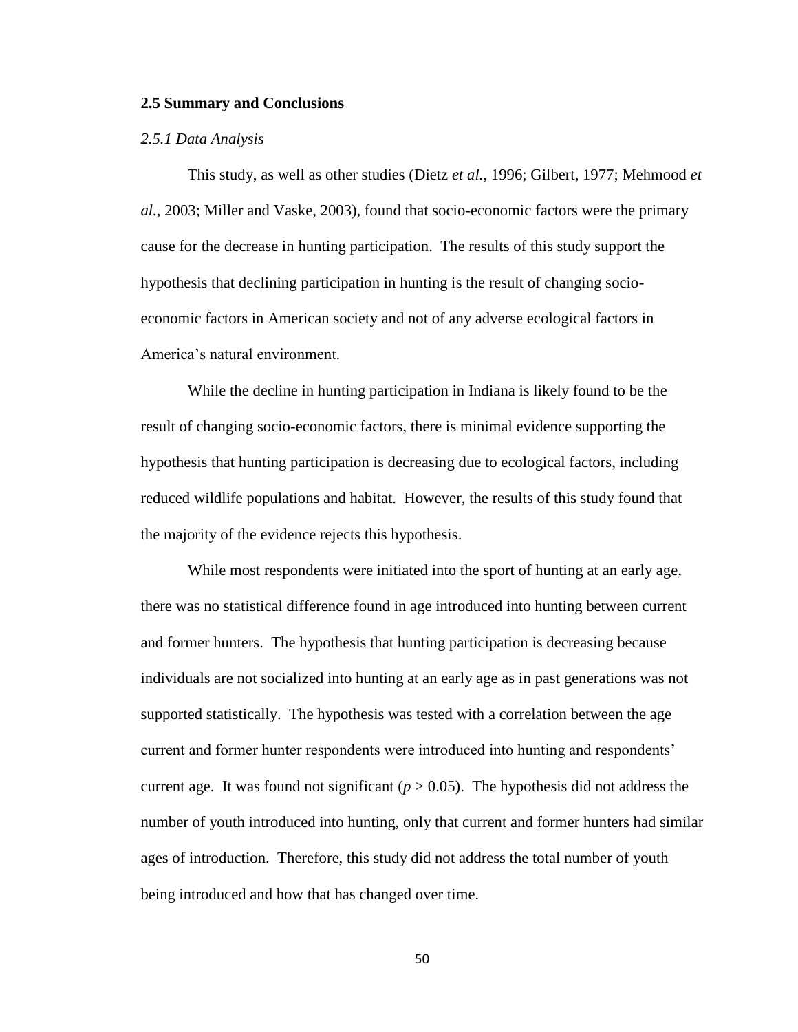#### **2.5 Summary and Conclusions**

#### *2.5.1 Data Analysis*

This study, as well as other studies (Dietz *et al.*, 1996; Gilbert, 1977; Mehmood *et al.*, 2003; Miller and Vaske, 2003), found that socio-economic factors were the primary cause for the decrease in hunting participation. The results of this study support the hypothesis that declining participation in hunting is the result of changing socioeconomic factors in American society and not of any adverse ecological factors in America"s natural environment.

While the decline in hunting participation in Indiana is likely found to be the result of changing socio-economic factors, there is minimal evidence supporting the hypothesis that hunting participation is decreasing due to ecological factors, including reduced wildlife populations and habitat. However, the results of this study found that the majority of the evidence rejects this hypothesis.

While most respondents were initiated into the sport of hunting at an early age, there was no statistical difference found in age introduced into hunting between current and former hunters. The hypothesis that hunting participation is decreasing because individuals are not socialized into hunting at an early age as in past generations was not supported statistically. The hypothesis was tested with a correlation between the age current and former hunter respondents were introduced into hunting and respondents" current age. It was found not significant ( $p > 0.05$ ). The hypothesis did not address the number of youth introduced into hunting, only that current and former hunters had similar ages of introduction. Therefore, this study did not address the total number of youth being introduced and how that has changed over time.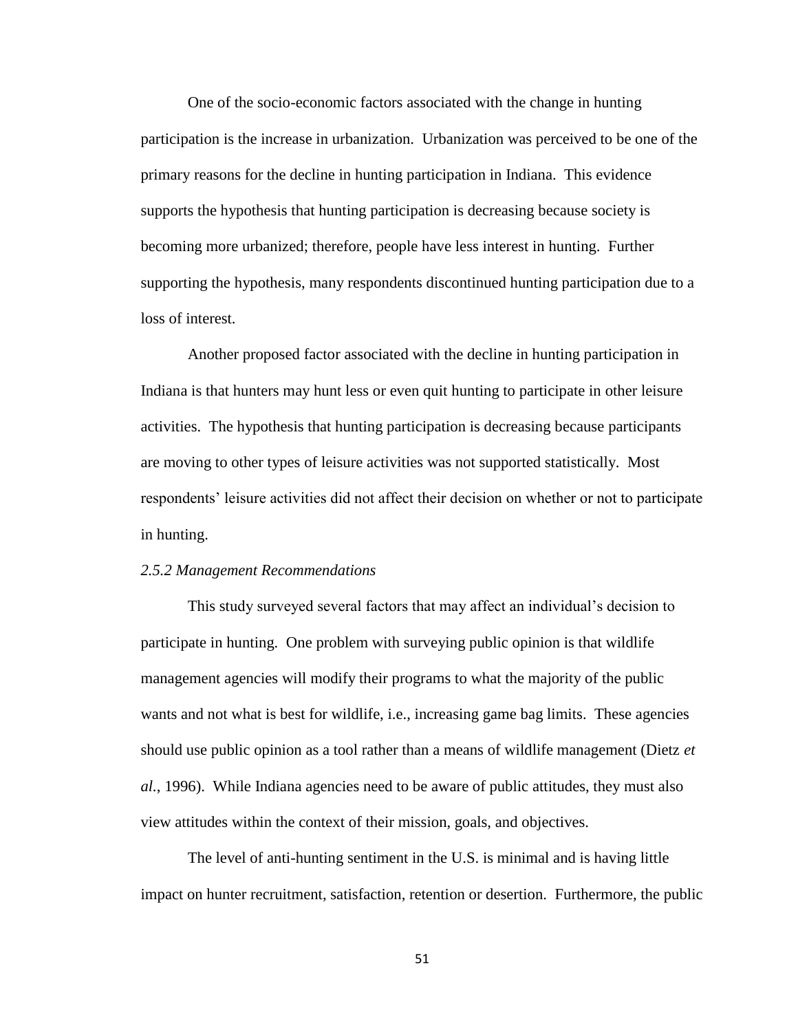One of the socio-economic factors associated with the change in hunting participation is the increase in urbanization. Urbanization was perceived to be one of the primary reasons for the decline in hunting participation in Indiana. This evidence supports the hypothesis that hunting participation is decreasing because society is becoming more urbanized; therefore, people have less interest in hunting. Further supporting the hypothesis, many respondents discontinued hunting participation due to a loss of interest.

Another proposed factor associated with the decline in hunting participation in Indiana is that hunters may hunt less or even quit hunting to participate in other leisure activities. The hypothesis that hunting participation is decreasing because participants are moving to other types of leisure activities was not supported statistically. Most respondents" leisure activities did not affect their decision on whether or not to participate in hunting.

#### *2.5.2 Management Recommendations*

This study surveyed several factors that may affect an individual"s decision to participate in hunting. One problem with surveying public opinion is that wildlife management agencies will modify their programs to what the majority of the public wants and not what is best for wildlife, i.e., increasing game bag limits. These agencies should use public opinion as a tool rather than a means of wildlife management (Dietz *et al.*, 1996). While Indiana agencies need to be aware of public attitudes, they must also view attitudes within the context of their mission, goals, and objectives.

The level of anti-hunting sentiment in the U.S. is minimal and is having little impact on hunter recruitment, satisfaction, retention or desertion. Furthermore, the public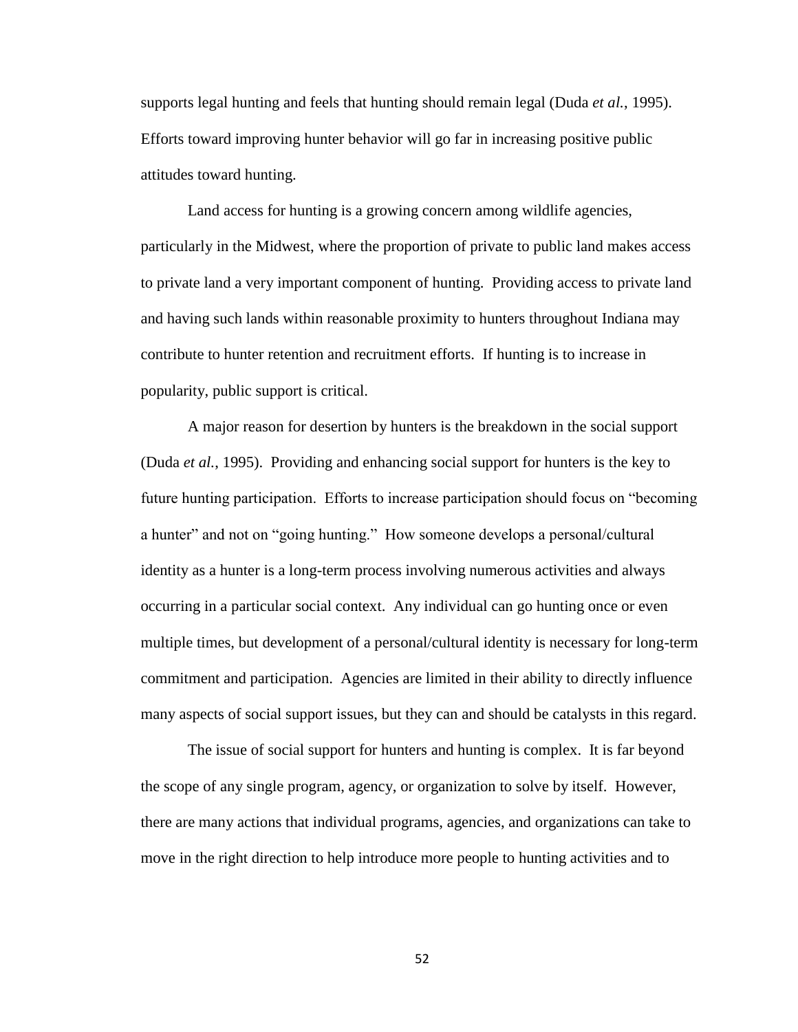supports legal hunting and feels that hunting should remain legal (Duda *et al.*, 1995). Efforts toward improving hunter behavior will go far in increasing positive public attitudes toward hunting.

Land access for hunting is a growing concern among wildlife agencies, particularly in the Midwest, where the proportion of private to public land makes access to private land a very important component of hunting. Providing access to private land and having such lands within reasonable proximity to hunters throughout Indiana may contribute to hunter retention and recruitment efforts. If hunting is to increase in popularity, public support is critical.

A major reason for desertion by hunters is the breakdown in the social support (Duda *et al.*, 1995). Providing and enhancing social support for hunters is the key to future hunting participation. Efforts to increase participation should focus on "becoming a hunter" and not on "going hunting." How someone develops a personal/cultural identity as a hunter is a long-term process involving numerous activities and always occurring in a particular social context. Any individual can go hunting once or even multiple times, but development of a personal/cultural identity is necessary for long-term commitment and participation. Agencies are limited in their ability to directly influence many aspects of social support issues, but they can and should be catalysts in this regard.

The issue of social support for hunters and hunting is complex. It is far beyond the scope of any single program, agency, or organization to solve by itself. However, there are many actions that individual programs, agencies, and organizations can take to move in the right direction to help introduce more people to hunting activities and to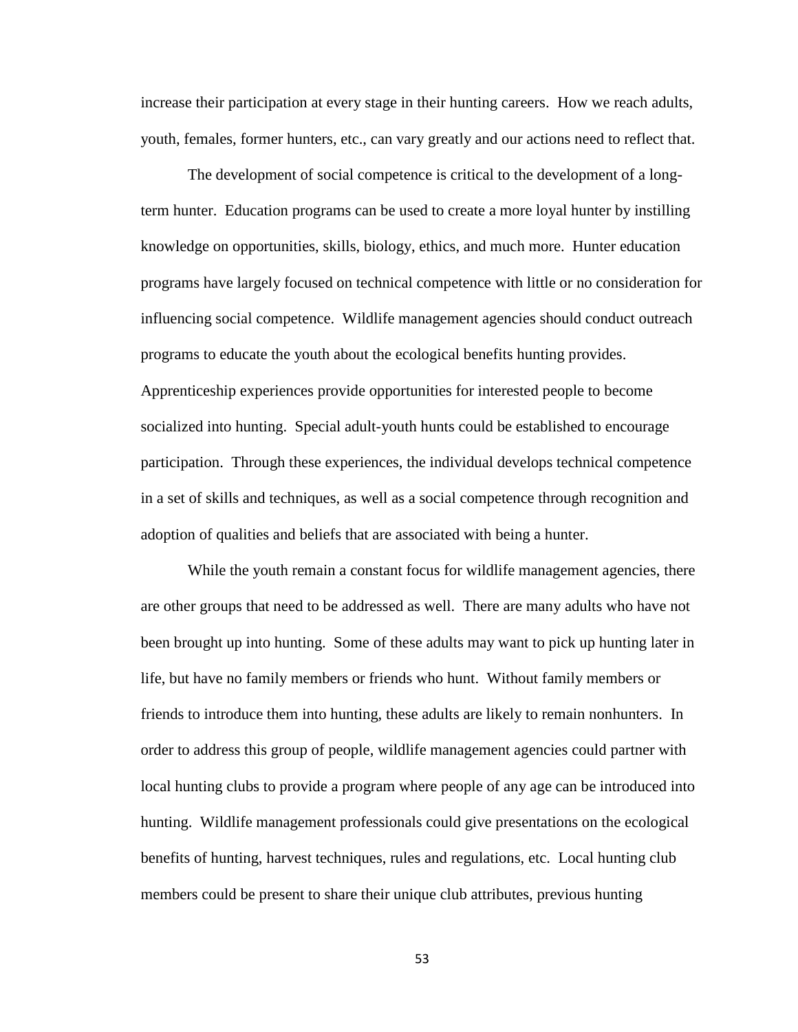increase their participation at every stage in their hunting careers. How we reach adults, youth, females, former hunters, etc., can vary greatly and our actions need to reflect that.

The development of social competence is critical to the development of a longterm hunter. Education programs can be used to create a more loyal hunter by instilling knowledge on opportunities, skills, biology, ethics, and much more. Hunter education programs have largely focused on technical competence with little or no consideration for influencing social competence. Wildlife management agencies should conduct outreach programs to educate the youth about the ecological benefits hunting provides. Apprenticeship experiences provide opportunities for interested people to become socialized into hunting. Special adult-youth hunts could be established to encourage participation. Through these experiences, the individual develops technical competence in a set of skills and techniques, as well as a social competence through recognition and adoption of qualities and beliefs that are associated with being a hunter.

While the youth remain a constant focus for wildlife management agencies, there are other groups that need to be addressed as well. There are many adults who have not been brought up into hunting. Some of these adults may want to pick up hunting later in life, but have no family members or friends who hunt. Without family members or friends to introduce them into hunting, these adults are likely to remain nonhunters. In order to address this group of people, wildlife management agencies could partner with local hunting clubs to provide a program where people of any age can be introduced into hunting. Wildlife management professionals could give presentations on the ecological benefits of hunting, harvest techniques, rules and regulations, etc. Local hunting club members could be present to share their unique club attributes, previous hunting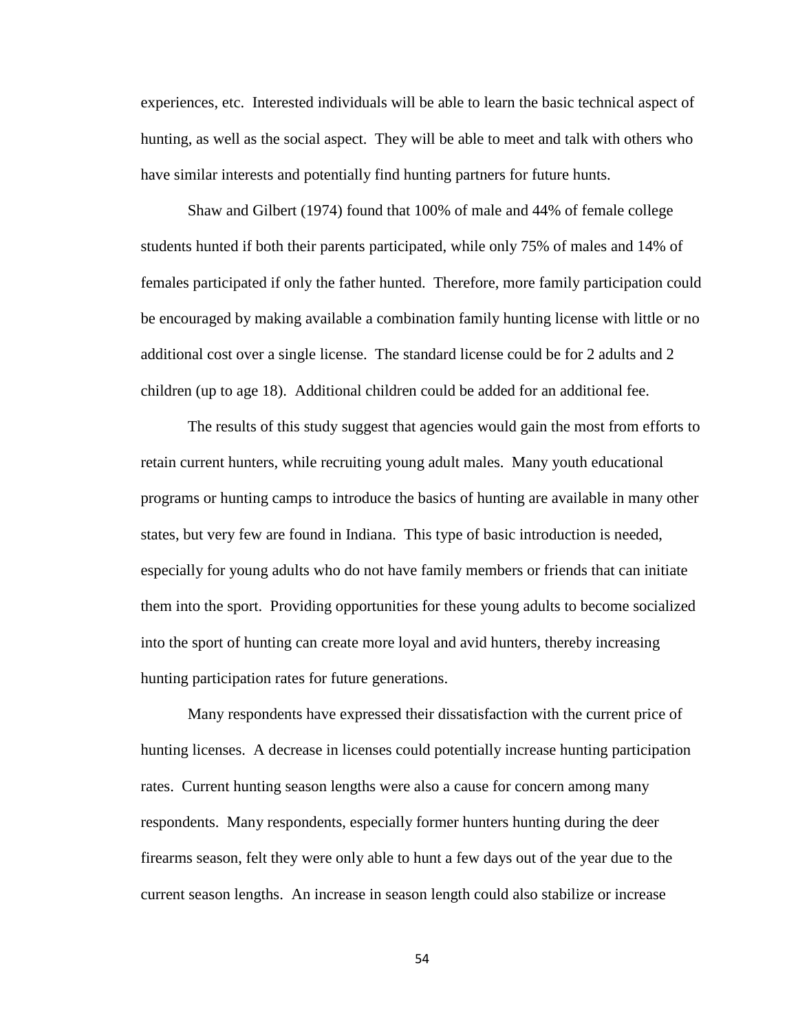experiences, etc. Interested individuals will be able to learn the basic technical aspect of hunting, as well as the social aspect. They will be able to meet and talk with others who have similar interests and potentially find hunting partners for future hunts.

Shaw and Gilbert (1974) found that 100% of male and 44% of female college students hunted if both their parents participated, while only 75% of males and 14% of females participated if only the father hunted. Therefore, more family participation could be encouraged by making available a combination family hunting license with little or no additional cost over a single license. The standard license could be for 2 adults and 2 children (up to age 18). Additional children could be added for an additional fee.

The results of this study suggest that agencies would gain the most from efforts to retain current hunters, while recruiting young adult males. Many youth educational programs or hunting camps to introduce the basics of hunting are available in many other states, but very few are found in Indiana. This type of basic introduction is needed, especially for young adults who do not have family members or friends that can initiate them into the sport. Providing opportunities for these young adults to become socialized into the sport of hunting can create more loyal and avid hunters, thereby increasing hunting participation rates for future generations.

Many respondents have expressed their dissatisfaction with the current price of hunting licenses. A decrease in licenses could potentially increase hunting participation rates. Current hunting season lengths were also a cause for concern among many respondents. Many respondents, especially former hunters hunting during the deer firearms season, felt they were only able to hunt a few days out of the year due to the current season lengths. An increase in season length could also stabilize or increase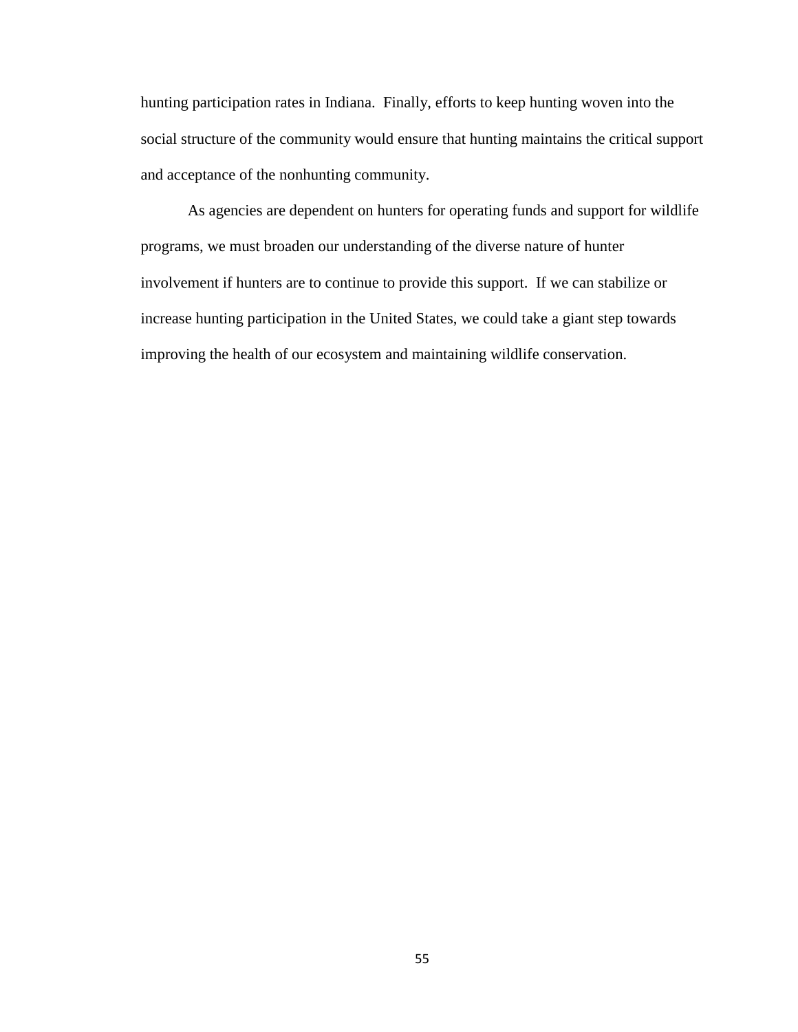hunting participation rates in Indiana. Finally, efforts to keep hunting woven into the social structure of the community would ensure that hunting maintains the critical support and acceptance of the nonhunting community.

As agencies are dependent on hunters for operating funds and support for wildlife programs, we must broaden our understanding of the diverse nature of hunter involvement if hunters are to continue to provide this support. If we can stabilize or increase hunting participation in the United States, we could take a giant step towards improving the health of our ecosystem and maintaining wildlife conservation.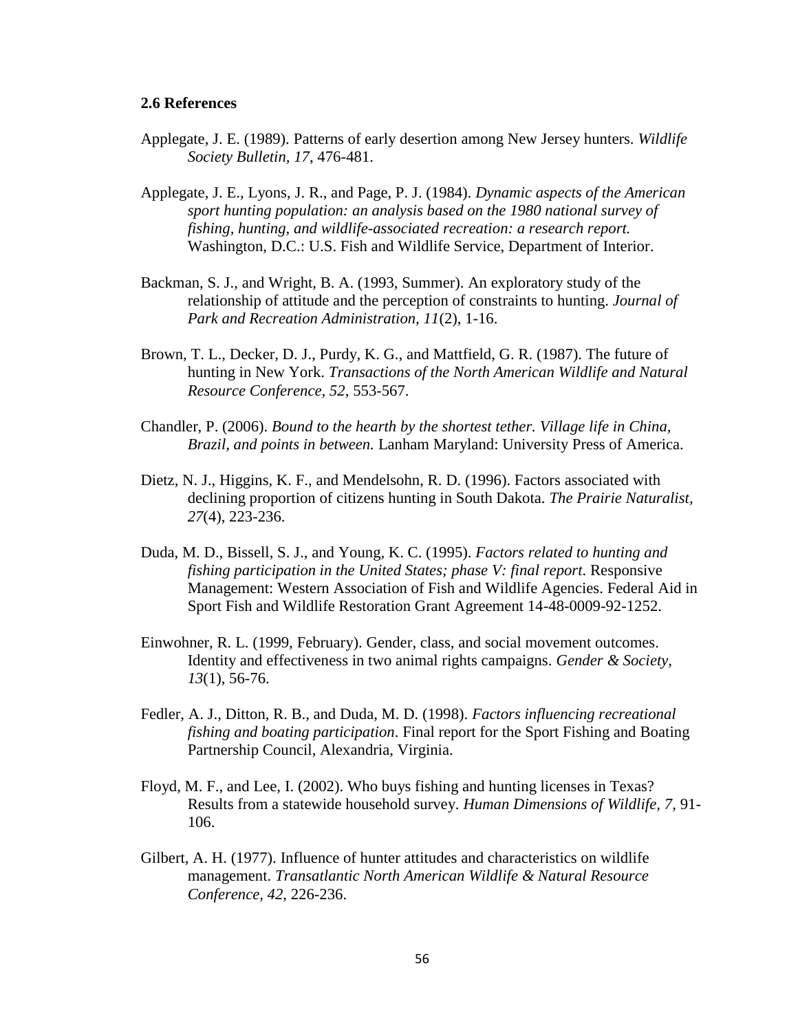#### **2.6 References**

- Applegate, J. E. (1989). Patterns of early desertion among New Jersey hunters. *Wildlife Society Bulletin, 17*, 476-481.
- Applegate, J. E., Lyons, J. R., and Page, P. J. (1984). *Dynamic aspects of the American sport hunting population: an analysis based on the 1980 national survey of fishing, hunting, and wildlife-associated recreation: a research report.* Washington, D.C.: U.S. Fish and Wildlife Service, Department of Interior.
- Backman, S. J., and Wright, B. A. (1993, Summer). An exploratory study of the relationship of attitude and the perception of constraints to hunting. *Journal of Park and Recreation Administration, 11*(2), 1-16.
- Brown, T. L., Decker, D. J., Purdy, K. G., and Mattfield, G. R. (1987). The future of hunting in New York. *Transactions of the North American Wildlife and Natural Resource Conference, 52*, 553-567.
- Chandler, P. (2006). *Bound to the hearth by the shortest tether. Village life in China, Brazil, and points in between.* Lanham Maryland: University Press of America.
- Dietz, N. J., Higgins, K. F., and Mendelsohn, R. D. (1996). Factors associated with declining proportion of citizens hunting in South Dakota. *The Prairie Naturalist, 27*(4), 223-236.
- Duda, M. D., Bissell, S. J., and Young, K. C. (1995). *Factors related to hunting and fishing participation in the United States; phase V: final report*. Responsive Management: Western Association of Fish and Wildlife Agencies. Federal Aid in Sport Fish and Wildlife Restoration Grant Agreement 14-48-0009-92-1252.
- Einwohner, R. L. (1999, February). Gender, class, and social movement outcomes. Identity and effectiveness in two animal rights campaigns. *Gender & Society, 13*(1), 56-76.
- Fedler, A. J., Ditton, R. B., and Duda, M. D. (1998). *Factors influencing recreational fishing and boating participation*. Final report for the Sport Fishing and Boating Partnership Council, Alexandria, Virginia.
- Floyd, M. F., and Lee, I. (2002). Who buys fishing and hunting licenses in Texas? Results from a statewide household survey. *Human Dimensions of Wildlife, 7*, 91- 106.
- Gilbert, A. H. (1977). Influence of hunter attitudes and characteristics on wildlife management. *Transatlantic North American Wildlife & Natural Resource Conference, 42*, 226-236.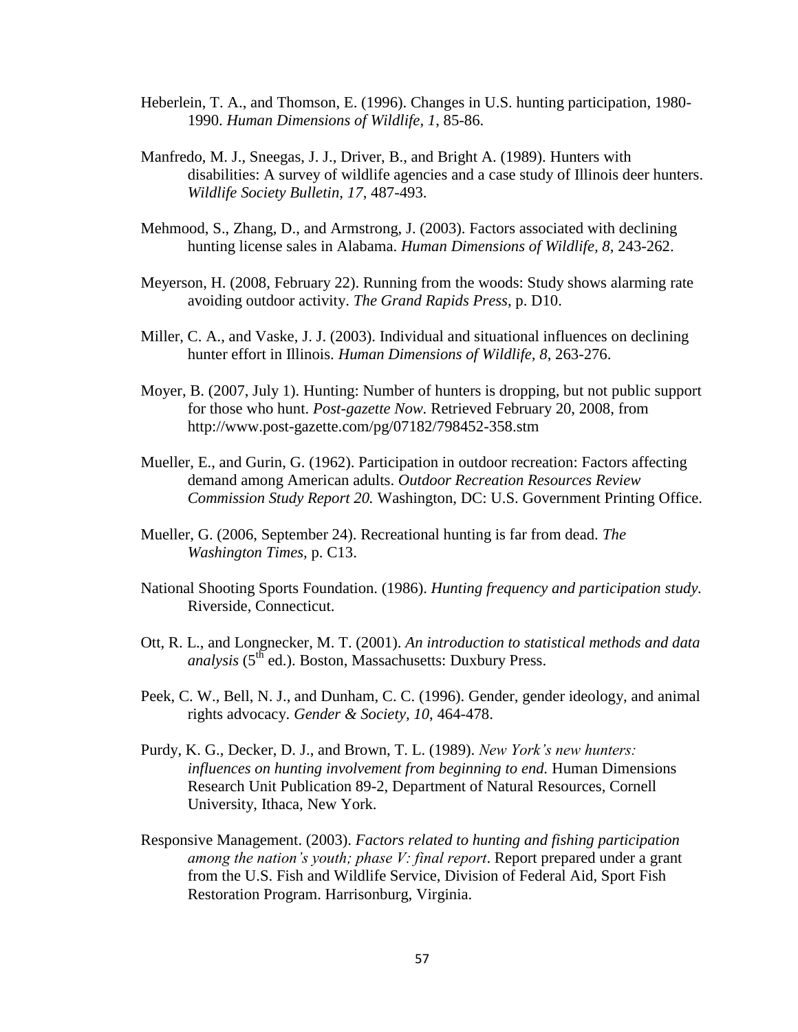- Heberlein, T. A., and Thomson, E. (1996). Changes in U.S. hunting participation, 1980- 1990. *Human Dimensions of Wildlife, 1*, 85-86.
- Manfredo, M. J., Sneegas, J. J., Driver, B., and Bright A. (1989). Hunters with disabilities: A survey of wildlife agencies and a case study of Illinois deer hunters. *Wildlife Society Bulletin, 17*, 487-493.
- Mehmood, S., Zhang, D., and Armstrong, J. (2003). Factors associated with declining hunting license sales in Alabama. *Human Dimensions of Wildlife, 8*, 243-262.
- Meyerson, H. (2008, February 22). Running from the woods: Study shows alarming rate avoiding outdoor activity. *The Grand Rapids Press*, p. D10.
- Miller, C. A., and Vaske, J. J. (2003). Individual and situational influences on declining hunter effort in Illinois. *Human Dimensions of Wildlife, 8*, 263-276.
- Moyer, B. (2007, July 1). Hunting: Number of hunters is dropping, but not public support for those who hunt. *Post-gazette Now.* Retrieved February 20, 2008, from http://www.post-gazette.com/pg/07182/798452-358.stm
- Mueller, E., and Gurin, G. (1962). Participation in outdoor recreation: Factors affecting demand among American adults. *Outdoor Recreation Resources Review Commission Study Report 20.* Washington, DC: U.S. Government Printing Office.
- Mueller, G. (2006, September 24). Recreational hunting is far from dead. *The Washington Times,* p. C13.
- National Shooting Sports Foundation. (1986). *Hunting frequency and participation study.* Riverside, Connecticut.
- Ott, R. L., and Longnecker, M. T. (2001). *An introduction to statistical methods and data analysis* (5<sup>th</sup> ed.). Boston, Massachusetts: Duxbury Press.
- Peek, C. W., Bell, N. J., and Dunham, C. C. (1996). Gender, gender ideology, and animal rights advocacy. *Gender & Society, 10*, 464-478.
- Purdy, K. G., Decker, D. J., and Brown, T. L. (1989). *New York's new hunters: influences on hunting involvement from beginning to end.* Human Dimensions Research Unit Publication 89-2, Department of Natural Resources, Cornell University, Ithaca, New York.
- Responsive Management. (2003). *Factors related to hunting and fishing participation among the nation's youth; phase V: final report*. Report prepared under a grant from the U.S. Fish and Wildlife Service, Division of Federal Aid, Sport Fish Restoration Program. Harrisonburg, Virginia.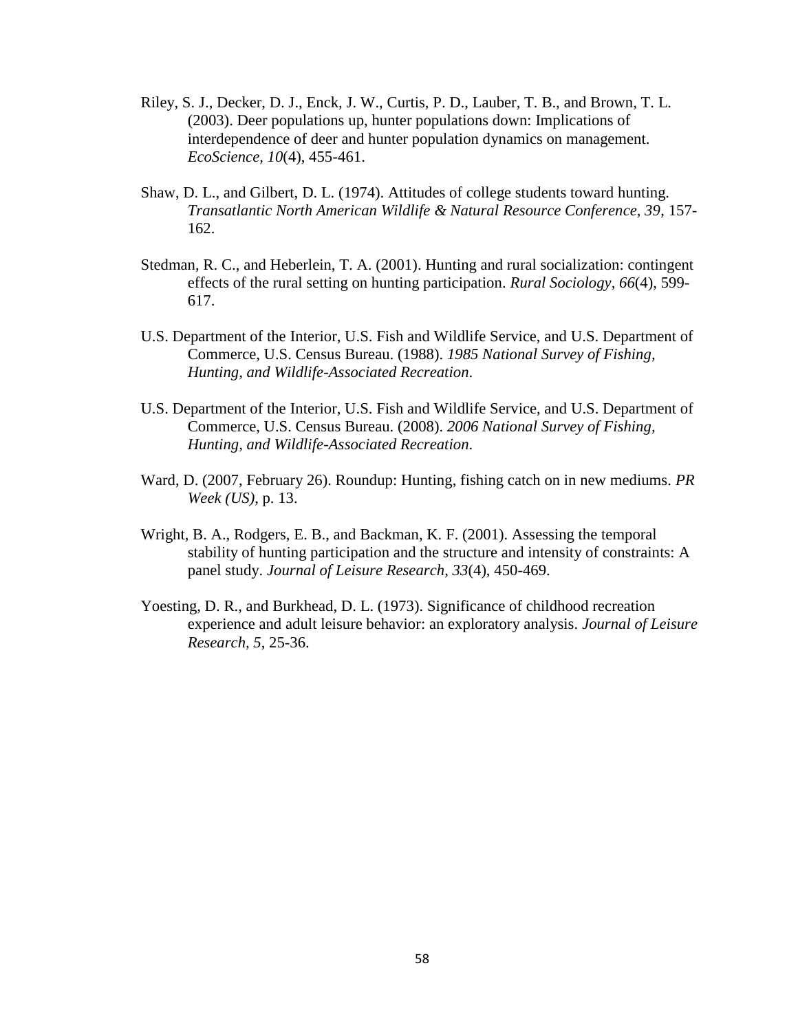- Riley, S. J., Decker, D. J., Enck, J. W., Curtis, P. D., Lauber, T. B., and Brown, T. L. (2003). Deer populations up, hunter populations down: Implications of interdependence of deer and hunter population dynamics on management. *EcoScience, 10*(4), 455-461.
- Shaw, D. L., and Gilbert, D. L. (1974). Attitudes of college students toward hunting. *Transatlantic North American Wildlife & Natural Resource Conference, 39*, 157- 162.
- Stedman, R. C., and Heberlein, T. A. (2001). Hunting and rural socialization: contingent effects of the rural setting on hunting participation. *Rural Sociology, 66*(4), 599- 617.
- U.S. Department of the Interior, U.S. Fish and Wildlife Service, and U.S. Department of Commerce, U.S. Census Bureau. (1988). *1985 National Survey of Fishing, Hunting, and Wildlife-Associated Recreation*.
- U.S. Department of the Interior, U.S. Fish and Wildlife Service, and U.S. Department of Commerce, U.S. Census Bureau. (2008). *2006 National Survey of Fishing, Hunting, and Wildlife-Associated Recreation*.
- Ward, D. (2007, February 26). Roundup: Hunting, fishing catch on in new mediums. *PR Week (US)*, p. 13.
- Wright, B. A., Rodgers, E. B., and Backman, K. F. (2001). Assessing the temporal stability of hunting participation and the structure and intensity of constraints: A panel study. *Journal of Leisure Research, 33*(4), 450-469.
- Yoesting, D. R., and Burkhead, D. L. (1973). Significance of childhood recreation experience and adult leisure behavior: an exploratory analysis. *Journal of Leisure Research, 5*, 25-36.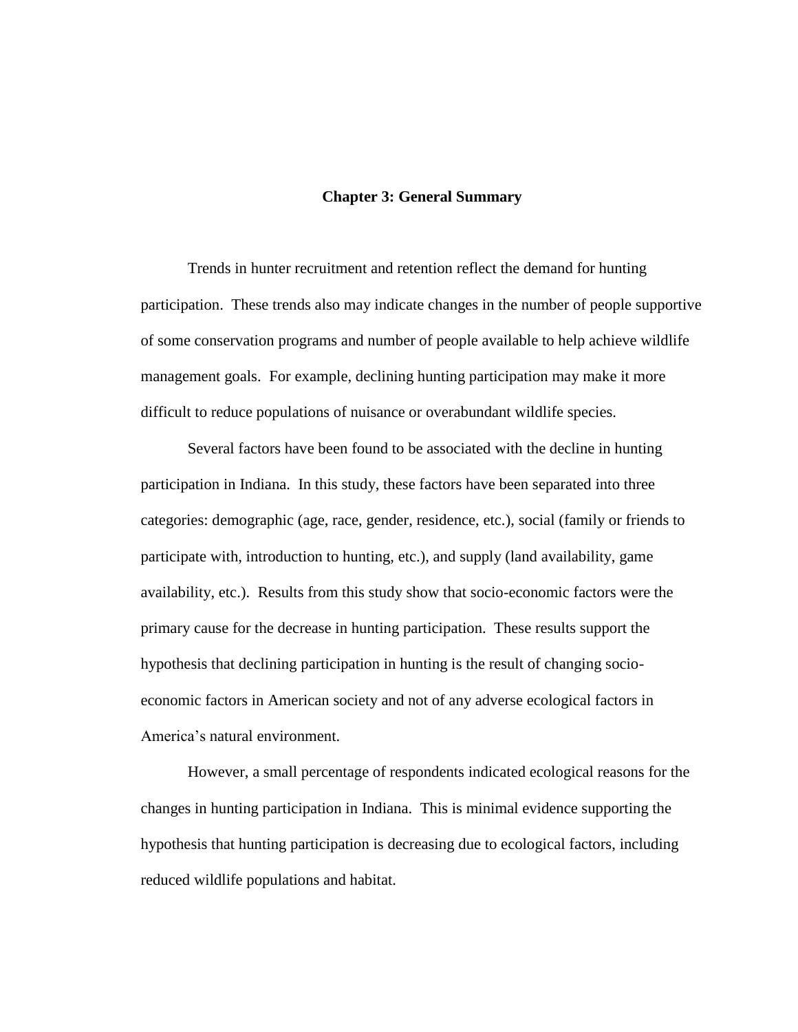### **Chapter 3: General Summary**

Trends in hunter recruitment and retention reflect the demand for hunting participation. These trends also may indicate changes in the number of people supportive of some conservation programs and number of people available to help achieve wildlife management goals. For example, declining hunting participation may make it more difficult to reduce populations of nuisance or overabundant wildlife species.

Several factors have been found to be associated with the decline in hunting participation in Indiana. In this study, these factors have been separated into three categories: demographic (age, race, gender, residence, etc.), social (family or friends to participate with, introduction to hunting, etc.), and supply (land availability, game availability, etc.). Results from this study show that socio-economic factors were the primary cause for the decrease in hunting participation. These results support the hypothesis that declining participation in hunting is the result of changing socioeconomic factors in American society and not of any adverse ecological factors in America"s natural environment.

However, a small percentage of respondents indicated ecological reasons for the changes in hunting participation in Indiana. This is minimal evidence supporting the hypothesis that hunting participation is decreasing due to ecological factors, including reduced wildlife populations and habitat.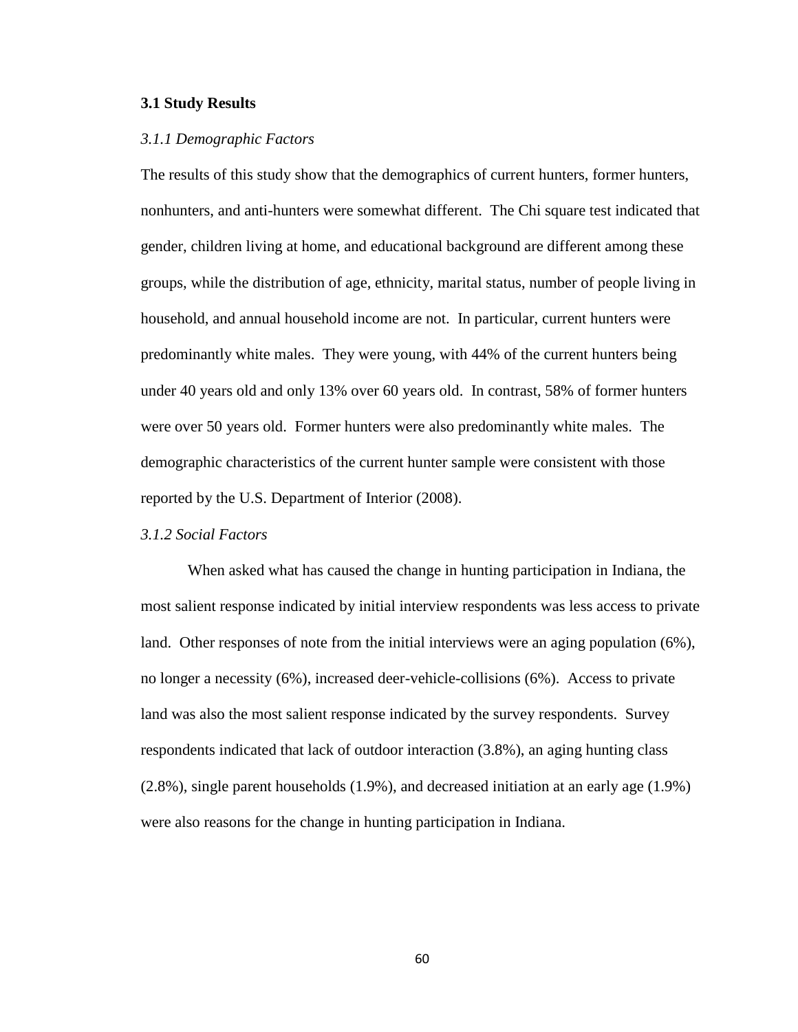### **3.1 Study Results**

#### *3.1.1 Demographic Factors*

The results of this study show that the demographics of current hunters, former hunters, nonhunters, and anti-hunters were somewhat different. The Chi square test indicated that gender, children living at home, and educational background are different among these groups, while the distribution of age, ethnicity, marital status, number of people living in household, and annual household income are not. In particular, current hunters were predominantly white males. They were young, with 44% of the current hunters being under 40 years old and only 13% over 60 years old. In contrast, 58% of former hunters were over 50 years old. Former hunters were also predominantly white males. The demographic characteristics of the current hunter sample were consistent with those reported by the U.S. Department of Interior (2008).

### *3.1.2 Social Factors*

When asked what has caused the change in hunting participation in Indiana, the most salient response indicated by initial interview respondents was less access to private land. Other responses of note from the initial interviews were an aging population (6%), no longer a necessity (6%), increased deer-vehicle-collisions (6%). Access to private land was also the most salient response indicated by the survey respondents. Survey respondents indicated that lack of outdoor interaction (3.8%), an aging hunting class (2.8%), single parent households (1.9%), and decreased initiation at an early age (1.9%) were also reasons for the change in hunting participation in Indiana.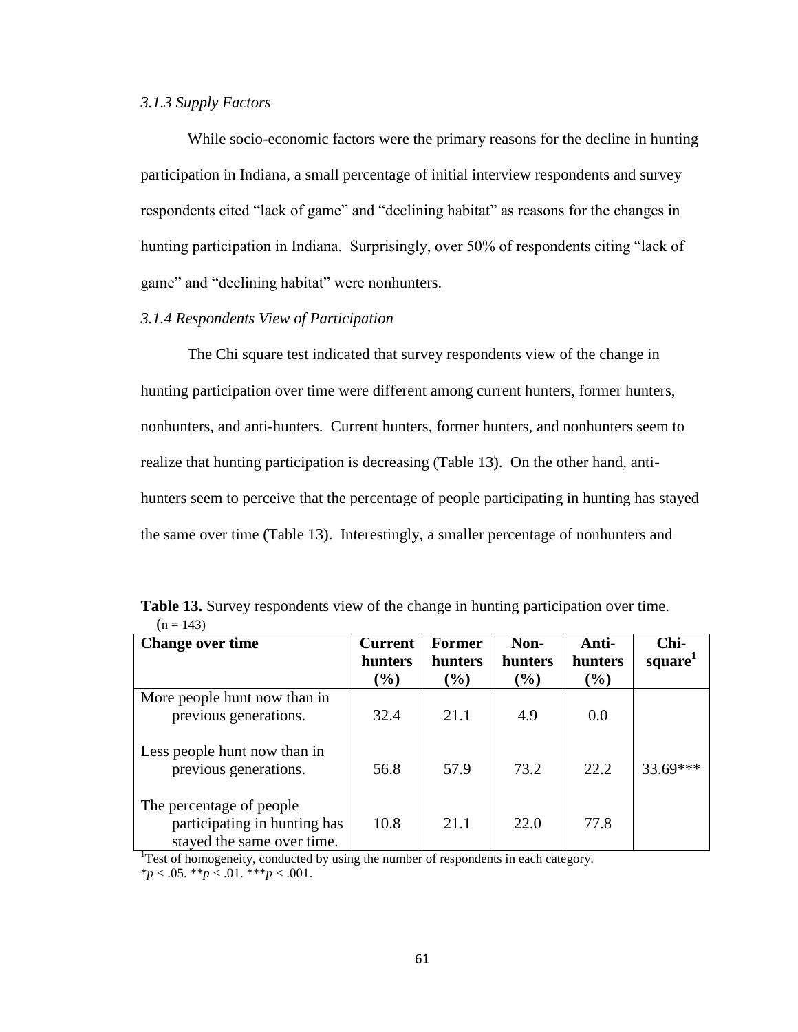# *3.1.3 Supply Factors*

While socio-economic factors were the primary reasons for the decline in hunting participation in Indiana, a small percentage of initial interview respondents and survey respondents cited "lack of game" and "declining habitat" as reasons for the changes in hunting participation in Indiana. Surprisingly, over 50% of respondents citing "lack of game" and "declining habitat" were nonhunters.

# *3.1.4 Respondents View of Participation*

The Chi square test indicated that survey respondents view of the change in hunting participation over time were different among current hunters, former hunters, nonhunters, and anti-hunters. Current hunters, former hunters, and nonhunters seem to realize that hunting participation is decreasing (Table 13). On the other hand, antihunters seem to perceive that the percentage of people participating in hunting has stayed the same over time (Table 13). Interestingly, a smaller percentage of nonhunters and

| <b>Change over time</b>                                                                | <b>Current</b><br>hunters<br>$(\%)$ | <b>Former</b><br>hunters<br>$(\%)$ | Non-<br><b>hunters</b><br>$\left( \frac{0}{0} \right)$ | Anti-<br>hunters<br>$(\%)$ | Chi-<br>square <sup>1</sup> |
|----------------------------------------------------------------------------------------|-------------------------------------|------------------------------------|--------------------------------------------------------|----------------------------|-----------------------------|
| More people hunt now than in<br>previous generations.                                  | 32.4                                | 21.1                               | 4.9                                                    | 0.0                        |                             |
| Less people hunt now than in<br>previous generations.                                  | 56.8                                | 57.9                               | 73.2                                                   | 22.2                       | $33.69***$                  |
| The percentage of people<br>participating in hunting has<br>stayed the same over time. | 10.8                                | 21.1                               | 22.0                                                   | 77.8                       |                             |

**Table 13.** Survey respondents view of the change in hunting participation over time.  $(n = 143)$ 

 $1$ Test of homogeneity, conducted by using the number of respondents in each category.

 $**p* < .05.$   $**p* < .01.$   $**p* < .001.$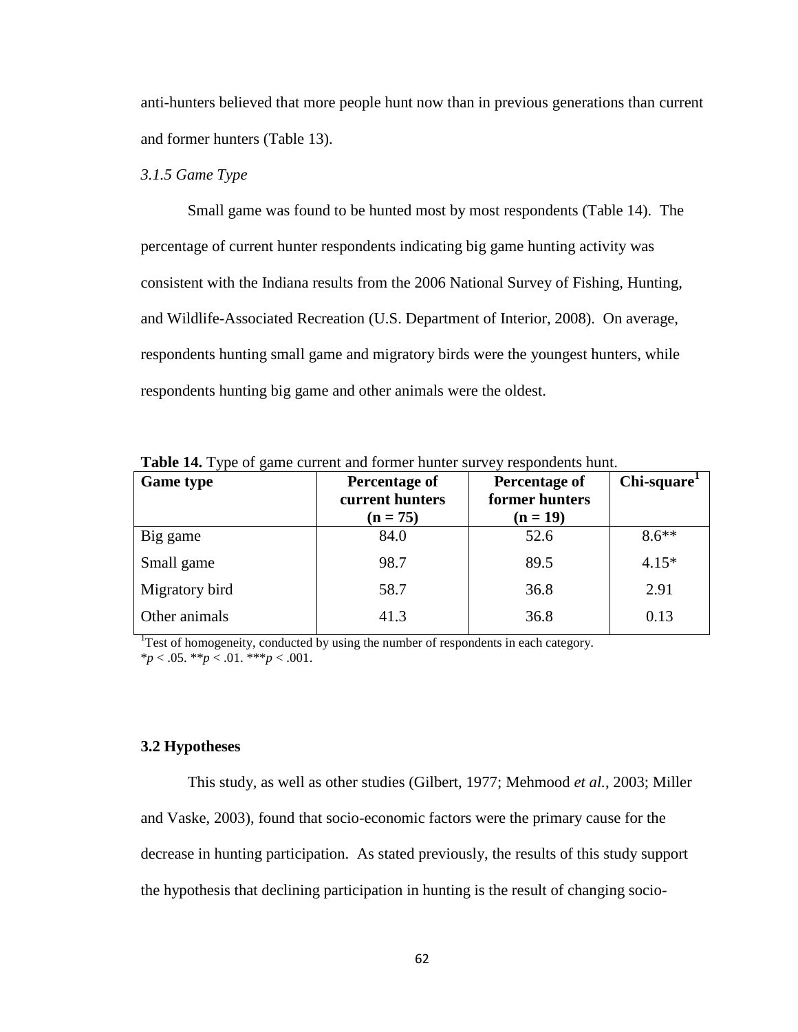anti-hunters believed that more people hunt now than in previous generations than current and former hunters (Table 13).

# *3.1.5 Game Type*

Small game was found to be hunted most by most respondents (Table 14). The percentage of current hunter respondents indicating big game hunting activity was consistent with the Indiana results from the 2006 National Survey of Fishing, Hunting, and Wildlife-Associated Recreation (U.S. Department of Interior, 2008). On average, respondents hunting small game and migratory birds were the youngest hunters, while respondents hunting big game and other animals were the oldest.

| $= 40.042$ $= 10.47$ $= 10.04$ $= 10.04$<br><b>Game type</b> | Chi-square <sup>1</sup><br>Percentage of<br>Percentage of |                |         |  |  |
|--------------------------------------------------------------|-----------------------------------------------------------|----------------|---------|--|--|
|                                                              | current hunters                                           | former hunters |         |  |  |
|                                                              | $(n = 75)$                                                | $(n = 19)$     |         |  |  |
| Big game                                                     | 84.0                                                      | 52.6           | $8.6**$ |  |  |
| Small game                                                   | 98.7                                                      | 89.5           | $4.15*$ |  |  |
| Migratory bird                                               | 58.7                                                      | 36.8           | 2.91    |  |  |
| Other animals                                                | 41.3                                                      | 36.8           | 0.13    |  |  |

**Table 14.** Type of game current and former hunter survey respondents hunt.

 $1$ <sup>1</sup>Test of homogeneity, conducted by using the number of respondents in each category.  $**p* < .05.$   $**p* < .01.$   $**p* < .001.$ 

### **3.2 Hypotheses**

This study, as well as other studies (Gilbert, 1977; Mehmood *et al.*, 2003; Miller and Vaske, 2003), found that socio-economic factors were the primary cause for the decrease in hunting participation. As stated previously, the results of this study support the hypothesis that declining participation in hunting is the result of changing socio-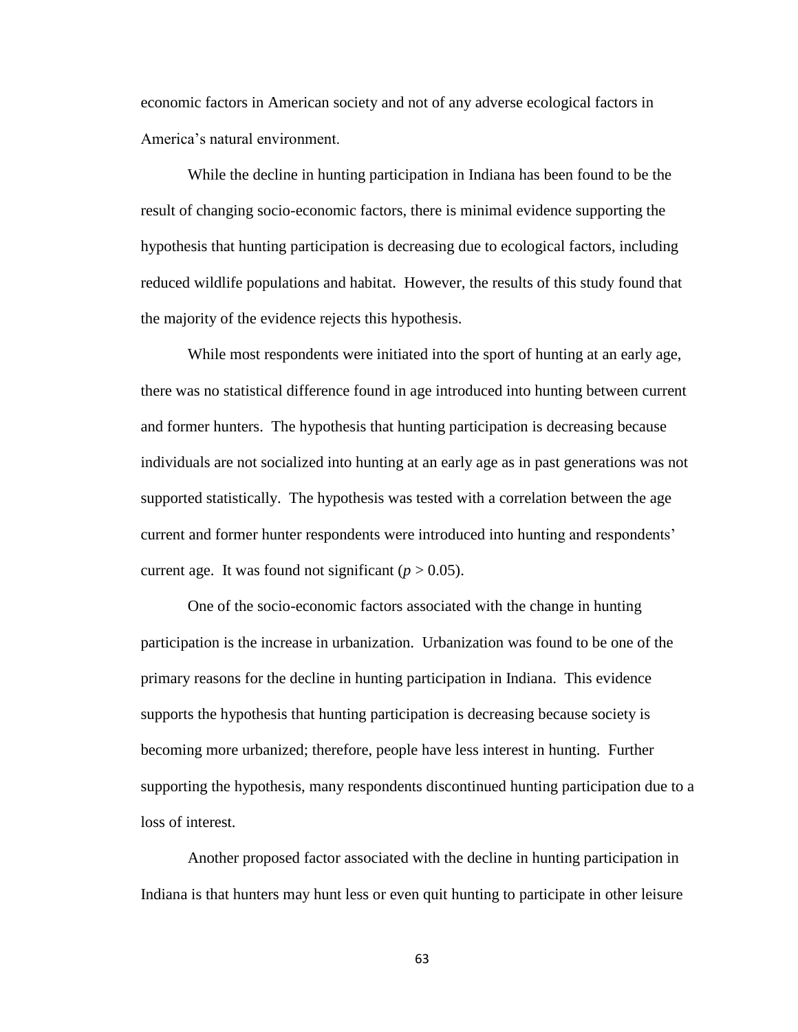economic factors in American society and not of any adverse ecological factors in America"s natural environment.

While the decline in hunting participation in Indiana has been found to be the result of changing socio-economic factors, there is minimal evidence supporting the hypothesis that hunting participation is decreasing due to ecological factors, including reduced wildlife populations and habitat. However, the results of this study found that the majority of the evidence rejects this hypothesis.

While most respondents were initiated into the sport of hunting at an early age, there was no statistical difference found in age introduced into hunting between current and former hunters. The hypothesis that hunting participation is decreasing because individuals are not socialized into hunting at an early age as in past generations was not supported statistically. The hypothesis was tested with a correlation between the age current and former hunter respondents were introduced into hunting and respondents" current age. It was found not significant  $(p > 0.05)$ .

One of the socio-economic factors associated with the change in hunting participation is the increase in urbanization. Urbanization was found to be one of the primary reasons for the decline in hunting participation in Indiana. This evidence supports the hypothesis that hunting participation is decreasing because society is becoming more urbanized; therefore, people have less interest in hunting. Further supporting the hypothesis, many respondents discontinued hunting participation due to a loss of interest.

Another proposed factor associated with the decline in hunting participation in Indiana is that hunters may hunt less or even quit hunting to participate in other leisure

63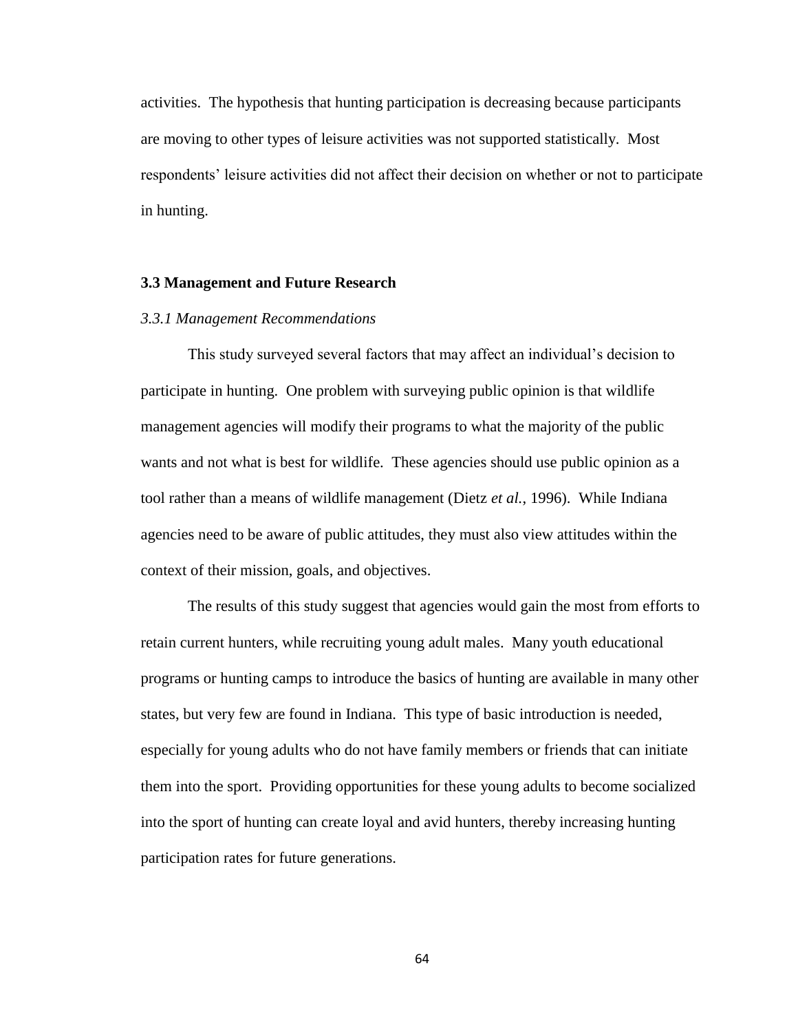activities. The hypothesis that hunting participation is decreasing because participants are moving to other types of leisure activities was not supported statistically. Most respondents" leisure activities did not affect their decision on whether or not to participate in hunting.

### **3.3 Management and Future Research**

#### *3.3.1 Management Recommendations*

This study surveyed several factors that may affect an individual"s decision to participate in hunting. One problem with surveying public opinion is that wildlife management agencies will modify their programs to what the majority of the public wants and not what is best for wildlife. These agencies should use public opinion as a tool rather than a means of wildlife management (Dietz *et al.*, 1996). While Indiana agencies need to be aware of public attitudes, they must also view attitudes within the context of their mission, goals, and objectives.

The results of this study suggest that agencies would gain the most from efforts to retain current hunters, while recruiting young adult males. Many youth educational programs or hunting camps to introduce the basics of hunting are available in many other states, but very few are found in Indiana. This type of basic introduction is needed, especially for young adults who do not have family members or friends that can initiate them into the sport. Providing opportunities for these young adults to become socialized into the sport of hunting can create loyal and avid hunters, thereby increasing hunting participation rates for future generations.

64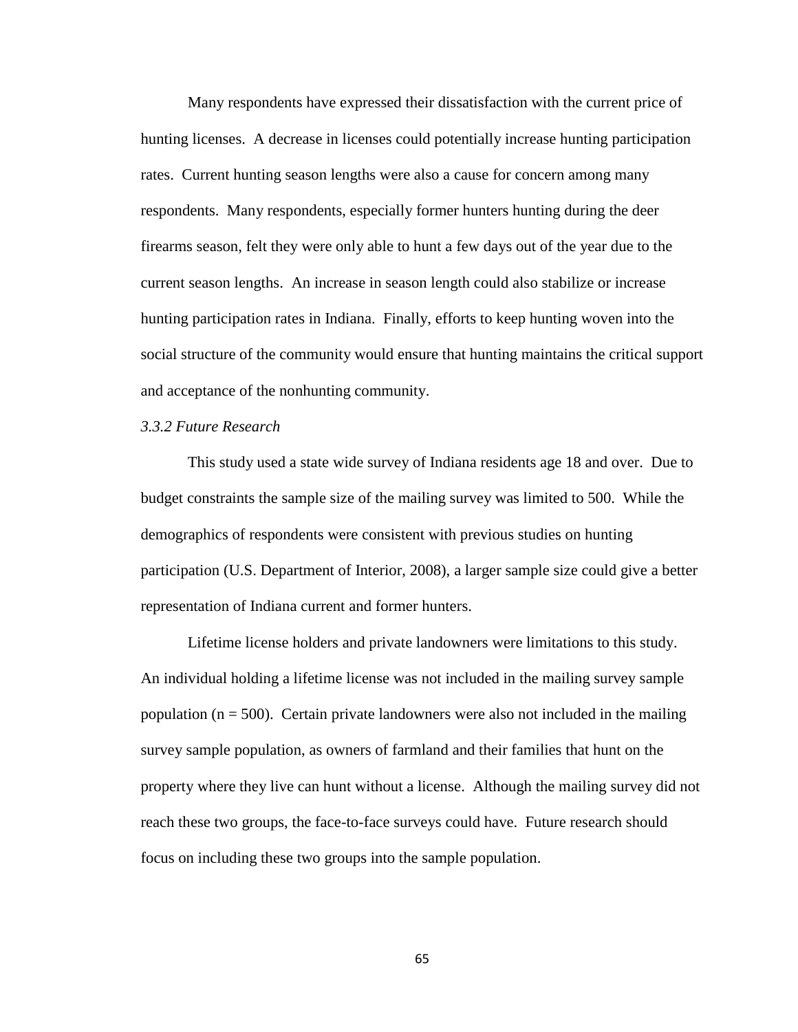Many respondents have expressed their dissatisfaction with the current price of hunting licenses. A decrease in licenses could potentially increase hunting participation rates. Current hunting season lengths were also a cause for concern among many respondents. Many respondents, especially former hunters hunting during the deer firearms season, felt they were only able to hunt a few days out of the year due to the current season lengths. An increase in season length could also stabilize or increase hunting participation rates in Indiana. Finally, efforts to keep hunting woven into the social structure of the community would ensure that hunting maintains the critical support and acceptance of the nonhunting community.

## *3.3.2 Future Research*

This study used a state wide survey of Indiana residents age 18 and over. Due to budget constraints the sample size of the mailing survey was limited to 500. While the demographics of respondents were consistent with previous studies on hunting participation (U.S. Department of Interior, 2008), a larger sample size could give a better representation of Indiana current and former hunters.

Lifetime license holders and private landowners were limitations to this study. An individual holding a lifetime license was not included in the mailing survey sample population  $(n = 500)$ . Certain private landowners were also not included in the mailing survey sample population, as owners of farmland and their families that hunt on the property where they live can hunt without a license. Although the mailing survey did not reach these two groups, the face-to-face surveys could have. Future research should focus on including these two groups into the sample population.

65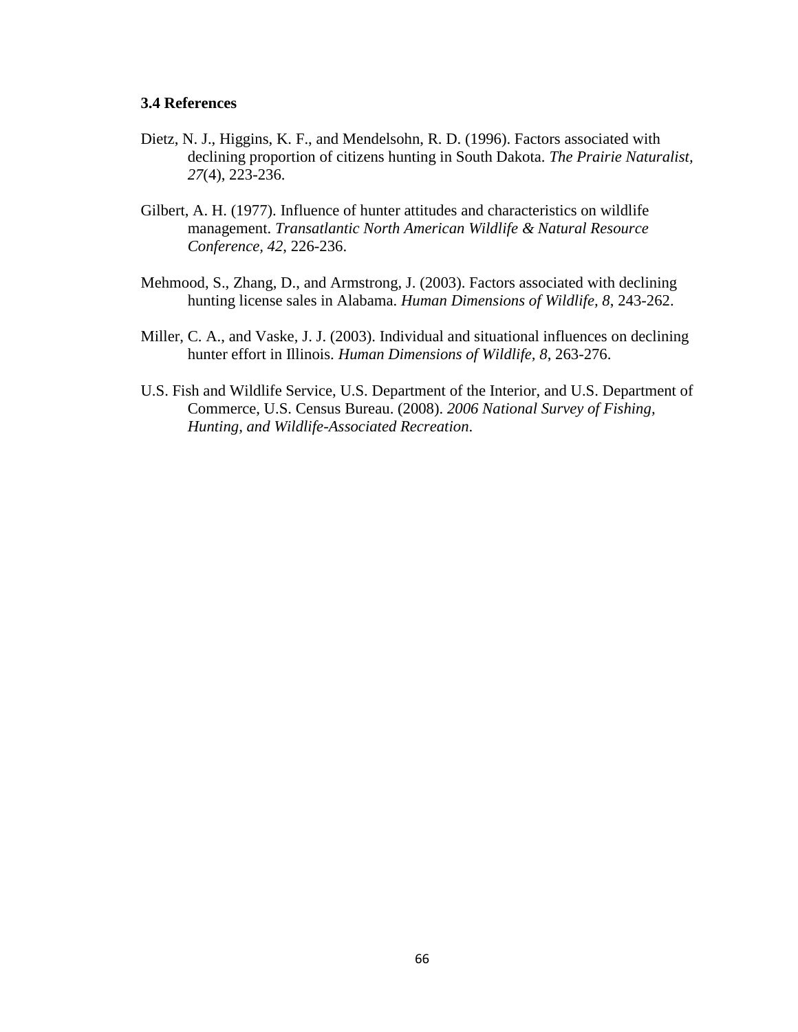### **3.4 References**

- Dietz, N. J., Higgins, K. F., and Mendelsohn, R. D. (1996). Factors associated with declining proportion of citizens hunting in South Dakota. *The Prairie Naturalist, 27*(4), 223-236.
- Gilbert, A. H. (1977). Influence of hunter attitudes and characteristics on wildlife management. *Transatlantic North American Wildlife & Natural Resource Conference, 42*, 226-236.
- Mehmood, S., Zhang, D., and Armstrong, J. (2003). Factors associated with declining hunting license sales in Alabama. *Human Dimensions of Wildlife, 8*, 243-262.
- Miller, C. A., and Vaske, J. J. (2003). Individual and situational influences on declining hunter effort in Illinois. *Human Dimensions of Wildlife, 8*, 263-276.
- U.S. Fish and Wildlife Service, U.S. Department of the Interior, and U.S. Department of Commerce, U.S. Census Bureau. (2008). *2006 National Survey of Fishing, Hunting, and Wildlife-Associated Recreation*.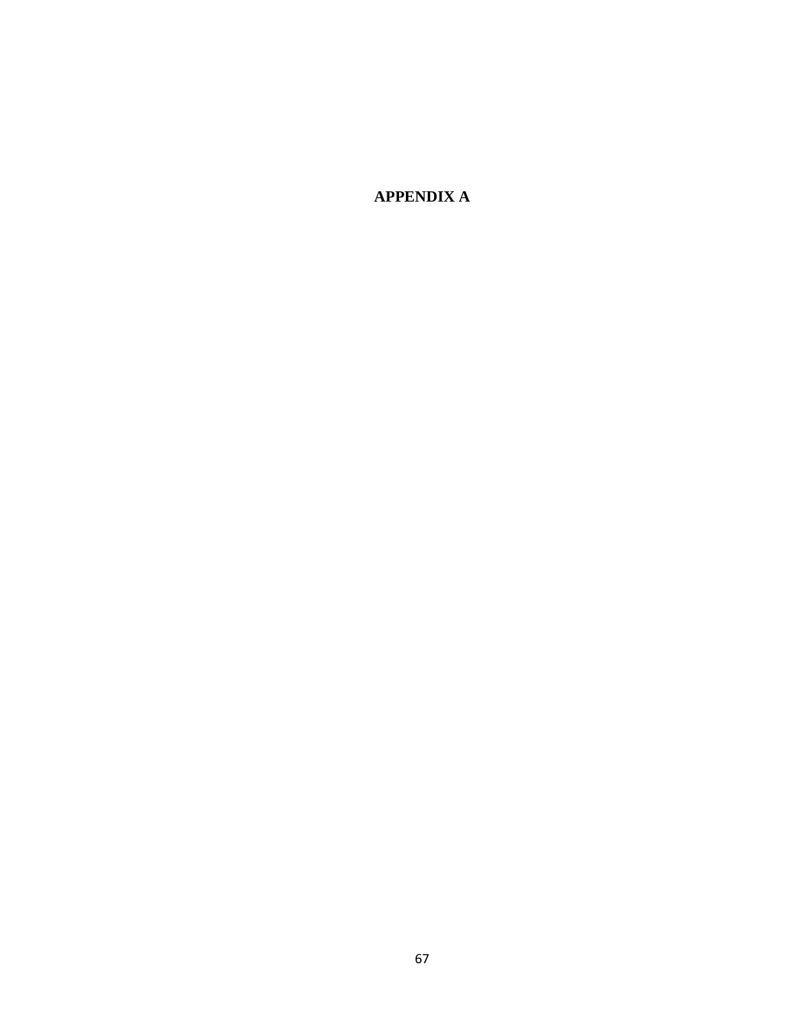**APPENDIX A**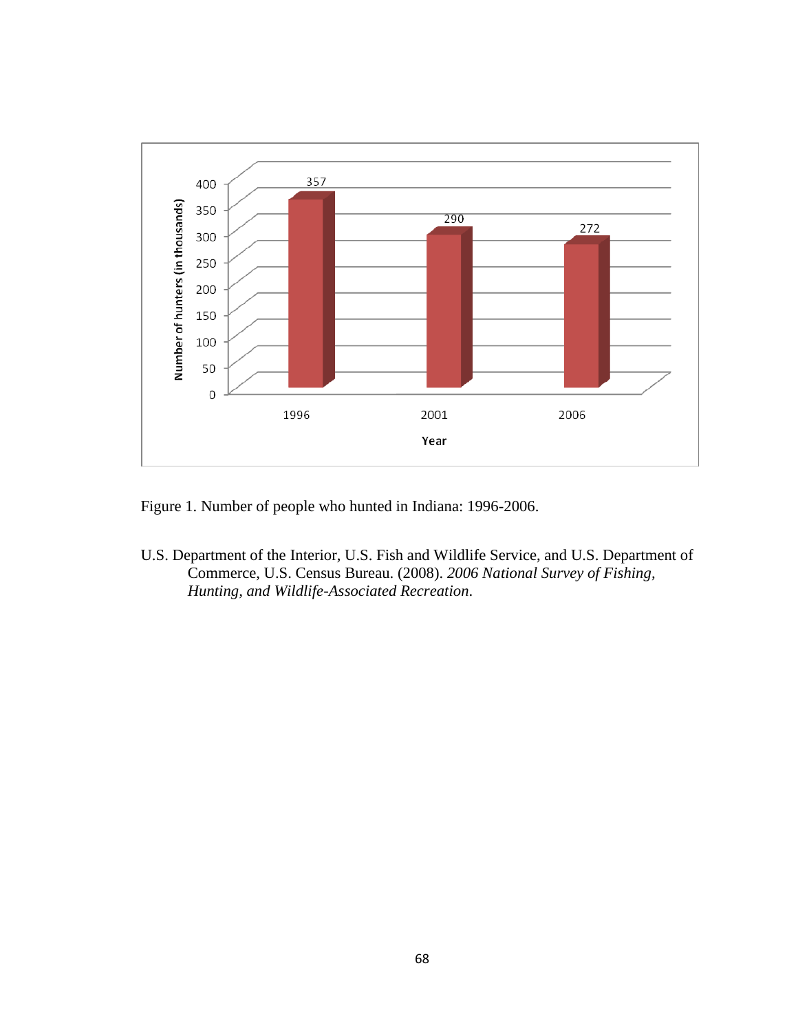

Figure 1. Number of people who hunted in Indiana: 1996-2006.

U.S. Department of the Interior, U.S. Fish and Wildlife Service, and U.S. Department of Commerce, U.S. Census Bureau. (2008). *2006 National Survey of Fishing, Hunting, and Wildlife-Associated Recreation*.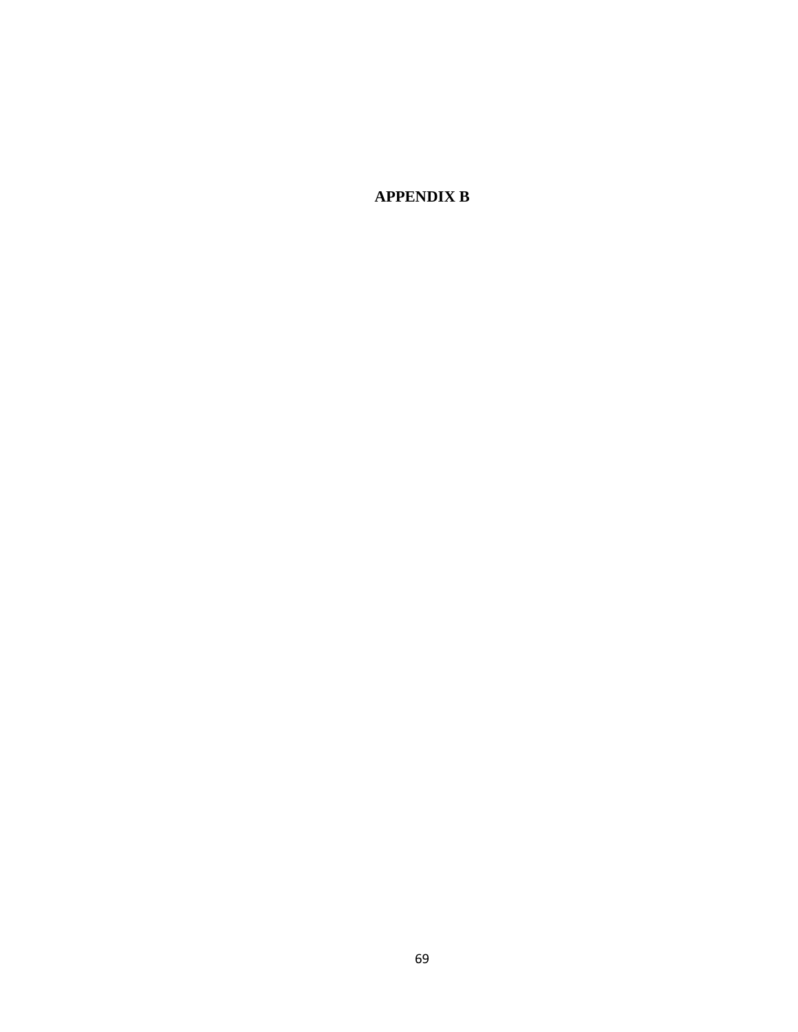**APPENDIX B**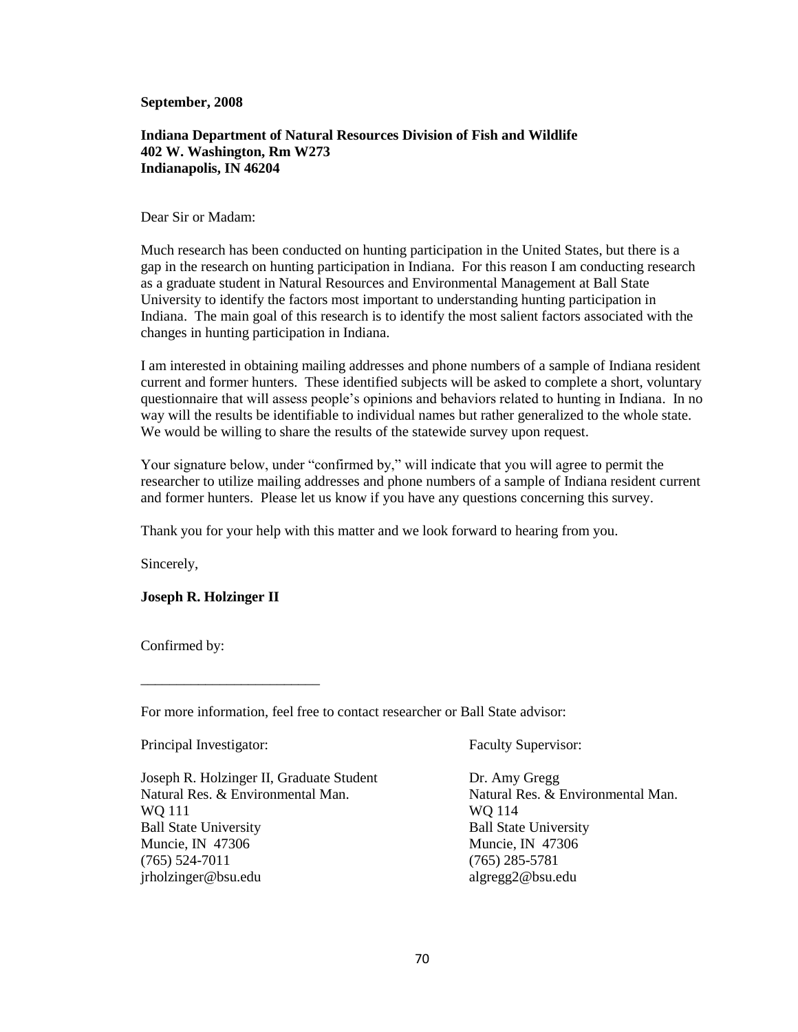**September, 2008**

### **Indiana Department of Natural Resources Division of Fish and Wildlife 402 W. Washington, Rm W273 Indianapolis, IN 46204**

#### Dear Sir or Madam:

Much research has been conducted on hunting participation in the United States, but there is a gap in the research on hunting participation in Indiana. For this reason I am conducting research as a graduate student in Natural Resources and Environmental Management at Ball State University to identify the factors most important to understanding hunting participation in Indiana. The main goal of this research is to identify the most salient factors associated with the changes in hunting participation in Indiana.

I am interested in obtaining mailing addresses and phone numbers of a sample of Indiana resident current and former hunters. These identified subjects will be asked to complete a short, voluntary questionnaire that will assess people"s opinions and behaviors related to hunting in Indiana. In no way will the results be identifiable to individual names but rather generalized to the whole state. We would be willing to share the results of the statewide survey upon request.

Your signature below, under "confirmed by," will indicate that you will agree to permit the researcher to utilize mailing addresses and phone numbers of a sample of Indiana resident current and former hunters. Please let us know if you have any questions concerning this survey.

Thank you for your help with this matter and we look forward to hearing from you.

Sincerely,

#### **Joseph R. Holzinger II**

\_\_\_\_\_\_\_\_\_\_\_\_\_\_\_\_\_\_\_\_\_\_\_\_\_

Confirmed by:

For more information, feel free to contact researcher or Ball State advisor:

| Principal Investigator:                  | <b>Faculty Supervisor:</b>        |  |  |
|------------------------------------------|-----------------------------------|--|--|
| Joseph R. Holzinger II, Graduate Student | Dr. Amy Gregg                     |  |  |
| Natural Res. & Environmental Man.        | Natural Res. & Environmental Man. |  |  |
| WQ 111                                   | WO 114                            |  |  |
| <b>Ball State University</b>             | <b>Ball State University</b>      |  |  |
| Muncie, IN 47306                         | Muncie, IN 47306                  |  |  |
| $(765)$ 524-7011                         | $(765)$ 285-5781                  |  |  |
| jrholzinger@bsu.edu                      | algreg2@bsu.edu                   |  |  |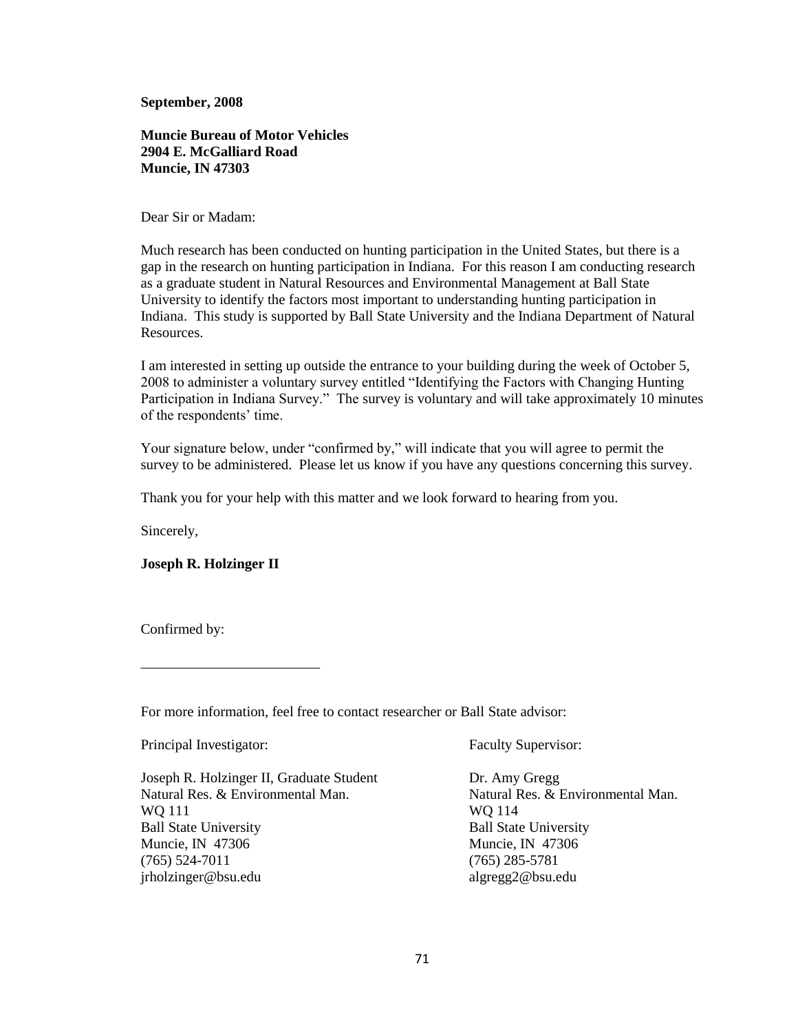**September, 2008**

**Muncie Bureau of Motor Vehicles 2904 E. McGalliard Road Muncie, IN 47303**

Dear Sir or Madam:

Much research has been conducted on hunting participation in the United States, but there is a gap in the research on hunting participation in Indiana. For this reason I am conducting research as a graduate student in Natural Resources and Environmental Management at Ball State University to identify the factors most important to understanding hunting participation in Indiana. This study is supported by Ball State University and the Indiana Department of Natural Resources.

I am interested in setting up outside the entrance to your building during the week of October 5, 2008 to administer a voluntary survey entitled "Identifying the Factors with Changing Hunting Participation in Indiana Survey." The survey is voluntary and will take approximately 10 minutes of the respondents' time.

Your signature below, under "confirmed by," will indicate that you will agree to permit the survey to be administered. Please let us know if you have any questions concerning this survey.

Thank you for your help with this matter and we look forward to hearing from you.

Sincerely,

#### **Joseph R. Holzinger II**

\_\_\_\_\_\_\_\_\_\_\_\_\_\_\_\_\_\_\_\_\_\_\_\_\_

Confirmed by:

For more information, feel free to contact researcher or Ball State advisor:

| Principal Investigator:                  | <b>Faculty Supervisor:</b>        |  |  |
|------------------------------------------|-----------------------------------|--|--|
| Joseph R. Holzinger II, Graduate Student | Dr. Amy Gregg                     |  |  |
| Natural Res. & Environmental Man.        | Natural Res. & Environmental Man. |  |  |
| WQ 111                                   | WO 114                            |  |  |
| <b>Ball State University</b>             | <b>Ball State University</b>      |  |  |
| Muncie, IN 47306                         | Muncie, IN 47306                  |  |  |
| $(765)$ 524-7011                         | $(765)$ 285-5781                  |  |  |
| jrholzinger@bsu.edu                      | algreg2@bsu.edu                   |  |  |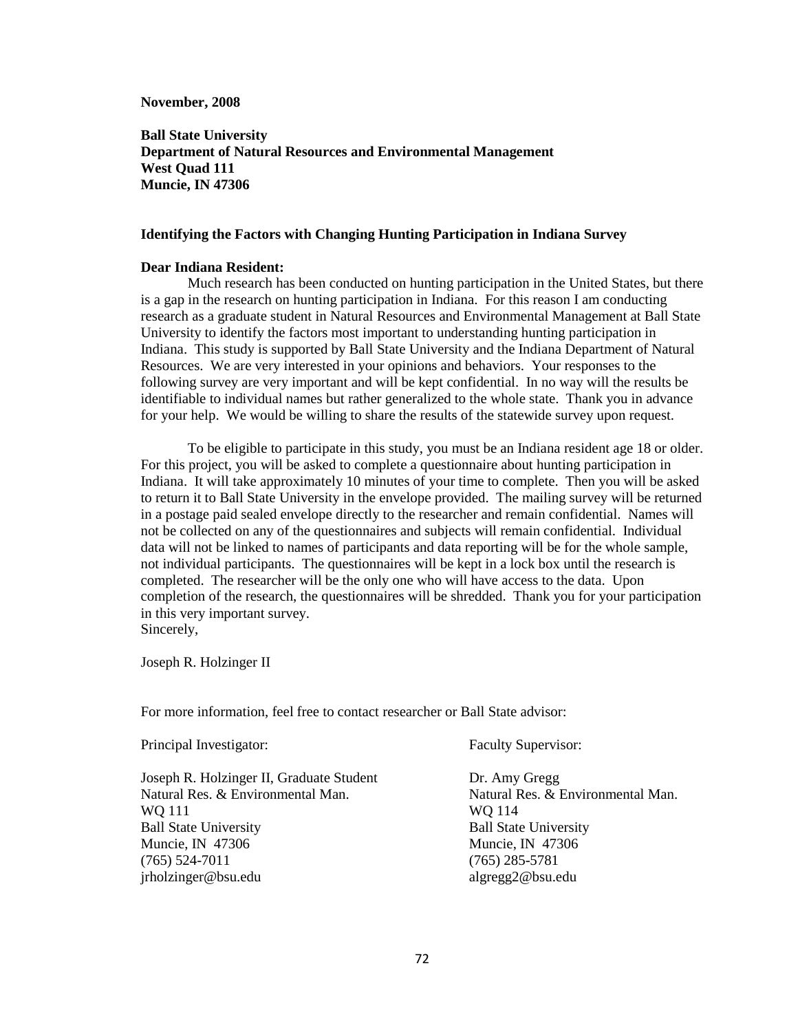**November, 2008**

**Ball State University Department of Natural Resources and Environmental Management West Quad 111 Muncie, IN 47306**

#### **Identifying the Factors with Changing Hunting Participation in Indiana Survey**

#### **Dear Indiana Resident:**

Much research has been conducted on hunting participation in the United States, but there is a gap in the research on hunting participation in Indiana. For this reason I am conducting research as a graduate student in Natural Resources and Environmental Management at Ball State University to identify the factors most important to understanding hunting participation in Indiana. This study is supported by Ball State University and the Indiana Department of Natural Resources. We are very interested in your opinions and behaviors. Your responses to the following survey are very important and will be kept confidential. In no way will the results be identifiable to individual names but rather generalized to the whole state. Thank you in advance for your help. We would be willing to share the results of the statewide survey upon request.

To be eligible to participate in this study, you must be an Indiana resident age 18 or older. For this project, you will be asked to complete a questionnaire about hunting participation in Indiana. It will take approximately 10 minutes of your time to complete. Then you will be asked to return it to Ball State University in the envelope provided. The mailing survey will be returned in a postage paid sealed envelope directly to the researcher and remain confidential. Names will not be collected on any of the questionnaires and subjects will remain confidential. Individual data will not be linked to names of participants and data reporting will be for the whole sample, not individual participants. The questionnaires will be kept in a lock box until the research is completed. The researcher will be the only one who will have access to the data. Upon completion of the research, the questionnaires will be shredded. Thank you for your participation in this very important survey. Sincerely,

Joseph R. Holzinger II

For more information, feel free to contact researcher or Ball State advisor:

| Principal Investigator:                  | <b>Faculty Supervisor:</b>        |  |  |
|------------------------------------------|-----------------------------------|--|--|
| Joseph R. Holzinger II, Graduate Student | Dr. Amy Gregg                     |  |  |
| Natural Res. & Environmental Man.        | Natural Res. & Environmental Man. |  |  |
| WQ 111                                   | WQ 114                            |  |  |
| <b>Ball State University</b>             | <b>Ball State University</b>      |  |  |
| Muncie, IN 47306                         | Muncie, IN 47306                  |  |  |
| $(765)$ 524-7011                         | $(765)$ 285-5781                  |  |  |
| jrholzinger@bsu.edu                      | algreg2@bsu.edu                   |  |  |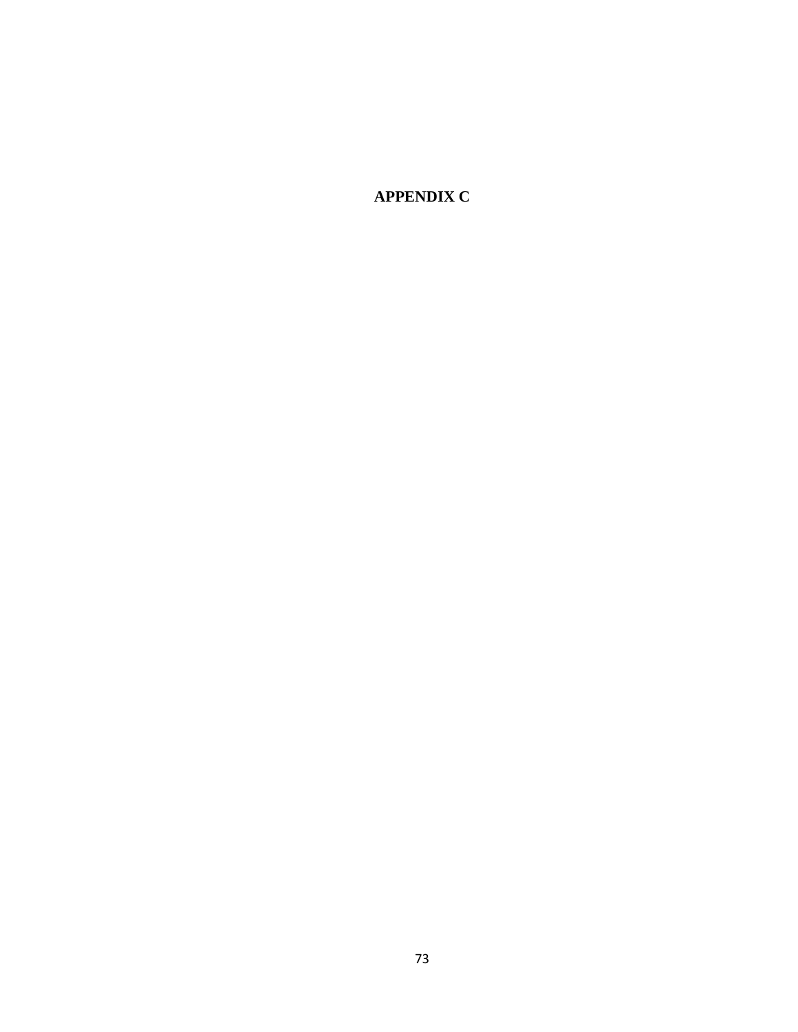**APPENDIX C**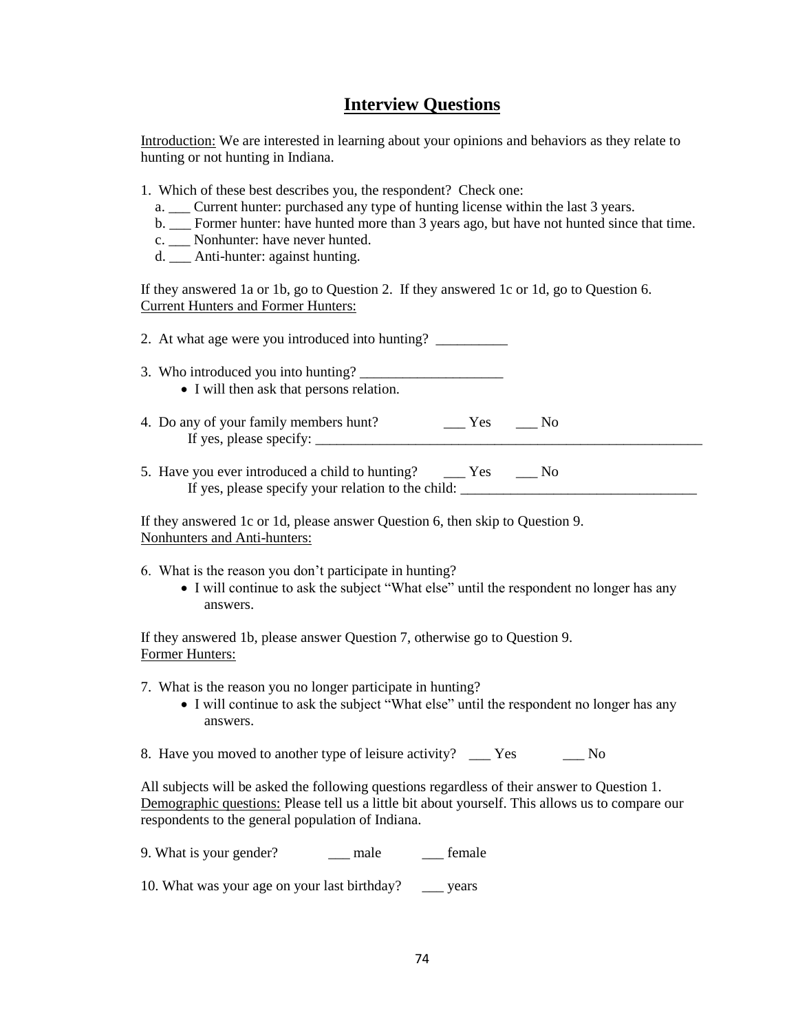## **Interview Questions**

Introduction: We are interested in learning about your opinions and behaviors as they relate to hunting or not hunting in Indiana.

- 1. Which of these best describes you, the respondent? Check one:
	- a. \_\_\_ Current hunter: purchased any type of hunting license within the last 3 years.
	- b. Former hunter: have hunted more than 3 years ago, but have not hunted since that time.
	- c. Nonhunter: have never hunted.
	- d. \_\_\_ Anti-hunter: against hunting.

If they answered 1a or 1b, go to Question 2. If they answered 1c or 1d, go to Question 6. Current Hunters and Former Hunters:

|  | 2. At what age were you introduced into hunting? |  |
|--|--------------------------------------------------|--|
|--|--------------------------------------------------|--|

- 3. Who introduced you into hunting? • I will then ask that persons relation.
- 4. Do any of your family members hunt?  $\qquad \qquad \qquad \qquad$  Yes  $\qquad \qquad$  No
- 5. Have you ever introduced a child to hunting? \_\_\_\_ Yes \_\_\_ No
	- If yes, please specify your relation to the child:

If yes, please specify:

If they answered 1c or 1d, please answer Question 6, then skip to Question 9. Nonhunters and Anti-hunters:

- 6. What is the reason you don"t participate in hunting?
	- I will continue to ask the subject "What else" until the respondent no longer has any answers.

If they answered 1b, please answer Question 7, otherwise go to Question 9. Former Hunters:

- 7. What is the reason you no longer participate in hunting?
	- I will continue to ask the subject "What else" until the respondent no longer has any answers.
- 8. Have you moved to another type of leisure activity? \_\_\_\_ Yes No

All subjects will be asked the following questions regardless of their answer to Question 1. Demographic questions: Please tell us a little bit about yourself. This allows us to compare our respondents to the general population of Indiana.

| 9. What is your gender? | male | female |
|-------------------------|------|--------|
|-------------------------|------|--------|

10. What was your age on your last birthday? \_\_\_ years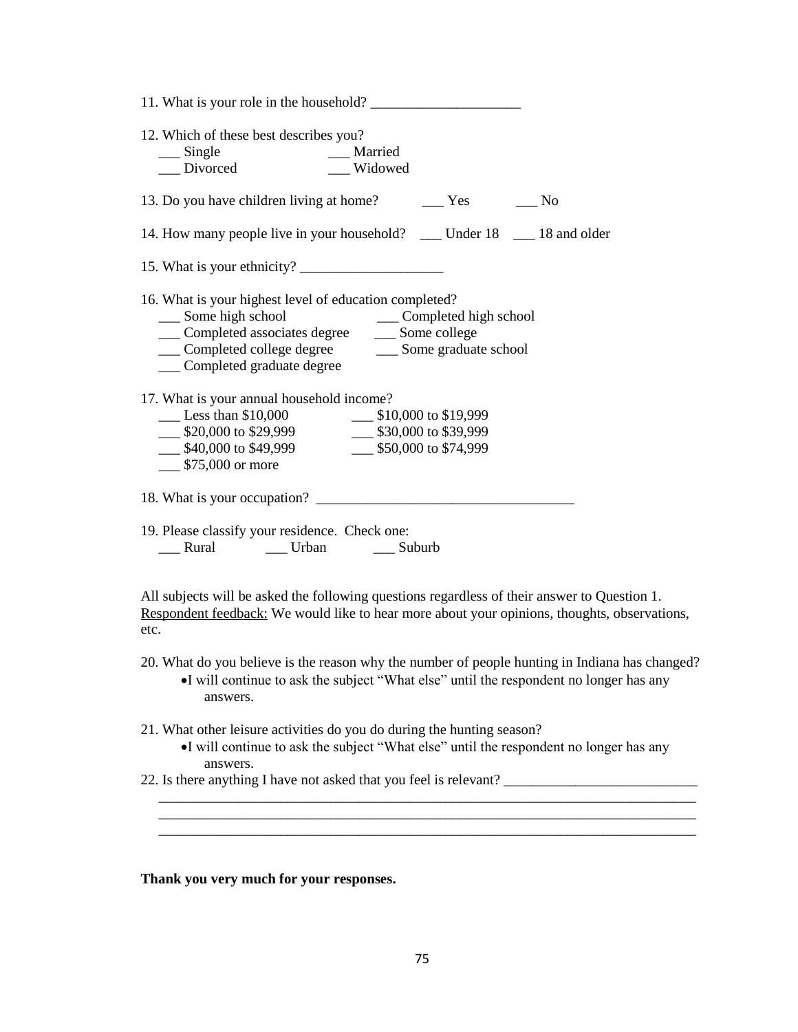| 12. Which of these best describes you?<br>___ single ____ ___ ___ ___ Married ____ __ Divorced<br>Widowed                                                                                                                                                  |
|------------------------------------------------------------------------------------------------------------------------------------------------------------------------------------------------------------------------------------------------------------|
| 13. Do you have children living at home?<br><u>Sexety</u> Peseral Mo                                                                                                                                                                                       |
| 14. How many people live in your household? __ Under 18 __ 18 and older                                                                                                                                                                                    |
|                                                                                                                                                                                                                                                            |
| 16. What is your highest level of education completed?<br>___ Some high school ____ Completed high school ____ Completed associates degree _____ Some college<br>__ Completed college degree _______ Some graduate school<br>___ Completed graduate degree |
| 17. What is your annual household income?<br>Less than \$10,000<br>\$20,000 to \$29,999<br>\$30,000 to \$39,999<br>$\frac{\text{I}}{\text{I}}$ \$40,000 to \$49,999 $\frac{\text{I}}{\text{I}}$ \$50,000 to \$74,999<br>$\frac{\$75,000}{\$}$ or more      |
|                                                                                                                                                                                                                                                            |
| 19. Please classify your residence. Check one:<br>___ Rural ______ Urban _____ Suburb                                                                                                                                                                      |

All subjects will be asked the following questions regardless of their answer to Question 1. Respondent feedback: We would like to hear more about your opinions, thoughts, observations, etc.

20. What do you believe is the reason why the number of people hunting in Indiana has changed? I will continue to ask the subject "What else" until the respondent no longer has any answers.

21. What other leisure activities do you do during the hunting season?

I will continue to ask the subject "What else" until the respondent no longer has any answers.

 \_\_\_\_\_\_\_\_\_\_\_\_\_\_\_\_\_\_\_\_\_\_\_\_\_\_\_\_\_\_\_\_\_\_\_\_\_\_\_\_\_\_\_\_\_\_\_\_\_\_\_\_\_\_\_\_\_\_\_\_\_\_\_\_\_\_\_\_\_\_\_\_\_\_\_ \_\_\_\_\_\_\_\_\_\_\_\_\_\_\_\_\_\_\_\_\_\_\_\_\_\_\_\_\_\_\_\_\_\_\_\_\_\_\_\_\_\_\_\_\_\_\_\_\_\_\_\_\_\_\_\_\_\_\_\_\_\_\_\_\_\_\_\_\_\_\_\_\_\_\_

22. Is there anything I have not asked that you feel is relevant? \_\_\_\_\_\_\_\_\_\_\_\_\_\_\_\_\_\_\_\_\_\_\_\_\_\_\_

**Thank you very much for your responses.**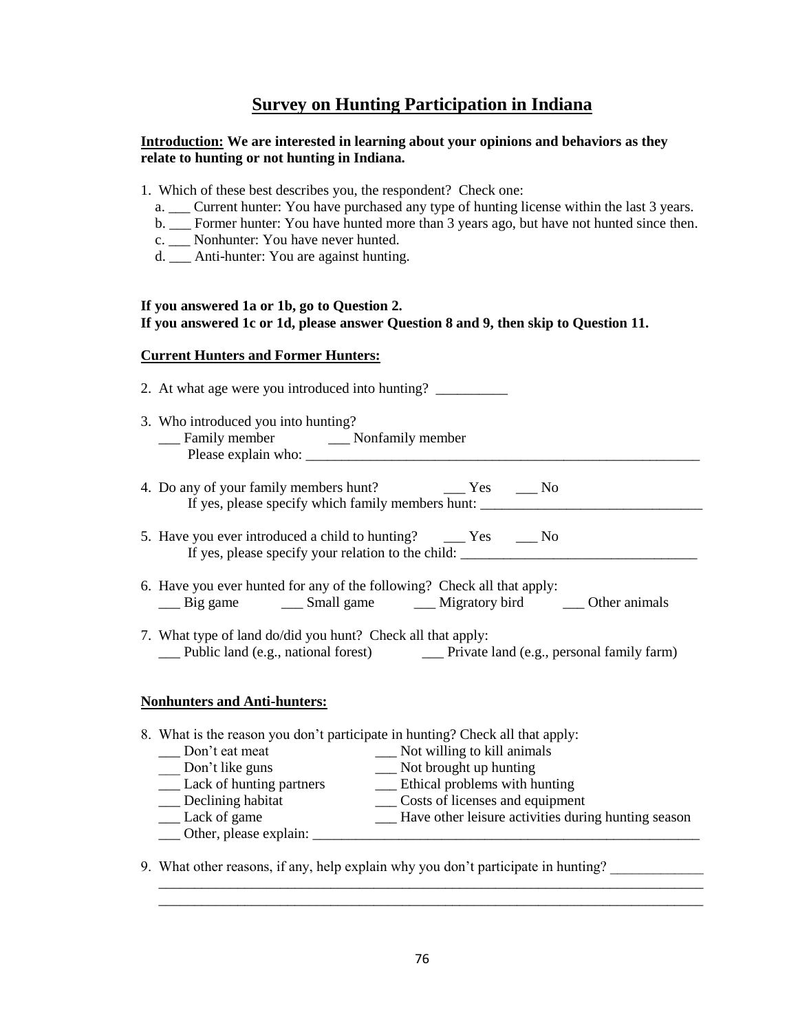## **Survey on Hunting Participation in Indiana**

## **Introduction: We are interested in learning about your opinions and behaviors as they relate to hunting or not hunting in Indiana.**

- 1. Which of these best describes you, the respondent? Check one:
	- a. \_\_\_ Current hunter: You have purchased any type of hunting license within the last 3 years.
	- b. Former hunter: You have hunted more than 3 years ago, but have not hunted since then.
	- c. Nonhunter: You have never hunted.
	- d. \_\_\_ Anti-hunter: You are against hunting.

## **If you answered 1a or 1b, go to Question 2. If you answered 1c or 1d, please answer Question 8 and 9, then skip to Question 11.**

## **Current Hunters and Former Hunters:**

2. At what age were you introduced into hunting? 3. Who introduced you into hunting? \_\_\_ Family member \_\_\_ Nonfamily member Please explain who: 4. Do any of your family members hunt? \_\_\_\_\_ Yes \_\_\_\_ No If yes, please specify which family members hunt: \_\_\_\_\_\_\_\_\_\_\_\_\_\_\_\_\_\_\_\_\_\_\_\_\_\_\_\_\_\_\_ 5. Have you ever introduced a child to hunting? \_\_\_\_ Yes \_\_\_ No If yes, please specify your relation to the child: 6. Have you ever hunted for any of the following? Check all that apply: \_\_\_ Big game \_\_\_ Small game \_\_\_ Migratory bird \_\_\_ Other animals 7. What type of land do/did you hunt? Check all that apply: \_\_\_ Public land (e.g., national forest) \_\_\_ Private land (e.g., personal family farm) **Nonhunters and Anti-hunters:** 8. What is the reason you don"t participate in hunting? Check all that apply:

| Don't eat meat                | Not willing to kill animals                         |
|-------------------------------|-----------------------------------------------------|
| Don't like guns               | Not brought up hunting                              |
| _ Lack of hunting partners    | Ethical problems with hunting                       |
| Declining habitat             | Costs of licenses and equipment                     |
| Lack of game                  | Have other leisure activities during hunting season |
| $\Box$ Other, please explain: |                                                     |
|                               |                                                     |

9. What other reasons, if any, help explain why you don't participate in hunting?

 \_\_\_\_\_\_\_\_\_\_\_\_\_\_\_\_\_\_\_\_\_\_\_\_\_\_\_\_\_\_\_\_\_\_\_\_\_\_\_\_\_\_\_\_\_\_\_\_\_\_\_\_\_\_\_\_\_\_\_\_\_\_\_\_\_\_\_\_\_\_\_\_\_\_\_\_ \_\_\_\_\_\_\_\_\_\_\_\_\_\_\_\_\_\_\_\_\_\_\_\_\_\_\_\_\_\_\_\_\_\_\_\_\_\_\_\_\_\_\_\_\_\_\_\_\_\_\_\_\_\_\_\_\_\_\_\_\_\_\_\_\_\_\_\_\_\_\_\_\_\_\_\_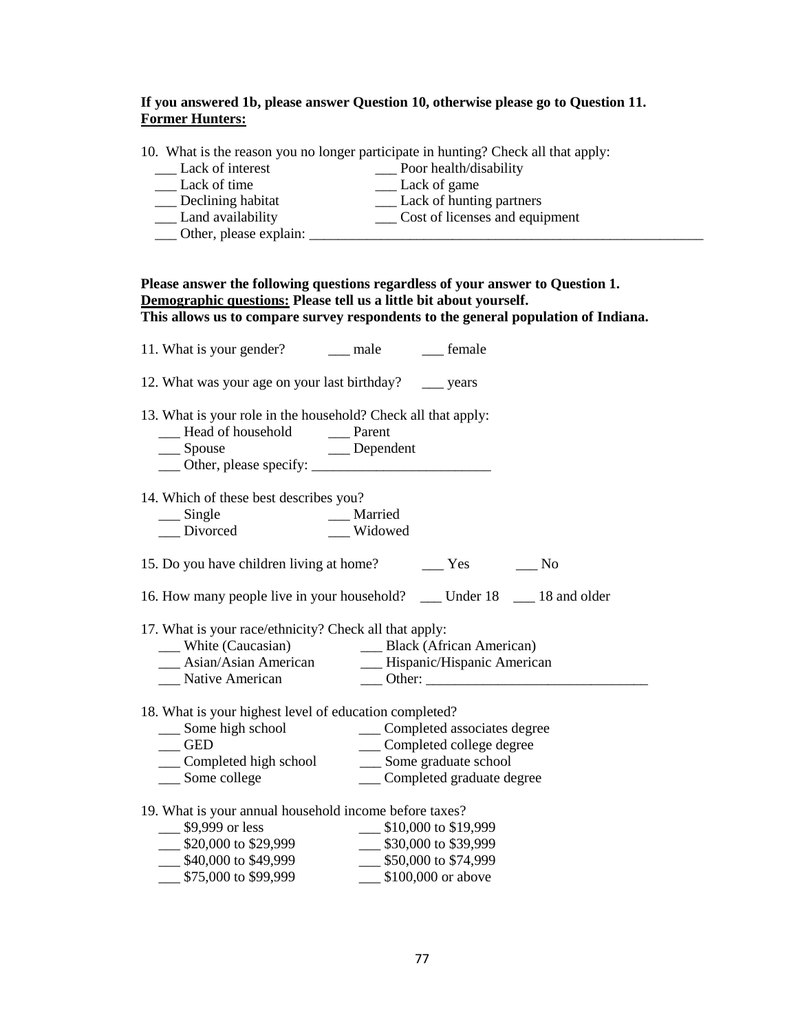## **If you answered 1b, please answer Question 10, otherwise please go to Question 11. Former Hunters:**

| 10. What is the reason you no longer participate in hunting? Check all that apply: |  |  |  |
|------------------------------------------------------------------------------------|--|--|--|
|                                                                                    |  |  |  |

| Lack of interest  | Poor health/disability         |
|-------------------|--------------------------------|
| Lack of time      | Lack of game                   |
| Declining habitat | Lack of hunting partners       |
| Land availability | Cost of licenses and equipment |

|  |  | Other, please explain: |  |
|--|--|------------------------|--|
|--|--|------------------------|--|

| ___ Other, please explain: |  |  |  |
|----------------------------|--|--|--|
|                            |  |  |  |
|                            |  |  |  |

# **Please answer the following questions regardless of your answer to Question 1. Demographic questions: Please tell us a little bit about yourself. This allows us to compare survey respondents to the general population of Indiana.**

| 11. What is your gender? _______ male __________ female                                                                     |         |                                         |  |
|-----------------------------------------------------------------------------------------------------------------------------|---------|-----------------------------------------|--|
| 12. What was your age on your last birthday? ______ years                                                                   |         |                                         |  |
| 13. What is your role in the household? Check all that apply:<br>__ Head of household ____ Parent<br>Dependent<br>__ Spouse |         |                                         |  |
| 14. Which of these best describes you?                                                                                      |         |                                         |  |
|                                                                                                                             |         |                                         |  |
|                                                                                                                             | Widowed |                                         |  |
|                                                                                                                             |         |                                         |  |
| 16. How many people live in your household? __ Under 18 __ 18 and older                                                     |         |                                         |  |
| 17. What is your race/ethnicity? Check all that apply:                                                                      |         |                                         |  |
| __ White (Caucasian)                                                                                                        |         | __ Black (African American)             |  |
| __ Asian/Asian American ________ Hispanic/Hispanic American                                                                 |         |                                         |  |
| __ Native American                                                                                                          |         |                                         |  |
| 18. What is your highest level of education completed?                                                                      |         |                                         |  |
| __ Some high school _____ Completed associates degree                                                                       |         |                                         |  |
| <b>GED</b>                                                                                                                  |         | __ Completed college degree             |  |
| Completed high school                                                                                                       |         | __ Some graduate school                 |  |
| __ Some college                                                                                                             |         | ___ Completed graduate degree           |  |
| 19. What is your annual household income before taxes?                                                                      |         |                                         |  |
| \$9,999 or less                                                                                                             |         | $\frac{\$10,000 \text{ to } $19,999}{}$ |  |
| \$20,000 to \$29,999 \$30,000 to \$39,999                                                                                   |         |                                         |  |
| $\frac{$40,000}{75,000}$ to \$49,999                                                                                        |         | $\frac{1}{2}$ \$50,000 to \$74,999      |  |
| \$75,000 to \$99,999                                                                                                        |         | \$100,000 or above                      |  |